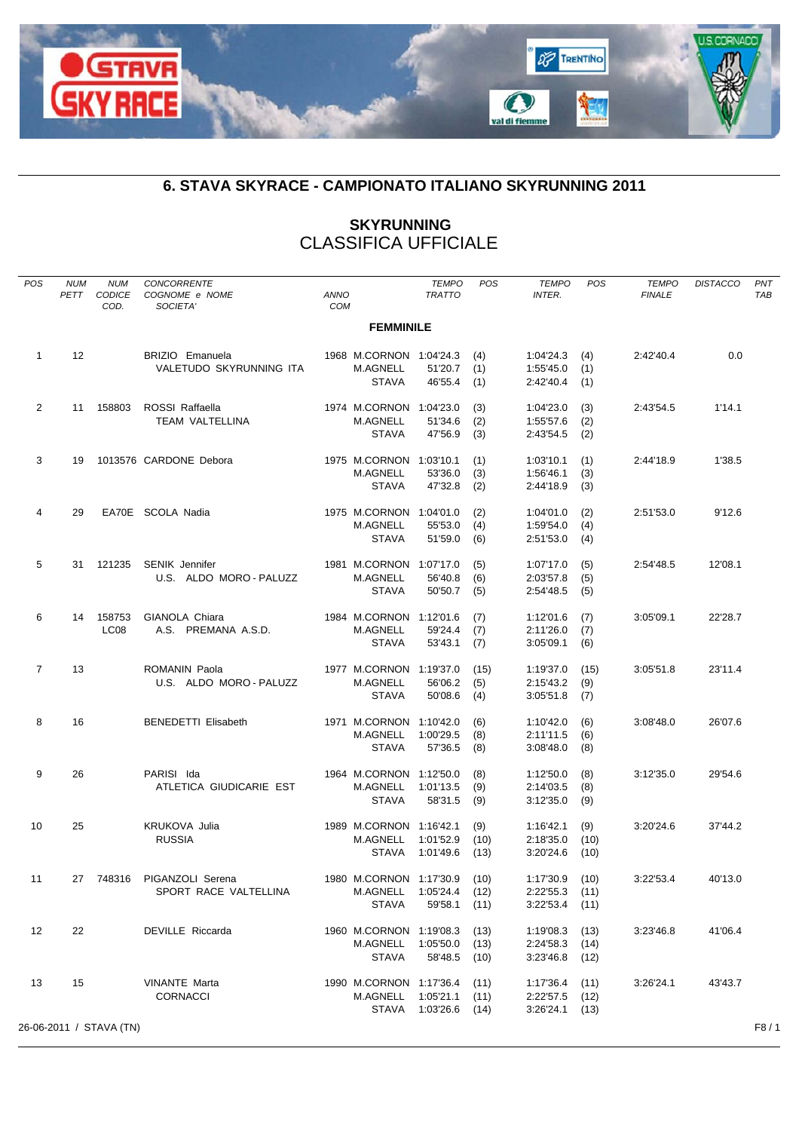

## **6. STAVA SKYRACE - CAMPIONATO ITALIANO SKYRUNNING 2011**

## **SKYRUNNING** CLASSIFICA UFFICIALE

| POS            | <b>NUM</b><br>PETT | <b>NUM</b><br>CODICE<br>COD. | CONCORRENTE<br>COGNOME e NOME<br>SOCIETA'           | <b>ANNO</b><br>COM |                                                               | <b>TEMPO</b><br><b>TRATTO</b> | POS                  | <b>TEMPO</b><br><b>INTER.</b>       | POS                  | <b>TEMPO</b><br><b>FINALE</b> | <b>DISTACCO</b> | PNT<br><b>TAB</b> |
|----------------|--------------------|------------------------------|-----------------------------------------------------|--------------------|---------------------------------------------------------------|-------------------------------|----------------------|-------------------------------------|----------------------|-------------------------------|-----------------|-------------------|
|                |                    |                              |                                                     |                    | <b>FEMMINILE</b>                                              |                               |                      |                                     |                      |                               |                 |                   |
| $\mathbf{1}$   | 12                 |                              | <b>BRIZIO</b> Emanuela<br>VALETUDO SKYRUNNING ITA   |                    | 1968 M.CORNON 1:04'24.3<br>M.AGNELL<br><b>STAVA</b>           | 51'20.7<br>46'55.4            | (4)<br>(1)<br>(1)    | 1:04'24.3<br>1:55'45.0<br>2:42'40.4 | (4)<br>(1)<br>(1)    | 2:42'40.4                     | 0.0             |                   |
| $\overline{2}$ | 11                 | 158803                       | ROSSI Raffaella<br>TEAM VALTELLINA                  |                    | 1974 M.CORNON 1:04'23.0<br>M.AGNELL<br><b>STAVA</b>           | 51'34.6<br>47'56.9            | (3)<br>(2)<br>(3)    | 1:04'23.0<br>1:55'57.6<br>2:43'54.5 | (3)<br>(2)<br>(2)    | 2:43'54.5                     | 1'14.1          |                   |
| 3              | 19                 |                              | 1013576 CARDONE Debora                              |                    | 1975 M.CORNON 1:03'10.1<br><b>M.AGNELL</b><br><b>STAVA</b>    | 53'36.0<br>47'32.8            | (1)<br>(3)<br>(2)    | 1:03'10.1<br>1:56'46.1<br>2:44'18.9 | (1)<br>(3)<br>(3)    | 2:44'18.9                     | 1'38.5          |                   |
| 4              | 29                 |                              | EA70E SCOLA Nadia                                   |                    | 1975 M.CORNON 1:04'01.0<br><b>M.AGNELL</b><br><b>STAVA</b>    | 55'53.0<br>51'59.0            | (2)<br>(4)<br>(6)    | 1:04'01.0<br>1:59'54.0<br>2:51'53.0 | (2)<br>(4)<br>(4)    | 2:51'53.0                     | 9'12.6          |                   |
| 5              | 31                 | 121235                       | <b>SENIK Jennifer</b><br>U.S. ALDO MORO - PALUZZ    |                    | 1981 M.CORNON 1:07'17.0<br>M.AGNELL<br><b>STAVA</b>           | 56'40.8<br>50'50.7            | (5)<br>(6)<br>(5)    | 1:07'17.0<br>2:03'57.8<br>2:54'48.5 | (5)<br>(5)<br>(5)    | 2:54'48.5                     | 12'08.1         |                   |
| 6              | 14                 | 158753<br>LC <sub>08</sub>   | GIANOLA Chiara<br>A.S. PREMANA A.S.D.               |                    | 1984 M.CORNON 1:12'01.6<br>M.AGNELL<br><b>STAVA</b>           | 59'24.4<br>53'43.1            | (7)<br>(7)<br>(7)    | 1:12'01.6<br>2:11'26.0<br>3:05'09.1 | (7)<br>(7)<br>(6)    | 3:05'09.1                     | 22'28.7         |                   |
| $\overline{7}$ | 13                 |                              | ROMANIN Paola<br>U.S. ALDO MORO - PALUZZ            |                    | 1977 M.CORNON 1:19'37.0<br><b>M.AGNELL</b><br><b>STAVA</b>    | 56'06.2<br>50'08.6            | (15)<br>(5)<br>(4)   | 1:19'37.0<br>2:15'43.2<br>3:05'51.8 | (15)<br>(9)<br>(7)   | 3:05'51.8                     | 23'11.4         |                   |
| 8              | 16                 |                              | <b>BENEDETTI Elisabeth</b>                          |                    | 1971 M.CORNON 1:10'42.0<br><b>M.AGNELL</b><br><b>STAVA</b>    | 1:00'29.5<br>57'36.5          | (6)<br>(8)<br>(8)    | 1:10'42.0<br>2:11'11.5<br>3:08'48.0 | (6)<br>(6)<br>(8)    | 3:08'48.0                     | 26'07.6         |                   |
| 9              | 26                 |                              | PARISI Ida<br>ATLETICA GIUDICARIE EST               |                    | 1964 M.CORNON 1:12'50.0<br>M.AGNELL<br><b>STAVA</b>           | 1:01'13.5<br>58'31.5          | (8)<br>(9)<br>(9)    | 1:12'50.0<br>2:14'03.5<br>3:12'35.0 | (8)<br>(8)<br>(9)    | 3:12'35.0                     | 29'54.6         |                   |
| 10             | 25                 |                              | <b>KRUKOVA Julia</b><br><b>RUSSIA</b>               |                    | 1989 M.CORNON 1:16'42.1<br>M.AGNELL<br><b>STAVA</b>           | 1:01'52.9<br>1:01'49.6        | (9)<br>(10)<br>(13)  | 1:16'42.1<br>2:18'35.0<br>3:20'24.6 | (9)<br>(10)<br>(10)  | 3:20'24.6                     | 37'44.2         |                   |
| 11             |                    |                              | 27 748316 PIGANZOLI Serena<br>SPORT RACE VALTELLINA |                    | 1980 M.CORNON 1:17'30.9<br>M.AGNELL 1:05'24.4<br><b>STAVA</b> | 59'58.1                       | (10)<br>(12)<br>(11) | 1:17'30.9<br>2:22'55.3<br>3:22'53.4 | (10)<br>(11)<br>(11) | 3:22'53.4                     | 40'13.0         |                   |
| 12             | 22                 |                              | DEVILLE Riccarda                                    |                    | 1960 M.CORNON 1:19'08.3<br>M.AGNELL 1:05'50.0<br>STAVA        | 58'48.5 (10)                  | (13)<br>(13)         | 1:19'08.3<br>2:24'58.3<br>3:23'46.8 | (13)<br>(14)<br>(12) | 3:23'46.8                     | 41'06.4         |                   |
| 13             | 15                 |                              | <b>VINANTE Marta</b><br><b>CORNACCI</b>             |                    | 1990 M.CORNON 1:17'36.4<br>M.AGNELL 1:05'21.1                 | STAVA 1:03'26.6 (14)          | (11)<br>(11)         | 1:17'36.4<br>2:22'57.5<br>3:26'24.1 | (11)<br>(12)<br>(13) | 3:26'24.1                     | 43'43.7         |                   |
|                |                    | 26-06-2011 / STAVA (TN)      |                                                     |                    |                                                               |                               |                      |                                     |                      |                               |                 | F8/1              |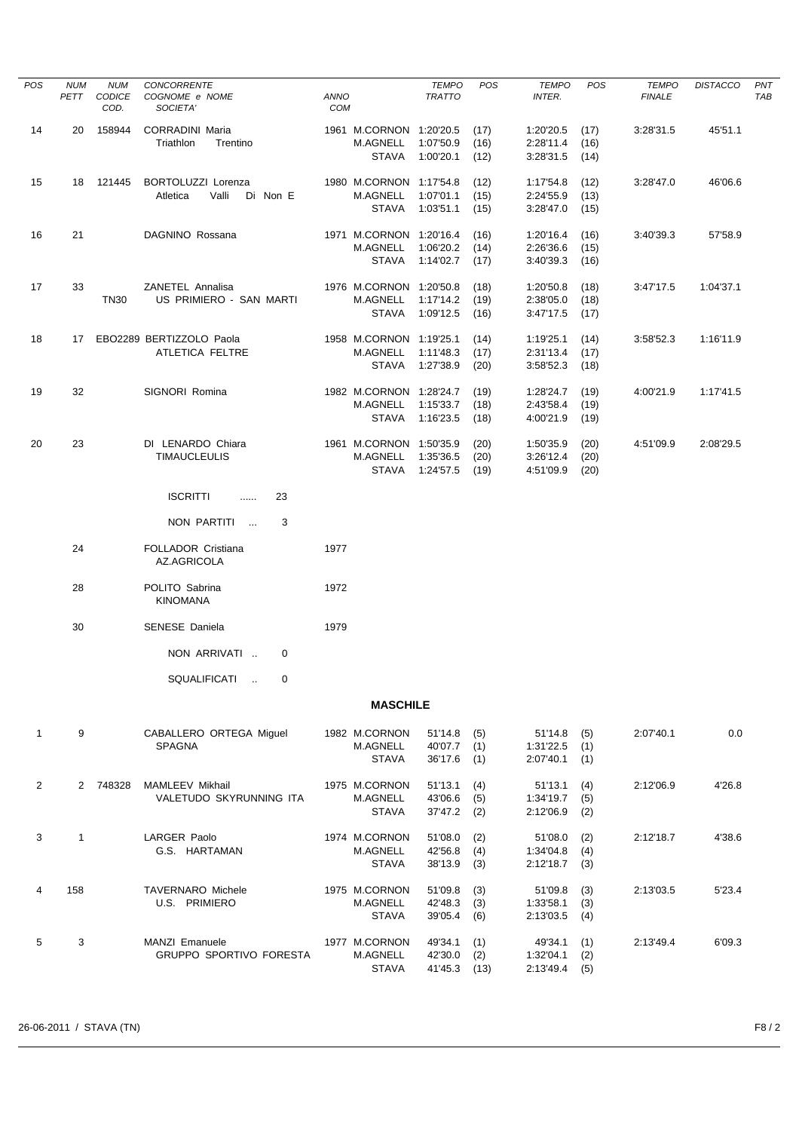| POS          | <b>NUM</b><br>PETT | <b>NUM</b><br>CODICE<br>COD. | CONCORRENTE<br>COGNOME e NOME<br>SOCIETA'           | ANNO<br><b>COM</b>                               | <b>TEMPO</b><br><b>TRATTO</b>                     | <b>POS</b>           | <b>TEMPO</b><br><b>INTER.</b>       | POS                  | <b>TEMPO</b><br><b>FINALE</b> | <b>DISTACCO</b> | PNT<br>TAB |
|--------------|--------------------|------------------------------|-----------------------------------------------------|--------------------------------------------------|---------------------------------------------------|----------------------|-------------------------------------|----------------------|-------------------------------|-----------------|------------|
| 14           | 20                 | 158944                       | <b>CORRADINI Maria</b><br>Triathlon<br>Trentino     | M.AGNELL<br><b>STAVA</b>                         | 1961 M.CORNON 1:20'20.5<br>1:07'50.9<br>1:00'20.1 | (17)<br>(16)<br>(12) | 1:20'20.5<br>2:28'11.4<br>3:28'31.5 | (17)<br>(16)<br>(14) | 3:28'31.5                     | 45'51.1         |            |
| 15           |                    | 18 121445                    | BORTOLUZZI Lorenza<br>Valli<br>Atletica<br>Di Non E | M.AGNELL<br><b>STAVA</b>                         | 1980 M.CORNON 1:17'54.8<br>1:07'01.1<br>1:03'51.1 | (12)<br>(15)<br>(15) | 1:17'54.8<br>2:24'55.9<br>3:28'47.0 | (12)<br>(13)<br>(15) | 3:28'47.0                     | 46'06.6         |            |
| 16           | 21                 |                              | DAGNINO Rossana                                     | M.AGNELL<br>STAVA                                | 1971 M.CORNON 1:20'16.4<br>1:06'20.2<br>1:14'02.7 | (16)<br>(14)<br>(17) | 1:20'16.4<br>2:26'36.6<br>3:40'39.3 | (16)<br>(15)<br>(16) | 3:40'39.3                     | 57'58.9         |            |
| 17           | 33                 | TN30                         | ZANETEL Annalisa<br>US PRIMIERO - SAN MARTI         | M.AGNELL<br><b>STAVA</b>                         | 1976 M.CORNON 1:20'50.8<br>1:17'14.2<br>1:09'12.5 | (18)<br>(19)<br>(16) | 1:20'50.8<br>2:38'05.0<br>3:47'17.5 | (18)<br>(18)<br>(17) | 3:47'17.5                     | 1:04'37.1       |            |
| 18           |                    |                              | 17 EBO2289 BERTIZZOLO Paola<br>ATLETICA FELTRE      | M.AGNELL<br><b>STAVA</b>                         | 1958 M.CORNON 1:19'25.1<br>1:11'48.3<br>1:27'38.9 | (14)<br>(17)<br>(20) | 1:19'25.1<br>2:31'13.4<br>3:58'52.3 | (14)<br>(17)<br>(18) | 3:58'52.3                     | 1:16'11.9       |            |
| 19           | 32                 |                              | SIGNORI Romina                                      | M.AGNELL<br><b>STAVA</b>                         | 1982 M.CORNON 1:28'24.7<br>1:15'33.7<br>1:16'23.5 | (19)<br>(18)<br>(18) | 1:28'24.7<br>2:43'58.4<br>4:00'21.9 | (19)<br>(19)<br>(19) | 4:00'21.9                     | 1:17'41.5       |            |
| 20           | 23                 |                              | DI LENARDO Chiara<br><b>TIMAUCLEULIS</b>            | M.AGNELL<br>STAVA                                | 1961 M.CORNON 1:50'35.9<br>1:35'36.5<br>1:24'57.5 | (20)<br>(20)<br>(19) | 1:50'35.9<br>3:26'12.4<br>4:51'09.9 | (20)<br>(20)<br>(20) | 4:51'09.9                     | 2:08'29.5       |            |
|              |                    |                              | <b>ISCRITTI</b><br>23<br>$\cdots$                   |                                                  |                                                   |                      |                                     |                      |                               |                 |            |
|              |                    |                              | NON PARTITI<br>3<br>$\sim$                          |                                                  |                                                   |                      |                                     |                      |                               |                 |            |
|              | 24                 |                              | FOLLADOR Cristiana<br>AZ.AGRICOLA                   | 1977                                             |                                                   |                      |                                     |                      |                               |                 |            |
|              | 28                 |                              | POLITO Sabrina<br><b>KINOMANA</b>                   | 1972                                             |                                                   |                      |                                     |                      |                               |                 |            |
|              | 30                 |                              | <b>SENESE Daniela</b>                               | 1979                                             |                                                   |                      |                                     |                      |                               |                 |            |
|              |                    |                              | NON ARRIVATI<br>$\mathbf{0}$                        |                                                  |                                                   |                      |                                     |                      |                               |                 |            |
|              |                    |                              | SQUALIFICATI<br>0                                   |                                                  |                                                   |                      |                                     |                      |                               |                 |            |
|              |                    |                              |                                                     |                                                  | <b>MASCHILE</b>                                   |                      |                                     |                      |                               |                 |            |
| $\mathbf{1}$ | 9                  |                              | CABALLERO ORTEGA Miguel<br><b>SPAGNA</b>            | 1982 M.CORNON<br>M.AGNELL<br>STAVA               | 51'14.8<br>40'07.7<br>36'17.6                     | (5)<br>(1)<br>(1)    | 51'14.8<br>1:31'22.5<br>2:07'40.1   | (5)<br>(1)<br>(1)    | 2:07'40.1                     | 0.0             |            |
| $\mathbf{2}$ |                    | 2 748328                     | MAMLEEV Mikhail<br>VALETUDO SKYRUNNING ITA          | 1975 M.CORNON<br><b>M.AGNELL</b><br><b>STAVA</b> | 51'13.1<br>43'06.6<br>37'47.2                     | (4)<br>(5)<br>(2)    | 51'13.1<br>1:34'19.7<br>2:12'06.9   | (4)<br>(5)<br>(2)    | 2:12'06.9                     | 4'26.8          |            |
| 3            | $\mathbf{1}$       |                              | LARGER Paolo<br>G.S. HARTAMAN                       | 1974 M.CORNON<br>M.AGNELL<br><b>STAVA</b>        | 51'08.0<br>42'56.8<br>38'13.9                     | (2)<br>(4)<br>(3)    | 51'08.0<br>1:34'04.8<br>2:12'18.7   | (2)<br>(4)<br>(3)    | 2:12'18.7                     | 4'38.6          |            |
| 4            | 158                |                              | <b>TAVERNARO Michele</b><br>U.S. PRIMIERO           | 1975 M.CORNON<br>M.AGNELL<br><b>STAVA</b>        | 51'09.8<br>42'48.3<br>39'05.4                     | (3)<br>(3)<br>(6)    | 51'09.8<br>1:33'58.1<br>2:13'03.5   | (3)<br>(3)<br>(4)    | 2:13'03.5                     | 5'23.4          |            |
| 5            | 3                  |                              | MANZI Emanuele<br><b>GRUPPO SPORTIVO FORESTA</b>    | 1977 M.CORNON<br>M.AGNELL<br><b>STAVA</b>        | 49'34.1<br>42'30.0<br>41'45.3 (13)                | (1)<br>(2)           | 49'34.1<br>1:32'04.1<br>2:13'49.4   | (1)<br>(2)<br>(5)    | 2:13'49.4                     | 6'09.3          |            |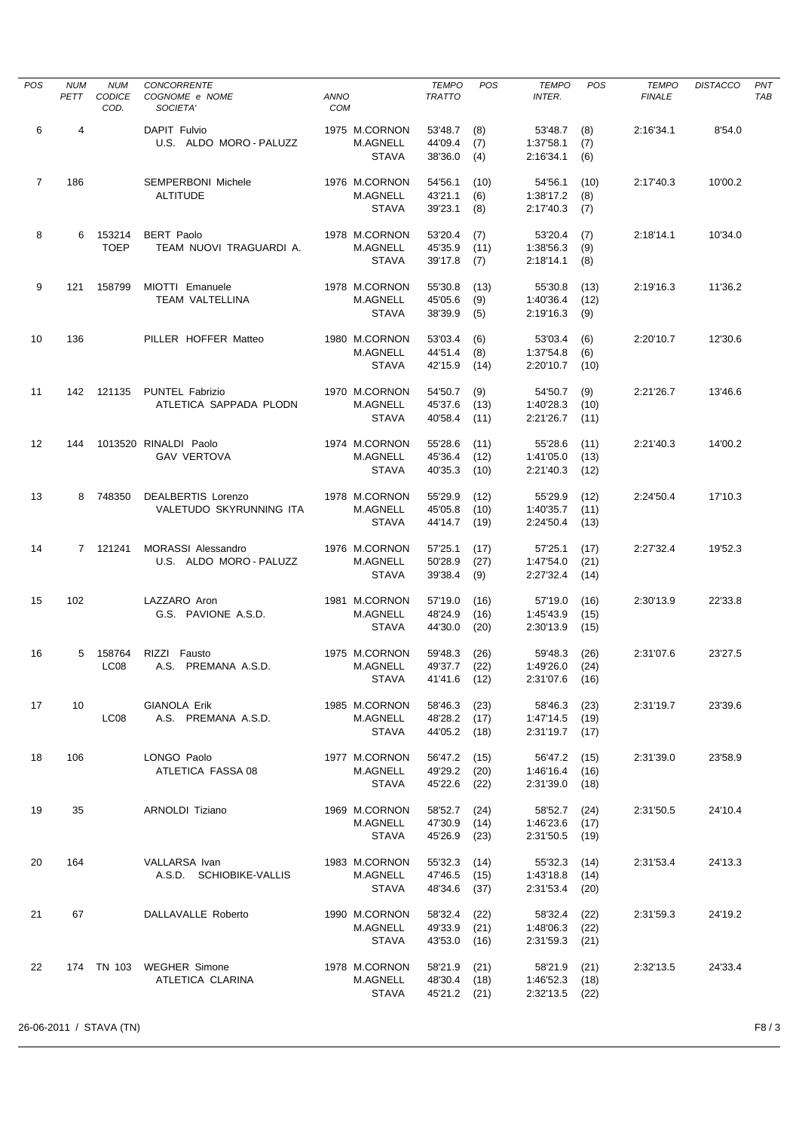| <b>POS</b>     | <b>NUM</b><br>PETT | <b>NUM</b><br>CODICE<br>COD. | <b>CONCORRENTE</b><br>COGNOME e NOME<br>SOCIETA' | <b>ANNO</b><br>COM                               | <b>TEMPO</b><br><b>TRATTO</b>      | POS                  | <b>TEMPO</b><br><b>INTER.</b>            | <b>POS</b>           | <b>TEMPO</b><br><b>FINALE</b> | <b>DISTACCO</b> | <b>PNT</b><br>TAB |
|----------------|--------------------|------------------------------|--------------------------------------------------|--------------------------------------------------|------------------------------------|----------------------|------------------------------------------|----------------------|-------------------------------|-----------------|-------------------|
| 6              | 4                  |                              | DAPIT Fulvio<br>U.S. ALDO MORO - PALUZZ          | 1975 M.CORNON<br><b>M.AGNELL</b><br><b>STAVA</b> | 53'48.7<br>44'09.4<br>38'36.0      | (8)<br>(7)<br>(4)    | 53'48.7<br>1:37'58.1<br>2:16'34.1        | (8)<br>(7)<br>(6)    | 2:16'34.1                     | 8'54.0          |                   |
| $\overline{7}$ | 186                |                              | SEMPERBONI Michele<br><b>ALTITUDE</b>            | 1976 M.CORNON<br>M.AGNELL<br><b>STAVA</b>        | 54'56.1<br>43'21.1<br>39'23.1      | (10)<br>(6)<br>(8)   | 54'56.1<br>1:38'17.2<br>2:17'40.3        | (10)<br>(8)<br>(7)   | 2:17'40.3                     | 10'00.2         |                   |
| 8              |                    | 6 153214<br><b>TOEP</b>      | <b>BERT Paolo</b><br>TEAM NUOVI TRAGUARDI A.     | 1978 M.CORNON<br>M.AGNELL<br><b>STAVA</b>        | 53'20.4<br>45'35.9<br>39'17.8      | (7)<br>(11)<br>(7)   | 53'20.4<br>1:38'56.3<br>2:18'14.1        | (7)<br>(9)<br>(8)    | 2:18'14.1                     | 10'34.0         |                   |
| 9              |                    | 121 158799                   | MIOTTI Emanuele<br>TEAM VALTELLINA               | 1978 M.CORNON<br>M.AGNELL<br><b>STAVA</b>        | 55'30.8<br>45'05.6<br>38'39.9      | (13)<br>(9)<br>(5)   | 55'30.8<br>1:40'36.4<br>2:19'16.3        | (13)<br>(12)<br>(9)  | 2:19'16.3                     | 11'36.2         |                   |
| 10             | 136                |                              | PILLER HOFFER Matteo                             | 1980 M.CORNON<br><b>M.AGNELL</b><br><b>STAVA</b> | 53'03.4<br>44'51.4<br>42'15.9      | (6)<br>(8)<br>(14)   | 53'03.4<br>1:37'54.8<br>2:20'10.7        | (6)<br>(6)<br>(10)   | 2:20'10.7                     | 12'30.6         |                   |
| 11             |                    | 142 121135                   | <b>PUNTEL Fabrizio</b><br>ATLETICA SAPPADA PLODN | 1970 M.CORNON<br><b>M.AGNELL</b><br><b>STAVA</b> | 54'50.7<br>45'37.6<br>40'58.4      | (9)<br>(13)<br>(11)  | 54'50.7<br>1:40'28.3<br>2:21'26.7        | (9)<br>(10)<br>(11)  | 2:21'26.7                     | 13'46.6         |                   |
| 12             | 144                |                              | 1013520 RINALDI Paolo<br><b>GAV VERTOVA</b>      | 1974 M.CORNON<br>M.AGNELL<br><b>STAVA</b>        | 55'28.6<br>45'36.4<br>40'35.3      | (11)<br>(12)<br>(10) | 55'28.6<br>1:41'05.0<br>2:21'40.3        | (11)<br>(13)<br>(12) | 2:21'40.3                     | 14'00.2         |                   |
| 13             |                    | 8 748350                     | DEALBERTIS Lorenzo<br>VALETUDO SKYRUNNING ITA    | 1978 M.CORNON<br>M.AGNELL<br><b>STAVA</b>        | 55'29.9<br>45'05.8<br>44'14.7      | (12)<br>(10)<br>(19) | 55'29.9<br>1:40'35.7<br>2:24'50.4        | (12)<br>(11)<br>(13) | 2:24'50.4                     | 17'10.3         |                   |
| 14             |                    | 7 121241                     | MORASSI Alessandro<br>U.S. ALDO MORO - PALUZZ    | 1976 M.CORNON<br>M.AGNELL<br><b>STAVA</b>        | 57'25.1<br>50'28.9<br>39'38.4      | (17)<br>(27)<br>(9)  | 57'25.1<br>1:47'54.0<br>2:27'32.4        | (17)<br>(21)<br>(14) | 2:27'32.4                     | 19'52.3         |                   |
| 15             | 102                |                              | LAZZARO Aron<br>G.S. PAVIONE A.S.D.              | 1981 M.CORNON<br>M.AGNELL<br><b>STAVA</b>        | 57'19.0<br>48'24.9<br>44'30.0      | (16)<br>(16)<br>(20) | 57'19.0<br>1:45'43.9<br>2:30'13.9        | (16)<br>(15)<br>(15) | 2:30'13.9                     | 22'33.8         |                   |
| 16             | 5                  | 158764<br>LC <sub>08</sub>   | RIZZI Fausto<br>A.S. PREMANA A.S.D.              | 1975 M.CORNON<br>M.AGNELL<br><b>STAVA</b>        | 59'48.3<br>49'37.7<br>41'41.6 (12) | (26)<br>(22)         | 59'48.3<br>1:49'26.0<br>2:31'07.6        | (26)<br>(24)<br>(16) | 2:31'07.6                     | 23'27.5         |                   |
| 17             | 10                 | LC <sub>08</sub>             | <b>GIANOLA Erik</b><br>A.S. PREMANA A.S.D.       | 1985 M.CORNON<br>M.AGNELL<br><b>STAVA</b>        | 58'46.3<br>48'28.2<br>44'05.2      | (23)<br>(17)<br>(18) | 58'46.3<br>1:47'14.5<br>2:31'19.7        | (23)<br>(19)<br>(17) | 2:31'19.7                     | 23'39.6         |                   |
| 18             | 106                |                              | LONGO Paolo<br>ATLETICA FASSA 08                 | 1977 M.CORNON<br>M.AGNELL<br><b>STAVA</b>        | 56'47.2<br>49'29.2<br>45'22.6      | (15)<br>(20)<br>(22) | 56'47.2<br>1:46'16.4<br>2:31'39.0        | (15)<br>(16)<br>(18) | 2:31'39.0                     | 23'58.9         |                   |
| 19             | 35                 |                              | ARNOLDI Tiziano                                  | 1969 M.CORNON<br>M.AGNELL<br><b>STAVA</b>        | 58'52.7<br>47'30.9<br>45'26.9      | (24)<br>(14)<br>(23) | 58'52.7<br>1:46'23.6<br>2:31'50.5        | (24)<br>(17)<br>(19) | 2:31'50.5                     | 24'10.4         |                   |
| 20             | 164                |                              | VALLARSA Ivan<br>A.S.D. SCHIOBIKE-VALLIS         | 1983 M.CORNON<br>M.AGNELL<br><b>STAVA</b>        | 55'32.3<br>47'46.5<br>48'34.6      | (14)<br>(15)<br>(37) | 55'32.3<br>1:43'18.8<br>2:31'53.4        | (14)<br>(14)<br>(20) | 2:31'53.4                     | 24'13.3         |                   |
| 21             | 67                 |                              | DALLAVALLE Roberto                               | 1990 M.CORNON<br>M.AGNELL<br><b>STAVA</b>        | 58'32.4<br>49'33.9<br>43'53.0      | (22)<br>(21)<br>(16) | 58'32.4<br>1:48'06.3<br>2:31'59.3        | (22)<br>(22)<br>(21) | 2:31'59.3                     | 24'19.2         |                   |
| 22             |                    | 174 TN 103                   | WEGHER Simone<br>ATLETICA CLARINA                | 1978 M.CORNON<br>M.AGNELL<br><b>STAVA</b>        | 58'21.9<br>48'30.4<br>45'21.2 (21) | (21)<br>(18)         | 58'21.9<br>1:46'52.3<br>$2:32'13.5$ (22) | (21)<br>(18)         | 2:32'13.5                     | 24'33.4         |                   |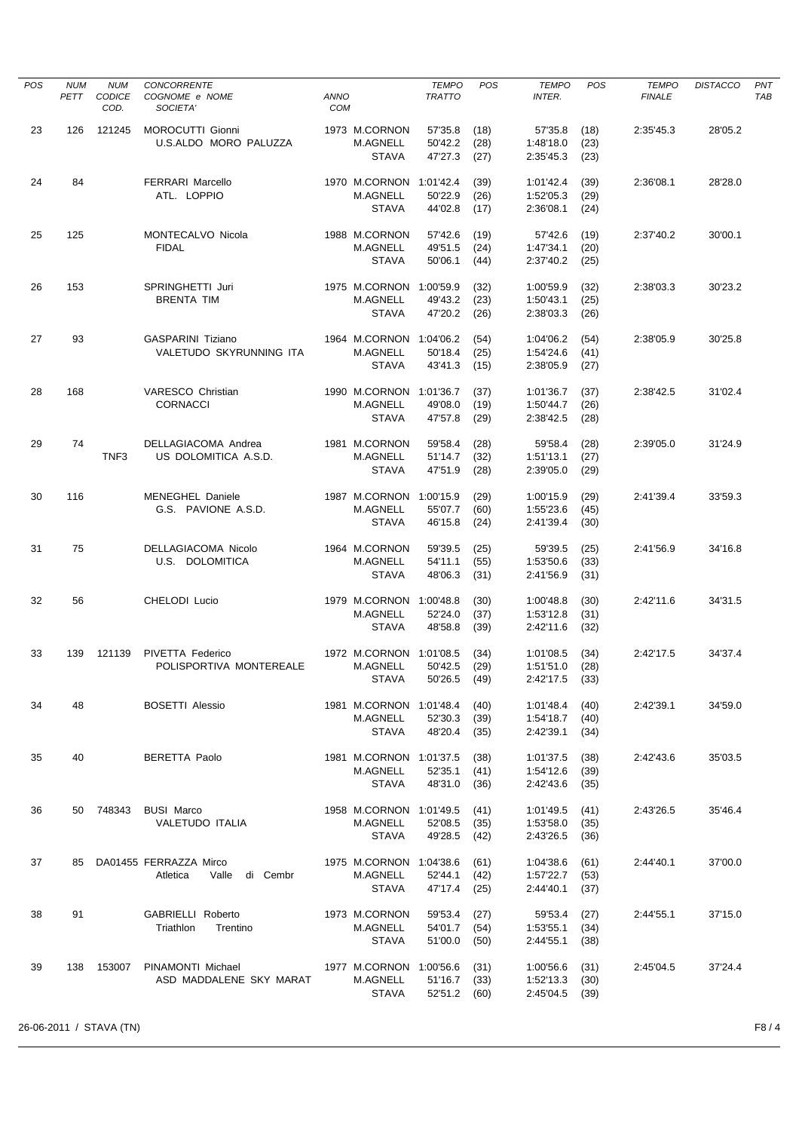| <b>POS</b> | <b>NUM</b><br>PETT | <b>NUM</b><br>CODICE<br>COD. | CONCORRENTE<br>COGNOME e NOME<br>SOCIETA'               | <b>ANNO</b><br><b>COM</b> |                                                                  | <b>TEMPO</b><br><b>TRATTO</b>            | POS                          | <b>TEMPO</b><br><b>INTER.</b>                    | <b>POS</b>           | <b>TEMPO</b><br><b>FINALE</b> | <b>DISTACCO</b> | <b>PNT</b><br><b>TAB</b> |
|------------|--------------------|------------------------------|---------------------------------------------------------|---------------------------|------------------------------------------------------------------|------------------------------------------|------------------------------|--------------------------------------------------|----------------------|-------------------------------|-----------------|--------------------------|
| 23         | 126                | 121245                       | MOROCUTTI Gionni<br>U.S.ALDO MORO PALUZZA               |                           | 1973 M.CORNON<br><b>M.AGNELL</b><br><b>STAVA</b>                 | 57'35.8<br>50'42.2<br>47'27.3            | (18)<br>(28)<br>(27)         | 57'35.8<br>1:48'18.0<br>2:35'45.3                | (18)<br>(23)<br>(23) | 2:35'45.3                     | 28'05.2         |                          |
| 24         | 84                 |                              | <b>FERRARI Marcello</b><br>ATL. LOPPIO                  |                           | 1970 M.CORNON 1:01'42.4<br>M.AGNELL                              | 50'22.9                                  | (39)<br>(26)                 | 1:01'42.4<br>1:52'05.3                           | (39)<br>(29)         | 2:36'08.1                     | 28'28.0         |                          |
| 25         | 125                |                              | MONTECALVO Nicola<br><b>FIDAL</b>                       |                           | <b>STAVA</b><br>1988 M.CORNON<br>M.AGNELL                        | 44'02.8<br>57'42.6<br>49'51.5<br>50'06.1 | (17)<br>(19)<br>(24)         | 2:36'08.1<br>57'42.6<br>1:47'34.1                | (24)<br>(19)<br>(20) | 2:37'40.2                     | 30'00.1         |                          |
| 26         | 153                |                              | SPRINGHETTI Juri<br><b>BRENTA TIM</b>                   |                           | <b>STAVA</b><br>1975 M.CORNON<br><b>M.AGNELL</b><br><b>STAVA</b> | 1:00'59.9<br>49'43.2<br>47'20.2          | (44)<br>(32)<br>(23)<br>(26) | 2:37'40.2<br>1:00'59.9<br>1:50'43.1<br>2:38'03.3 | (25)<br>(32)<br>(25) | 2:38'03.3                     | 30'23.2         |                          |
| 27         | 93                 |                              | <b>GASPARINI Tiziano</b><br>VALETUDO SKYRUNNING ITA     |                           | 1964 M.CORNON 1:04'06.2<br><b>M.AGNELL</b>                       | 50'18.4                                  | (54)<br>(25)                 | 1:04'06.2<br>1:54'24.6                           | (26)<br>(54)<br>(41) | 2:38'05.9                     | 30'25.8         |                          |
| 28         | 168                |                              | VARESCO Christian<br><b>CORNACCI</b>                    |                           | <b>STAVA</b><br>1990 M.CORNON<br>M.AGNELL                        | 43'41.3<br>1:01'36.7<br>49'08.0          | (15)<br>(37)<br>(19)         | 2:38'05.9<br>1:01'36.7<br>1:50'44.7              | (27)<br>(37)<br>(26) | 2:38'42.5                     | 31'02.4         |                          |
| 29         | 74                 | TNF3                         | DELLAGIACOMA Andrea<br>US DOLOMITICA A.S.D.             |                           | <b>STAVA</b><br>1981 M.CORNON<br><b>M.AGNELL</b>                 | 47'57.8<br>59'58.4<br>51'14.7            | (29)<br>(28)<br>(32)         | 2:38'42.5<br>59'58.4<br>1:51'13.1                | (28)<br>(28)<br>(27) | 2:39'05.0                     | 31'24.9         |                          |
| 30         | 116                |                              | <b>MENEGHEL Daniele</b><br>G.S. PAVIONE A.S.D.          |                           | <b>STAVA</b><br>1987 M.CORNON 1:00'15.9<br><b>M.AGNELL</b>       | 47'51.9<br>55'07.7                       | (28)<br>(29)<br>(60)         | 2:39'05.0<br>1:00'15.9<br>1:55'23.6              | (29)<br>(29)<br>(45) | 2:41'39.4                     | 33'59.3         |                          |
| 31         | 75                 |                              | DELLAGIACOMA Nicolo<br>U.S. DOLOMITICA                  |                           | <b>STAVA</b><br>1964 M.CORNON<br><b>M.AGNELL</b>                 | 46'15.8<br>59'39.5<br>54'11.1            | (24)<br>(25)<br>(55)         | 2:41'39.4<br>59'39.5<br>1:53'50.6                | (30)<br>(25)<br>(33) | 2:41'56.9                     | 34'16.8         |                          |
| 32         | 56                 |                              | CHELODI Lucio                                           |                           | <b>STAVA</b><br>1979 M.CORNON<br>M.AGNELL                        | 48'06.3<br>1:00'48.8<br>52'24.0          | (31)<br>(30)<br>(37)         | 2:41'56.9<br>1:00'48.8<br>1:53'12.8              | (31)<br>(30)<br>(31) | 2:42'11.6                     | 34'31.5         |                          |
| 33         | 139                | 121139                       | PIVETTA Federico<br>POLISPORTIVA MONTEREALE             |                           | <b>STAVA</b><br>1972 M.CORNON 1:01'08.5<br><b>M.AGNELL</b>       | 48'58.8<br>50'42.5                       | (39)<br>(34)<br>(29)         | 2:42'11.6<br>1:01'08.5<br>1:51'51.0              | (32)<br>(34)<br>(28) | 2:42'17.5                     | 34'37.4         |                          |
| 34         | 48                 |                              | <b>BOSETTI Alessio</b>                                  |                           | STAVA<br>1981 M.CORNON 1:01'48.4                                 | 50'26.5                                  | (49)<br>(40)                 | 2:42'17.5<br>1:01'48.4                           | (33)<br>(40)         | 2:42'39.1                     | 34'59.0         |                          |
| 35         | 40                 |                              | <b>BERETTA Paolo</b>                                    |                           | M.AGNELL<br><b>STAVA</b><br>1981 M.CORNON 1:01'37.5              | 52'30.3<br>48'20.4                       | (39)<br>(35)<br>(38)         | 1:54'18.7<br>2:42'39.1<br>1:01'37.5              | (40)<br>(34)<br>(38) | 2:42'43.6                     | 35'03.5         |                          |
|            |                    |                              |                                                         |                           | M.AGNELL<br><b>STAVA</b>                                         | 52'35.1<br>48'31.0                       | (41)<br>(36)                 | 1:54'12.6<br>2:42'43.6                           | (39)<br>(35)         |                               |                 |                          |
| 36         | 50                 | 748343                       | <b>BUSI Marco</b><br>VALETUDO ITALIA                    |                           | 1958 M.CORNON<br>M.AGNELL<br><b>STAVA</b>                        | 1:01'49.5<br>52'08.5<br>49'28.5          | (41)<br>(35)<br>(42)         | 1:01'49.5<br>1:53'58.0<br>2:43'26.5              | (41)<br>(35)<br>(36) | 2:43'26.5                     | 35'46.4         |                          |
| 37         | 85                 |                              | DA01455 FERRAZZA Mirco<br>Atletica<br>Valle<br>di Cembr |                           | 1975 M.CORNON 1:04'38.6<br><b>M.AGNELL</b><br><b>STAVA</b>       | 52'44.1<br>47'17.4                       | (61)<br>(42)<br>(25)         | 1:04'38.6<br>1:57'22.7<br>2:44'40.1              | (61)<br>(53)<br>(37) | 2:44'40.1                     | 37'00.0         |                          |
| 38         | 91                 |                              | GABRIELLI Roberto<br>Triathlon<br>Trentino              |                           | 1973 M.CORNON<br>M.AGNELL<br><b>STAVA</b>                        | 59'53.4<br>54'01.7<br>51'00.0            | (27)<br>(54)<br>(50)         | 59'53.4<br>1:53'55.1<br>2:44'55.1                | (27)<br>(34)<br>(38) | 2:44'55.1                     | 37'15.0         |                          |
| 39         | 138                | 153007                       | PINAMONTI Michael<br>ASD MADDALENE SKY MARAT            |                           | 1977 M.CORNON 1:00'56.6<br>M.AGNELL<br><b>STAVA</b>              | 51'16.7<br>52'51.2                       | (31)<br>(33)<br>(60)         | 1:00'56.6<br>1:52'13.3<br>2:45'04.5              | (31)<br>(30)<br>(39) | 2:45'04.5                     | 37'24.4         |                          |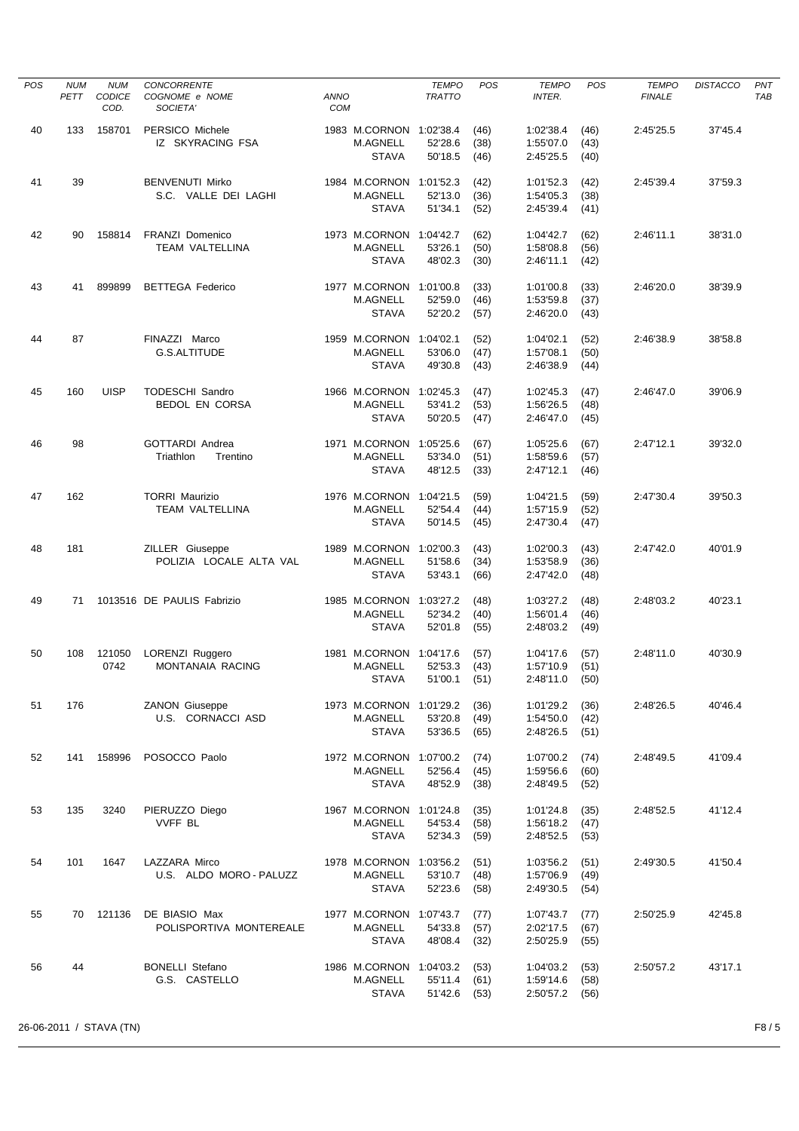| <b>POS</b> | <b>NUM</b><br>PETT | <b>NUM</b><br><b>CODICE</b> | <b>CONCORRENTE</b><br>COGNOME e NOME       | ANNO |                                            | <b>TEMPO</b><br><b>TRATTO</b> | POS          | <b>TEMPO</b><br><b>INTER.</b> | POS          | <b>TEMPO</b><br><b>FINALE</b> | <b>DISTACCO</b> | PNT<br>TAB |
|------------|--------------------|-----------------------------|--------------------------------------------|------|--------------------------------------------|-------------------------------|--------------|-------------------------------|--------------|-------------------------------|-----------------|------------|
|            |                    | COD.                        | SOCIETA'                                   | COM  |                                            |                               |              |                               |              |                               |                 |            |
| 40         | 133                | 158701                      | PERSICO Michele                            |      | 1983 M.CORNON 1:02'38.4                    |                               | (46)         | 1:02'38.4                     | (46)         | 2:45'25.5                     | 37'45.4         |            |
|            |                    |                             | IZ SKYRACING FSA                           |      | M.AGNELL                                   | 52'28.6                       | (38)         | 1:55'07.0                     | (43)         |                               |                 |            |
|            |                    |                             |                                            |      | <b>STAVA</b>                               | 50'18.5                       | (46)         | 2:45'25.5                     | (40)         |                               |                 |            |
| 41         | 39                 |                             | <b>BENVENUTI Mirko</b>                     |      | 1984 M.CORNON 1:01'52.3                    |                               | (42)         | 1:01'52.3                     | (42)         | 2:45'39.4                     | 37'59.3         |            |
|            |                    |                             | S.C. VALLE DEI LAGHI                       |      | M.AGNELL                                   | 52'13.0                       | (36)         | 1:54'05.3                     | (38)         |                               |                 |            |
|            |                    |                             |                                            |      | <b>STAVA</b>                               | 51'34.1                       | (52)         | 2:45'39.4                     | (41)         |                               |                 |            |
|            |                    |                             | <b>FRANZI Domenico</b>                     |      |                                            |                               |              |                               |              |                               |                 |            |
| 42         | 90                 | 158814                      | TEAM VALTELLINA                            |      | 1973 M.CORNON 1:04'42.7<br>M.AGNELL        | 53'26.1                       | (62)<br>(50) | 1:04'42.7<br>1:58'08.8        | (62)<br>(56) | 2:46'11.1                     | 38'31.0         |            |
|            |                    |                             |                                            |      | <b>STAVA</b>                               | 48'02.3                       | (30)         | 2:46'11.1                     | (42)         |                               |                 |            |
|            |                    |                             |                                            |      |                                            |                               |              |                               |              |                               |                 |            |
| 43         | 41                 | 899899                      | <b>BETTEGA Federico</b>                    |      | 1977 M.CORNON 1:01'00.8<br>M.AGNELL        | 52'59.0                       | (33)<br>(46) | 1:01'00.8<br>1:53'59.8        | (33)<br>(37) | 2:46'20.0                     | 38'39.9         |            |
|            |                    |                             |                                            |      | <b>STAVA</b>                               | 52'20.2                       | (57)         | 2:46'20.0                     | (43)         |                               |                 |            |
|            |                    |                             |                                            |      |                                            |                               |              |                               |              |                               |                 |            |
| 44         | 87                 |                             | FINAZZI Marco                              |      | 1959 M.CORNON 1:04'02.1                    |                               | (52)         | 1:04'02.1                     | (52)         | 2:46'38.9                     | 38'58.8         |            |
|            |                    |                             | G.S.ALTITUDE                               |      | M.AGNELL<br><b>STAVA</b>                   | 53'06.0<br>49'30.8            | (47)<br>(43) | 1:57'08.1<br>2:46'38.9        | (50)<br>(44) |                               |                 |            |
|            |                    |                             |                                            |      |                                            |                               |              |                               |              |                               |                 |            |
| 45         | 160                | <b>UISP</b>                 | <b>TODESCHI Sandro</b>                     |      | 1966 M.CORNON 1:02'45.3                    |                               | (47)         | 1:02'45.3                     | (47)         | 2:46'47.0                     | 39'06.9         |            |
|            |                    |                             | <b>BEDOL EN CORSA</b>                      |      | <b>M.AGNELL</b>                            | 53'41.2                       | (53)         | 1:56'26.5                     | (48)         |                               |                 |            |
|            |                    |                             |                                            |      | <b>STAVA</b>                               | 50'20.5                       | (47)         | 2:46'47.0                     | (45)         |                               |                 |            |
| 46         | 98                 |                             | <b>GOTTARDI Andrea</b>                     |      | 1971 M.CORNON                              | 1:05'25.6                     | (67)         | 1:05'25.6                     | (67)         | 2:47'12.1                     | 39'32.0         |            |
|            |                    |                             | Triathlon<br>Trentino                      |      | <b>M.AGNELL</b>                            | 53'34.0                       | (51)         | 1:58'59.6                     | (57)         |                               |                 |            |
|            |                    |                             |                                            |      | <b>STAVA</b>                               | 48'12.5                       | (33)         | 2:47'12.1                     | (46)         |                               |                 |            |
| 47         | 162                |                             | <b>TORRI Maurizio</b>                      |      | 1976 M.CORNON 1:04'21.5                    |                               | (59)         | 1:04'21.5                     | (59)         | 2:47'30.4                     | 39'50.3         |            |
|            |                    |                             | <b>TEAM VALTELLINA</b>                     |      | M.AGNELL                                   | 52'54.4                       | (44)         | 1:57'15.9                     | (52)         |                               |                 |            |
|            |                    |                             |                                            |      | <b>STAVA</b>                               | 50'14.5                       | (45)         | 2:47'30.4                     | (47)         |                               |                 |            |
| 48         | 181                |                             | ZILLER Giuseppe                            |      | 1989 M.CORNON 1:02'00.3                    |                               | (43)         | 1:02'00.3                     | (43)         | 2:47'42.0                     | 40'01.9         |            |
|            |                    |                             | POLIZIA LOCALE ALTA VAL                    |      | M.AGNELL                                   | 51'58.6                       | (34)         | 1:53'58.9                     | (36)         |                               |                 |            |
|            |                    |                             |                                            |      | <b>STAVA</b>                               | 53'43.1                       | (66)         | 2:47'42.0                     | (48)         |                               |                 |            |
| 49         | 71                 |                             | 1013516 DE PAULIS Fabrizio                 |      | 1985 M.CORNON 1:03'27.2                    |                               | (48)         | 1:03'27.2                     | (48)         | 2:48'03.2                     | 40'23.1         |            |
|            |                    |                             |                                            |      | <b>M.AGNELL</b>                            | 52'34.2                       | (40)         | 1:56'01.4                     | (46)         |                               |                 |            |
|            |                    |                             |                                            |      | <b>STAVA</b>                               | 52'01.8                       | (55)         | 2:48'03.2                     | (49)         |                               |                 |            |
|            |                    |                             |                                            |      |                                            |                               |              |                               |              |                               |                 |            |
| 50         | 108                | 121050<br>0742              | LORENZI Ruggero<br><b>MONTANAIA RACING</b> |      | 1981 M.CORNON 1:04'17.6<br><b>M.AGNELL</b> | 52'53.3                       | (57)<br>(43) | 1:04'17.6<br>1:57'10.9        | (57)<br>(51) | 2:48'11.0                     | 40'30.9         |            |
|            |                    |                             |                                            |      | <b>STAVA</b>                               | 51'00.1                       | (51)         | 2:48'11.0                     | (50)         |                               |                 |            |
|            |                    |                             |                                            |      |                                            |                               |              |                               |              |                               |                 |            |
| 51         | 176                |                             | <b>ZANON Giuseppe</b><br>U.S. CORNACCI ASD |      | 1973 M.CORNON 1:01'29.2<br>M.AGNELL        | 53'20.8                       | (36)<br>(49) | 1:01'29.2<br>1:54'50.0        | (36)<br>(42) | 2:48'26.5                     | 40'46.4         |            |
|            |                    |                             |                                            |      | <b>STAVA</b>                               | 53'36.5                       | (65)         | 2:48'26.5                     | (51)         |                               |                 |            |
|            |                    |                             |                                            |      |                                            |                               |              |                               |              |                               |                 |            |
| 52         | 141                | 158996                      | POSOCCO Paolo                              |      | 1972 M.CORNON 1:07'00.2                    |                               | (74)         | 1:07'00.2                     | (74)         | 2:48'49.5                     | 41'09.4         |            |
|            |                    |                             |                                            |      | M.AGNELL<br><b>STAVA</b>                   | 52'56.4<br>48'52.9            | (45)<br>(38) | 1:59'56.6<br>2:48'49.5        | (60)<br>(52) |                               |                 |            |
|            |                    |                             |                                            |      |                                            |                               |              |                               |              |                               |                 |            |
| 53         | 135                | 3240                        | PIERUZZO Diego                             |      | 1967 M.CORNON 1:01'24.8                    |                               | (35)         | 1:01'24.8                     | (35)         | 2:48'52.5                     | 41'12.4         |            |
|            |                    |                             | <b>VVFF BL</b>                             |      | M.AGNELL                                   | 54'53.4                       | (58)         | 1:56'18.2                     | (47)         |                               |                 |            |
|            |                    |                             |                                            |      | STAVA                                      | 52'34.3                       | (59)         | 2:48'52.5                     | (53)         |                               |                 |            |
| 54         | 101                | 1647                        | LAZZARA Mirco                              |      | 1978 M.CORNON 1:03'56.2                    |                               | (51)         | 1:03'56.2                     | (51)         | 2:49'30.5                     | 41'50.4         |            |
|            |                    |                             | U.S. ALDO MORO - PALUZZ                    |      | M.AGNELL                                   | 53'10.7                       | (48)         | 1:57'06.9                     | (49)         |                               |                 |            |
|            |                    |                             |                                            |      | <b>STAVA</b>                               | 52'23.6                       | (58)         | 2:49'30.5                     | (54)         |                               |                 |            |
| 55         | 70                 | 121136                      | DE BIASIO Max                              |      | 1977 M.CORNON 1:07'43.7                    |                               | (77)         | 1:07'43.7                     | (77)         | 2:50'25.9                     | 42'45.8         |            |
|            |                    |                             | POLISPORTIVA MONTEREALE                    |      | M.AGNELL                                   | 54'33.8                       | (57)         | 2:02'17.5                     | (67)         |                               |                 |            |
|            |                    |                             |                                            |      | <b>STAVA</b>                               | 48'08.4                       | (32)         | 2:50'25.9                     | (55)         |                               |                 |            |
| 56         | 44                 |                             | <b>BONELLI Stefano</b>                     |      | 1986 M.CORNON 1:04'03.2                    |                               | (53)         | 1:04'03.2                     | (53)         | 2:50'57.2                     | 43'17.1         |            |
|            |                    |                             | G.S. CASTELLO                              |      | M.AGNELL                                   | 55'11.4                       | (61)         | 1:59'14.6                     | (58)         |                               |                 |            |
|            |                    |                             |                                            |      | STAVA                                      | 51'42.6                       | (53)         | 2:50'57.2                     | (56)         |                               |                 |            |
|            |                    |                             |                                            |      |                                            |                               |              |                               |              |                               |                 |            |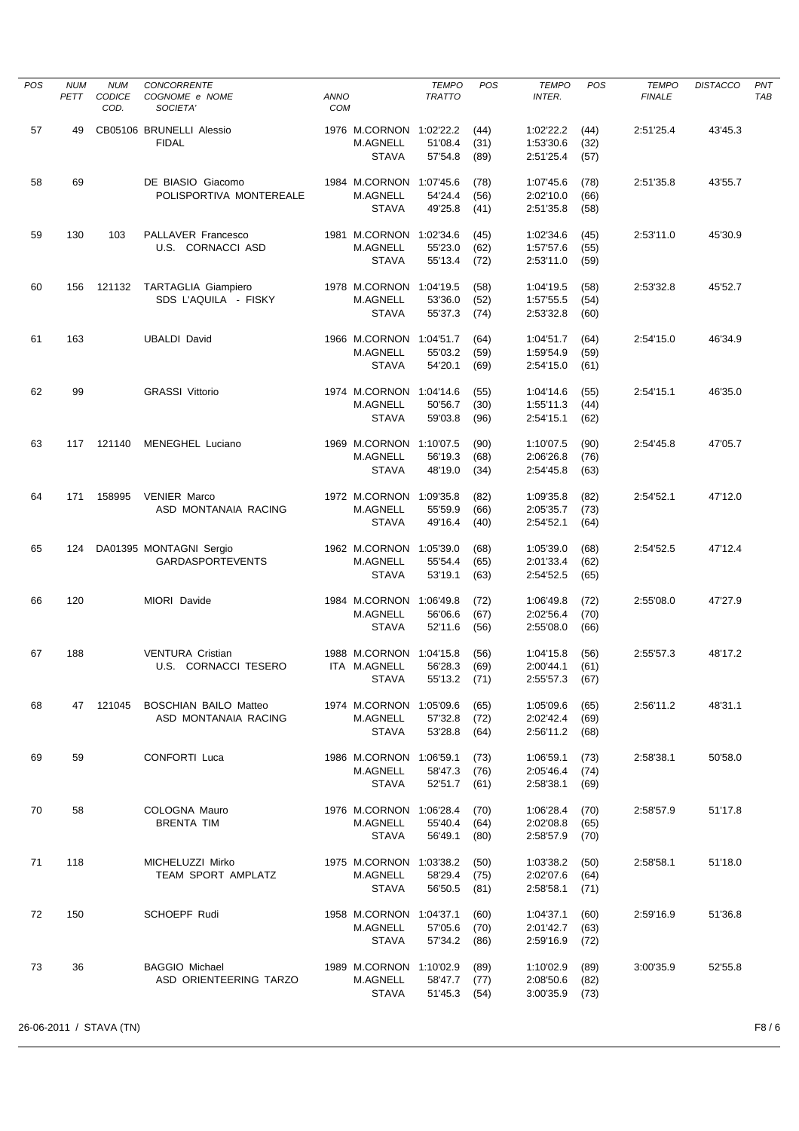| <b>POS</b> | <b>NUM</b><br>PETT | <b>NUM</b><br><b>CODICE</b> | <b>CONCORRENTE</b><br>COGNOME e NOME                 | <b>ANNO</b> |                                                     | <b>TEMPO</b><br><b>TRATTO</b>   | POS                  | <b>TEMPO</b><br><b>INTER.</b>       | POS                  | <b>TEMPO</b><br><b>FINALE</b> | <b>DISTACCO</b> | PNT<br>TAB |
|------------|--------------------|-----------------------------|------------------------------------------------------|-------------|-----------------------------------------------------|---------------------------------|----------------------|-------------------------------------|----------------------|-------------------------------|-----------------|------------|
| 57         | 49                 | COD.                        | SOCIETA'<br>CB05106 BRUNELLI Alessio                 | COM         | 1976 M.CORNON 1:02'22.2                             |                                 | (44)                 | 1:02'22.2                           | (44)                 | 2:51'25.4                     | 43'45.3         |            |
|            |                    |                             | <b>FIDAL</b>                                         |             | M.AGNELL<br><b>STAVA</b>                            | 51'08.4<br>57'54.8              | (31)<br>(89)         | 1:53'30.6<br>2:51'25.4              | (32)<br>(57)         |                               |                 |            |
| 58         | 69                 |                             | DE BIASIO Giacomo<br>POLISPORTIVA MONTEREALE         |             | 1984 M.CORNON 1:07'45.6<br>M.AGNELL                 | 54'24.4                         | (78)<br>(56)         | 1:07'45.6<br>2:02'10.0              | (78)<br>(66)         | 2:51'35.8                     | 43'55.7         |            |
|            |                    |                             |                                                      |             | <b>STAVA</b>                                        | 49'25.8                         | (41)                 | 2:51'35.8                           | (58)                 |                               |                 |            |
| 59         | 130                | 103                         | PALLAVER Francesco<br>U.S. CORNACCI ASD              |             | 1981 M.CORNON 1:02'34.6<br>M.AGNELL<br><b>STAVA</b> | 55'23.0<br>55'13.4              | (45)<br>(62)<br>(72) | 1:02'34.6<br>1:57'57.6<br>2:53'11.0 | (45)<br>(55)<br>(59) | 2:53'11.0                     | 45'30.9         |            |
| 60         | 156                | 121132                      | <b>TARTAGLIA Giampiero</b><br>SDS L'AQUILA - FISKY   |             | 1978 M.CORNON 1:04'19.5<br>M.AGNELL<br><b>STAVA</b> | 53'36.0<br>55'37.3              | (58)<br>(52)<br>(74) | 1:04'19.5<br>1:57'55.5<br>2:53'32.8 | (58)<br>(54)<br>(60) | 2:53'32.8                     | 45'52.7         |            |
| 61         | 163                |                             | <b>UBALDI David</b>                                  |             | 1966 M.CORNON 1:04'51.7                             |                                 | (64)                 | 1:04'51.7                           | (64)                 | 2:54'15.0                     | 46'34.9         |            |
|            |                    |                             |                                                      |             | M.AGNELL<br><b>STAVA</b>                            | 55'03.2<br>54'20.1              | (59)<br>(69)         | 1:59'54.9<br>2:54'15.0              | (59)<br>(61)         |                               |                 |            |
| 62         | 99                 |                             | <b>GRASSI Vittorio</b>                               |             | 1974 M.CORNON<br>M.AGNELL                           | 1:04'14.6<br>50'56.7            | (55)<br>(30)         | 1:04'14.6<br>1:55'11.3              | (55)<br>(44)         | 2:54'15.1                     | 46'35.0         |            |
|            |                    |                             |                                                      |             | <b>STAVA</b>                                        | 59'03.8                         | (96)                 | 2:54'15.1                           | (62)                 |                               |                 |            |
| 63         | 117                | 121140                      | <b>MENEGHEL Luciano</b>                              |             | 1969 M.CORNON 1:10'07.5<br>M.AGNELL                 | 56'19.3                         | (90)<br>(68)         | 1:10'07.5<br>2:06'26.8              | (90)<br>(76)         | 2:54'45.8                     | 47'05.7         |            |
|            |                    |                             |                                                      |             | <b>STAVA</b>                                        | 48'19.0                         | (34)                 | 2:54'45.8                           | (63)                 |                               |                 |            |
| 64         | 171                | 158995                      | <b>VENIER Marco</b><br>ASD MONTANAIA RACING          |             | 1972 M.CORNON 1:09'35.8<br>M.AGNELL<br><b>STAVA</b> | 55'59.9<br>49'16.4              | (82)<br>(66)<br>(40) | 1:09'35.8<br>2:05'35.7<br>2:54'52.1 | (82)<br>(73)<br>(64) | 2:54'52.1                     | 47'12.0         |            |
| 65         | 124                |                             | DA01395 MONTAGNI Sergio<br><b>GARDASPORTEVENTS</b>   |             | 1962 M.CORNON 1:05'39.0<br>M.AGNELL                 | 55'54.4                         | (68)<br>(65)         | 1:05'39.0<br>2:01'33.4              | (68)<br>(62)         | 2:54'52.5                     | 47'12.4         |            |
|            |                    |                             |                                                      |             | <b>STAVA</b>                                        | 53'19.1                         | (63)                 | 2:54'52.5                           | (65)                 |                               |                 |            |
| 66         | 120                |                             | MIORI Davide                                         |             | 1984 M.CORNON<br>M.AGNELL<br><b>STAVA</b>           | 1:06'49.8<br>56'06.6<br>52'11.6 | (72)<br>(67)<br>(56) | 1:06'49.8<br>2:02'56.4<br>2:55'08.0 | (72)<br>(70)<br>(66) | 2:55'08.0                     | 47'27.9         |            |
| 67         | 188                |                             | <b>VENTURA Cristian</b>                              |             | 1988 M.CORNON                                       | 1:04'15.8                       | (56)                 | 1:04'15.8                           | (56)                 | 2:55'57.3                     | 48'17.2         |            |
|            |                    |                             | U.S. CORNACCI TESERO                                 |             | ITA M.AGNELL<br>STAVA                               | 56'28.3<br>55'13.2 (71)         | (69)                 | 2:00'44.1<br>2:55'57.3              | (61)<br>(67)         |                               |                 |            |
| 68         |                    | 47 121045                   | <b>BOSCHIAN BAILO Matteo</b><br>ASD MONTANAIA RACING |             | 1974 M.CORNON<br>M.AGNELL                           | 1:05'09.6<br>57'32.8            | (65)<br>(72)         | 1:05'09.6<br>2:02'42.4              | (65)<br>(69)         | 2:56'11.2                     | 48'31.1         |            |
|            |                    |                             |                                                      |             | <b>STAVA</b>                                        | 53'28.8                         | (64)                 | 2:56'11.2                           | (68)                 |                               |                 |            |
| 69         | 59                 |                             | CONFORTI Luca                                        |             | 1986 M.CORNON<br>M.AGNELL                           | 1:06'59.1<br>58'47.3            | (73)<br>(76)         | 1:06'59.1<br>2:05'46.4              | (73)<br>(74)         | 2:58'38.1                     | 50'58.0         |            |
|            |                    |                             |                                                      |             | <b>STAVA</b>                                        | 52'51.7                         | (61)                 | 2:58'38.1                           | (69)                 |                               |                 |            |
| 70         | 58                 |                             | COLOGNA Mauro<br><b>BRENTA TIM</b>                   |             | 1976 M.CORNON<br>M.AGNELL<br><b>STAVA</b>           | 1:06'28.4<br>55'40.4<br>56'49.1 | (70)<br>(64)<br>(80) | 1:06'28.4<br>2:02'08.8<br>2:58'57.9 | (70)<br>(65)<br>(70) | 2:58'57.9                     | 51'17.8         |            |
| 71         | 118                |                             | MICHELUZZI Mirko<br>TEAM SPORT AMPLATZ               |             | 1975 M.CORNON<br>M.AGNELL                           | 1:03'38.2<br>58'29.4            | (50)<br>(75)         | 1:03'38.2<br>2:02'07.6              | (50)<br>(64)         | 2:58'58.1                     | 51'18.0         |            |
|            |                    |                             |                                                      |             | <b>STAVA</b>                                        | 56'50.5                         | (81)                 | 2:58'58.1                           | (71)                 |                               |                 |            |
| 72         | 150                |                             | SCHOEPF Rudi                                         |             | 1958 M.CORNON<br>M.AGNELL<br><b>STAVA</b>           | 1:04'37.1<br>57'05.6<br>57'34.2 | (60)<br>(70)<br>(86) | 1:04'37.1<br>2:01'42.7<br>2:59'16.9 | (60)<br>(63)<br>(72) | 2:59'16.9                     | 51'36.8         |            |
| 73         | 36                 |                             | <b>BAGGIO Michael</b><br>ASD ORIENTEERING TARZO      |             | 1989 M.CORNON<br>M.AGNELL<br><b>STAVA</b>           | 1:10'02.9<br>58'47.7<br>51'45.3 | (89)<br>(77)<br>(54) | 1:10'02.9<br>2:08'50.6<br>3:00'35.9 | (89)<br>(82)<br>(73) | 3:00'35.9                     | 52'55.8         |            |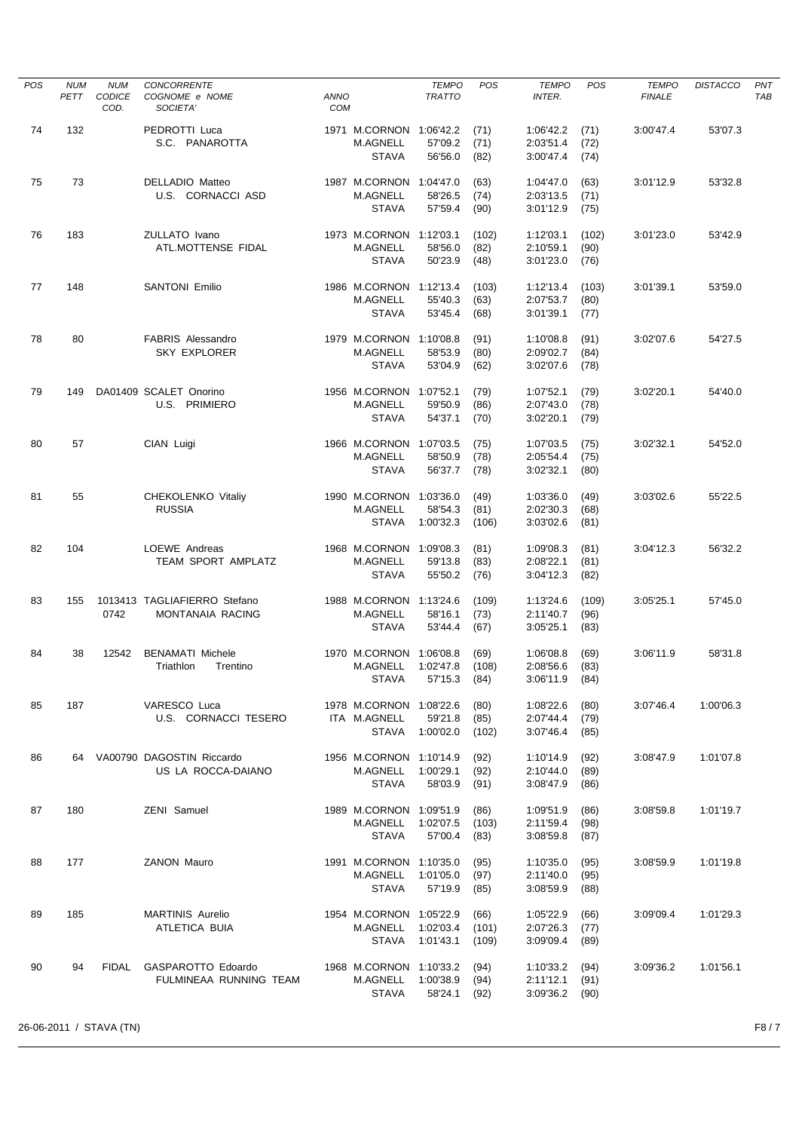| <b>POS</b> | <b>NUM</b><br>PETT | <b>NUM</b><br><b>CODICE</b><br>COD. | <b>CONCORRENTE</b><br>COGNOME e NOME<br>SOCIETA'   | <b>ANNO</b><br><b>COM</b> |                                                            | <b>TEMPO</b><br><b>TRATTO</b>   | <b>POS</b>             | <b>TEMPO</b><br><b>INTER.</b>       | POS                   | <b>TEMPO</b><br><b>FINALE</b> | <b>DISTACCO</b> | PNT<br>TAB |
|------------|--------------------|-------------------------------------|----------------------------------------------------|---------------------------|------------------------------------------------------------|---------------------------------|------------------------|-------------------------------------|-----------------------|-------------------------------|-----------------|------------|
| 74         | 132                |                                     | PEDROTTI Luca<br>S.C. PANAROTTA                    |                           | 1971 M.CORNON 1:06'42.2<br><b>M.AGNELL</b><br><b>STAVA</b> | 57'09.2<br>56'56.0              | (71)<br>(71)<br>(82)   | 1:06'42.2<br>2:03'51.4<br>3:00'47.4 | (71)<br>(72)<br>(74)  | 3:00'47.4                     | 53'07.3         |            |
| 75         | 73                 |                                     | DELLADIO Matteo<br>U.S. CORNACCI ASD               |                           | 1987 M.CORNON 1:04'47.0<br><b>M.AGNELL</b><br><b>STAVA</b> | 58'26.5<br>57'59.4              | (63)<br>(74)<br>(90)   | 1:04'47.0<br>2:03'13.5<br>3:01'12.9 | (63)<br>(71)<br>(75)  | 3:01'12.9                     | 53'32.8         |            |
| 76         | 183                |                                     | ZULLATO Ivano<br>ATL.MOTTENSE FIDAL                |                           | 1973 M.CORNON 1:12'03.1<br>M.AGNELL<br><b>STAVA</b>        | 58'56.0<br>50'23.9              | (102)<br>(82)<br>(48)  | 1:12'03.1<br>2:10'59.1<br>3:01'23.0 | (102)<br>(90)<br>(76) | 3:01'23.0                     | 53'42.9         |            |
| 77         | 148                |                                     | <b>SANTONI Emilio</b>                              |                           | 1986 M.CORNON 1:12'13.4<br><b>M.AGNELL</b><br><b>STAVA</b> | 55'40.3<br>53'45.4              | (103)<br>(63)<br>(68)  | 1:12'13.4<br>2:07'53.7<br>3:01'39.1 | (103)<br>(80)<br>(77) | 3:01'39.1                     | 53'59.0         |            |
| 78         | 80                 |                                     | <b>FABRIS Alessandro</b><br><b>SKY EXPLORER</b>    |                           | 1979 M.CORNON 1:10'08.8<br><b>M.AGNELL</b><br><b>STAVA</b> | 58'53.9<br>53'04.9              | (91)<br>(80)<br>(62)   | 1:10'08.8<br>2:09'02.7<br>3:02'07.6 | (91)<br>(84)<br>(78)  | 3:02'07.6                     | 54'27.5         |            |
| 79         | 149                |                                     | DA01409 SCALET Onorino<br>U.S. PRIMIERO            |                           | 1956 M.CORNON 1:07'52.1<br><b>M.AGNELL</b><br><b>STAVA</b> | 59'50.9<br>54'37.1              | (79)<br>(86)<br>(70)   | 1:07'52.1<br>2:07'43.0<br>3:02'20.1 | (79)<br>(78)<br>(79)  | 3:02'20.1                     | 54'40.0         |            |
| 80         | 57                 |                                     | CIAN Luigi                                         |                           | 1966 M.CORNON<br><b>M.AGNELL</b><br><b>STAVA</b>           | 1:07'03.5<br>58'50.9<br>56'37.7 | (75)<br>(78)<br>(78)   | 1:07'03.5<br>2:05'54.4<br>3:02'32.1 | (75)<br>(75)<br>(80)  | 3:02'32.1                     | 54'52.0         |            |
| 81         | 55                 |                                     | CHEKOLENKO Vitaliy<br><b>RUSSIA</b>                |                           | 1990 M.CORNON 1:03'36.0<br><b>M.AGNELL</b><br><b>STAVA</b> | 58'54.3<br>1:00'32.3            | (49)<br>(81)<br>(106)  | 1:03'36.0<br>2:02'30.3<br>3:03'02.6 | (49)<br>(68)<br>(81)  | 3:03'02.6                     | 55'22.5         |            |
| 82         | 104                |                                     | LOEWE Andreas<br>TEAM SPORT AMPLATZ                |                           | 1968 M.CORNON 1:09'08.3<br><b>M.AGNELL</b><br><b>STAVA</b> | 59'13.8<br>55'50.2              | (81)<br>(83)<br>(76)   | 1:09'08.3<br>2:08'22.1<br>3:04'12.3 | (81)<br>(81)<br>(82)  | 3:04'12.3                     | 56'32.2         |            |
| 83         | 155                | 0742                                | 1013413 TAGLIAFIERRO Stefano<br>MONTANAIA RACING   |                           | 1988 M.CORNON 1:13'24.6<br><b>M.AGNELL</b><br><b>STAVA</b> | 58'16.1<br>53'44.4              | (109)<br>(73)<br>(67)  | 1:13'24.6<br>2:11'40.7<br>3:05'25.1 | (109)<br>(96)<br>(83) | 3:05'25.1                     | 57'45.0         |            |
| 84         | 38                 | 12542                               | <b>BENAMATI Michele</b><br>Triathlon<br>Trentino   |                           | 1970 M.CORNON 1:06'08.8<br>M.AGNELL<br>STAVA               | 1:02'47.8<br>57'15.3            | (69)<br>(108)<br>(84)  | 1:06'08.8<br>2:08'56.6<br>3:06'11.9 | (69)<br>(83)<br>(84)  | 3:06'11.9                     | 58'31.8         |            |
| 85         | 187                |                                     | VARESCO Luca<br>U.S. CORNACCI TESERO               |                           | 1978 M.CORNON 1:08'22.6<br>ITA M.AGNELL<br><b>STAVA</b>    | 59'21.8<br>1:00'02.0            | (80)<br>(85)<br>(102)  | 1:08'22.6<br>2:07'44.4<br>3:07'46.4 | (80)<br>(79)<br>(85)  | 3:07'46.4                     | 1:00'06.3       |            |
| 86         |                    |                                     | 64 VA00790 DAGOSTIN Riccardo<br>US LA ROCCA-DAIANO |                           | 1956 M.CORNON 1:10'14.9<br>M.AGNELL<br><b>STAVA</b>        | 1:00'29.1<br>58'03.9            | (92)<br>(92)<br>(91)   | 1:10'14.9<br>2:10'44.0<br>3:08'47.9 | (92)<br>(89)<br>(86)  | 3:08'47.9                     | 1:01'07.8       |            |
| 87         | 180                |                                     | ZENI Samuel                                        |                           | 1989 M.CORNON 1:09'51.9<br>M.AGNELL<br>STAVA               | 1:02'07.5<br>57'00.4            | (86)<br>(103)<br>(83)  | 1:09'51.9<br>2:11'59.4<br>3:08'59.8 | (86)<br>(98)<br>(87)  | 3:08'59.8                     | 1:01'19.7       |            |
| 88         | 177                |                                     | ZANON Mauro                                        |                           | 1991 M.CORNON 1:10'35.0<br>M.AGNELL<br><b>STAVA</b>        | 1:01'05.0<br>57'19.9            | (95)<br>(97)<br>(85)   | 1:10'35.0<br>2:11'40.0<br>3:08'59.9 | (95)<br>(95)<br>(88)  | 3:08'59.9                     | 1:01'19.8       |            |
| 89         | 185                |                                     | <b>MARTINIS Aurelio</b><br>ATLETICA BUIA           |                           | 1954 M.CORNON 1:05'22.9<br>M.AGNELL<br><b>STAVA</b>        | 1:02'03.4<br>1:01'43.1          | (66)<br>(101)<br>(109) | 1:05'22.9<br>2:07'26.3<br>3:09'09.4 | (66)<br>(77)<br>(89)  | 3:09'09.4                     | 1:01'29.3       |            |
| 90         | 94                 | FIDAL                               | GASPAROTTO Edoardo<br>FULMINEAA RUNNING TEAM       |                           | 1968 M.CORNON 1:10'33.2<br>M.AGNELL<br>STAVA               | 1:00'38.9<br>58'24.1            | (94)<br>(94)<br>(92)   | 1:10'33.2<br>2:11'12.1<br>3:09'36.2 | (94)<br>(91)<br>(90)  | 3:09'36.2                     | 1:01'56.1       |            |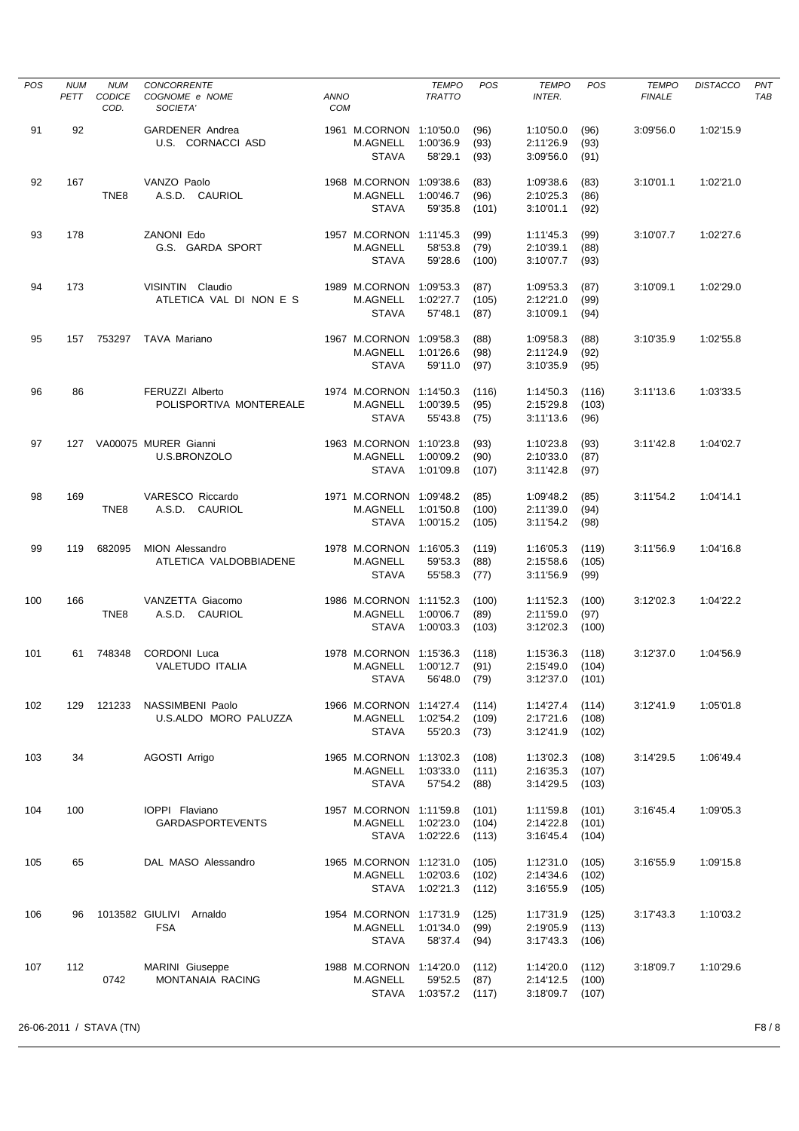| <b>POS</b> | <b>NUM</b><br>PETT | <b>NUM</b><br><b>CODICE</b><br>COD. | <b>CONCORRENTE</b><br>COGNOME e NOME<br>SOCIETA' | <b>ANNO</b><br><b>COM</b> |                                                            | <b>TEMPO</b><br><b>TRATTO</b> | <b>POS</b>              | <b>TEMPO</b><br><b>INTER.</b>       | POS                     | <b>TEMPO</b><br><b>FINALE</b> | <b>DISTACCO</b> | PNT<br>TAB |
|------------|--------------------|-------------------------------------|--------------------------------------------------|---------------------------|------------------------------------------------------------|-------------------------------|-------------------------|-------------------------------------|-------------------------|-------------------------------|-----------------|------------|
| 91         | 92                 |                                     | <b>GARDENER Andrea</b><br>U.S. CORNACCI ASD      |                           | 1961 M.CORNON 1:10'50.0<br>M.AGNELL<br><b>STAVA</b>        | 1:00'36.9<br>58'29.1          | (96)<br>(93)<br>(93)    | 1:10'50.0<br>2:11'26.9<br>3:09'56.0 | (96)<br>(93)<br>(91)    | 3:09'56.0                     | 1:02'15.9       |            |
| 92         | 167                | TNE8                                | VANZO Paolo<br>A.S.D. CAURIOL                    |                           | 1968 M.CORNON 1:09'38.6<br>M.AGNELL<br><b>STAVA</b>        | 1:00'46.7<br>59'35.8          | (83)<br>(96)<br>(101)   | 1:09'38.6<br>2:10'25.3<br>3:10'01.1 | (83)<br>(86)<br>(92)    | 3:10'01.1                     | 1:02'21.0       |            |
| 93         | 178                |                                     | ZANONI Edo<br>G.S. GARDA SPORT                   |                           | 1957 M.CORNON 1:11'45.3<br><b>M.AGNELL</b><br><b>STAVA</b> | 58'53.8<br>59'28.6            | (99)<br>(79)<br>(100)   | 1:11'45.3<br>2:10'39.1<br>3:10'07.7 | (99)<br>(88)<br>(93)    | 3:10'07.7                     | 1:02'27.6       |            |
| 94         | 173                |                                     | VISINTIN Claudio<br>ATLETICA VAL DI NON E S      |                           | 1989 M.CORNON 1:09'53.3<br>M.AGNELL<br><b>STAVA</b>        | 1:02'27.7<br>57'48.1          | (87)<br>(105)<br>(87)   | 1:09'53.3<br>2:12'21.0<br>3:10'09.1 | (87)<br>(99)<br>(94)    | 3:10'09.1                     | 1:02'29.0       |            |
| 95         | 157                | 753297                              | TAVA Mariano                                     |                           | 1967 M.CORNON 1:09'58.3<br>M.AGNELL<br><b>STAVA</b>        | 1:01'26.6<br>59'11.0          | (88)<br>(98)<br>(97)    | 1:09'58.3<br>2:11'24.9<br>3:10'35.9 | (88)<br>(92)<br>(95)    | 3:10'35.9                     | 1:02'55.8       |            |
| 96         | 86                 |                                     | FERUZZI Alberto<br>POLISPORTIVA MONTEREALE       |                           | 1974 M.CORNON 1:14'50.3<br>M.AGNELL<br><b>STAVA</b>        | 1:00'39.5<br>55'43.8          | (116)<br>(95)<br>(75)   | 1:14'50.3<br>2:15'29.8<br>3:11'13.6 | (116)<br>(103)<br>(96)  | 3:11'13.6                     | 1:03'33.5       |            |
| 97         |                    |                                     | 127 VA00075 MURER Gianni<br>U.S.BRONZOLO         |                           | 1963 M.CORNON 1:10'23.8<br>M.AGNELL<br><b>STAVA</b>        | 1:00'09.2<br>1:01'09.8        | (93)<br>(90)<br>(107)   | 1:10'23.8<br>2:10'33.0<br>3:11'42.8 | (93)<br>(87)<br>(97)    | 3:11'42.8                     | 1:04'02.7       |            |
| 98         | 169                | TNE8                                | VARESCO Riccardo<br>A.S.D. CAURIOL               |                           | 1971 M.CORNON 1:09'48.2<br>M.AGNELL<br><b>STAVA</b>        | 1:01'50.8<br>1:00'15.2        | (85)<br>(100)<br>(105)  | 1:09'48.2<br>2:11'39.0<br>3:11'54.2 | (85)<br>(94)<br>(98)    | 3:11'54.2                     | 1:04'14.1       |            |
| 99         | 119                | 682095                              | MION Alessandro<br>ATLETICA VALDOBBIADENE        |                           | 1978 M.CORNON 1:16'05.3<br>M.AGNELL<br><b>STAVA</b>        | 59'53.3<br>55'58.3            | (119)<br>(88)<br>(77)   | 1:16'05.3<br>2:15'58.6<br>3:11'56.9 | (119)<br>(105)<br>(99)  | 3:11'56.9                     | 1:04'16.8       |            |
| 100        | 166                | TNE8                                | VANZETTA Giacomo<br>A.S.D. CAURIOL               |                           | 1986 M.CORNON 1:11'52.3<br>M.AGNELL<br>STAVA               | 1:00'06.7<br>1:00'03.3        | (100)<br>(89)<br>(103)  | 1:11'52.3<br>2:11'59.0<br>3:12'02.3 | (100)<br>(97)<br>(100)  | 3:12'02.3                     | 1:04'22.2       |            |
| 101        | 61                 | 748348                              | <b>CORDONI</b> Luca<br>VALETUDO ITALIA           |                           | 1978 M.CORNON 1:15'36.3<br>M.AGNELL<br><b>STAVA</b>        | 1:00'12.7<br>56'48.0          | (118)<br>(91)<br>(79)   | 1:15'36.3<br>2:15'49.0<br>3:12'37.0 | (118)<br>(104)<br>(101) | 3:12'37.0                     | 1:04'56.9       |            |
| 102        | 129                | 121233                              | NASSIMBENI Paolo<br>U.S.ALDO MORO PALUZZA        |                           | 1966 M.CORNON 1:14'27.4<br>M.AGNELL<br><b>STAVA</b>        | 1:02'54.2<br>55'20.3          | (114)<br>(109)<br>(73)  | 1:14'27.4<br>2:17'21.6<br>3:12'41.9 | (114)<br>(108)<br>(102) | 3:12'41.9                     | 1:05'01.8       |            |
| 103        | 34                 |                                     | AGOSTI Arrigo                                    |                           | 1965 M.CORNON 1:13'02.3<br>M.AGNELL<br><b>STAVA</b>        | 1:03'33.0<br>57'54.2          | (108)<br>(111)<br>(88)  | 1:13'02.3<br>2:16'35.3<br>3:14'29.5 | (108)<br>(107)<br>(103) | 3:14'29.5                     | 1:06'49.4       |            |
| 104        | 100                |                                     | IOPPI Flaviano<br><b>GARDASPORTEVENTS</b>        |                           | 1957 M.CORNON 1:11'59.8<br>M.AGNELL<br>STAVA               | 1:02'23.0<br>1:02'22.6        | (101)<br>(104)<br>(113) | 1:11'59.8<br>2:14'22.8<br>3:16'45.4 | (101)<br>(101)<br>(104) | 3:16'45.4                     | 1:09'05.3       |            |
| 105        | 65                 |                                     | DAL MASO Alessandro                              |                           | 1965 M.CORNON 1:12'31.0<br>M.AGNELL<br>STAVA               | 1:02'03.6<br>1:02'21.3        | (105)<br>(102)<br>(112) | 1:12'31.0<br>2:14'34.6<br>3:16'55.9 | (105)<br>(102)<br>(105) | 3:16'55.9                     | 1:09'15.8       |            |
| 106        | 96                 |                                     | 1013582 GIULIVI<br>Arnaldo<br><b>FSA</b>         |                           | 1954 M.CORNON 1:17'31.9<br>M.AGNELL<br><b>STAVA</b>        | 1:01'34.0<br>58'37.4          | (125)<br>(99)<br>(94)   | 1:17'31.9<br>2:19'05.9<br>3:17'43.3 | (125)<br>(113)<br>(106) | 3:17'43.3                     | 1:10'03.2       |            |
| 107        | 112                | 0742                                | MARINI Giuseppe<br>MONTANAIA RACING              |                           | 1988 M.CORNON 1:14'20.0<br>M.AGNELL<br>STAVA               | 59'52.5<br>1:03'57.2          | (112)<br>(87)<br>(117)  | 1:14'20.0<br>2:14'12.5<br>3:18'09.7 | (112)<br>(100)<br>(107) | 3:18'09.7                     | 1:10'29.6       |            |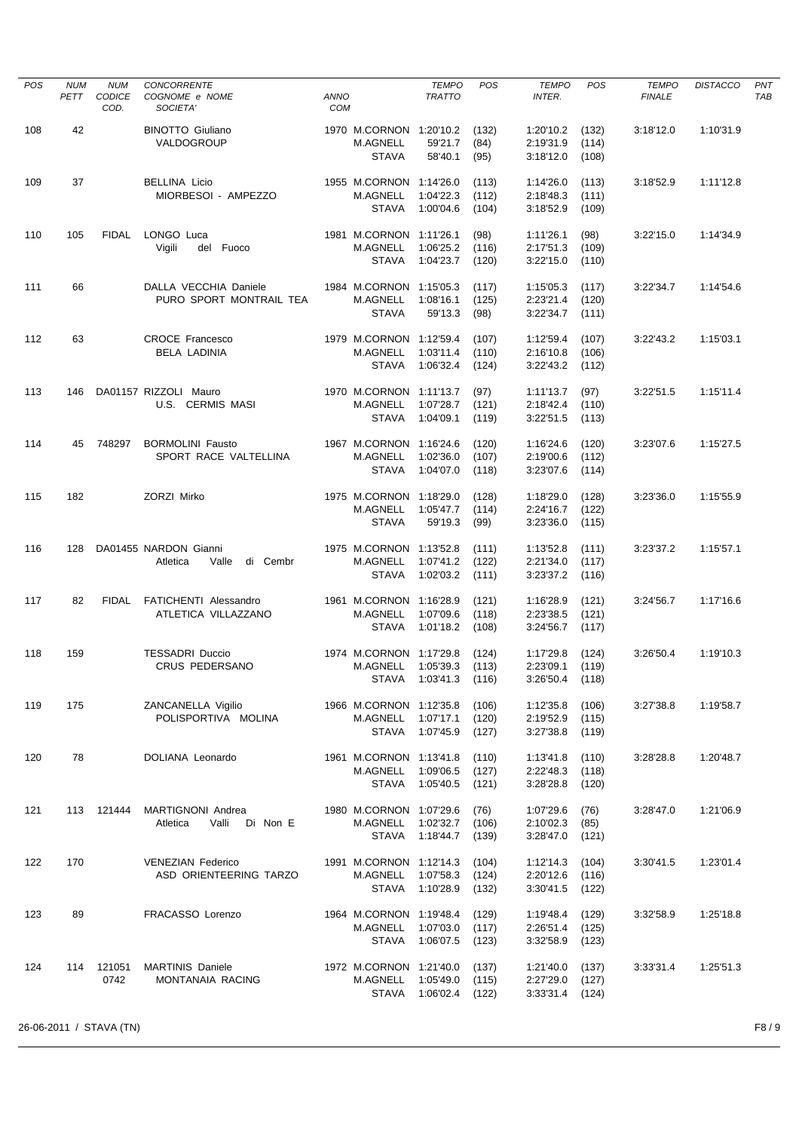| <b>POS</b> | <b>NUM</b><br>PETT | <b>NUM</b><br>CODICE<br>COD. | <b>CONCORRENTE</b><br>COGNOME e NOME<br>SOCIETA'       | <b>ANNO</b><br>COM |                                                            | <b>TEMPO</b><br><b>TRATTO</b> | POS                     | <b>TEMPO</b><br>INTER.              | <b>POS</b>              | <b>TEMPO</b><br><b>FINALE</b> | <b>DISTACCO</b> | PNT<br><b>TAB</b> |
|------------|--------------------|------------------------------|--------------------------------------------------------|--------------------|------------------------------------------------------------|-------------------------------|-------------------------|-------------------------------------|-------------------------|-------------------------------|-----------------|-------------------|
| 108        | 42                 |                              | <b>BINOTTO Giuliano</b><br>VALDOGROUP                  |                    | 1970 M.CORNON 1:20'10.2<br><b>M.AGNELL</b><br><b>STAVA</b> | 59'21.7<br>58'40.1            | (132)<br>(84)<br>(95)   | 1:20'10.2<br>2:19'31.9<br>3:18'12.0 | (132)<br>(114)<br>(108) | 3:18'12.0                     | 1:10'31.9       |                   |
| 109        | 37                 |                              | <b>BELLINA Licio</b><br>MIORBESOI - AMPEZZO            |                    | 1955 M.CORNON 1:14'26.0<br>M.AGNELL<br><b>STAVA</b>        | 1:04'22.3<br>1:00'04.6        | (113)<br>(112)<br>(104) | 1:14'26.0<br>2:18'48.3<br>3:18'52.9 | (113)<br>(111)<br>(109) | 3:18'52.9                     | 1:11'12.8       |                   |
| 110        | 105                | <b>FIDAL</b>                 | LONGO Luca<br>Vigili<br>del Fuoco                      |                    | 1981 M.CORNON 1:11'26.1<br><b>M.AGNELL</b><br>STAVA        | 1:06'25.2<br>1:04'23.7        | (98)<br>(116)<br>(120)  | 1:11'26.1<br>2:17'51.3<br>3:22'15.0 | (98)<br>(109)<br>(110)  | 3:22'15.0                     | 1:14'34.9       |                   |
| 111        | 66                 |                              | DALLA VECCHIA Daniele<br>PURO SPORT MONTRAIL TEA       |                    | 1984 M.CORNON 1:15'05.3<br>M.AGNELL<br><b>STAVA</b>        | 1:08'16.1<br>59'13.3          | (117)<br>(125)<br>(98)  | 1:15'05.3<br>2:23'21.4<br>3:22'34.7 | (117)<br>(120)<br>(111) | 3:22'34.7                     | 1:14'54.6       |                   |
| 112        | 63                 |                              | <b>CROCE Francesco</b><br><b>BELA LADINIA</b>          |                    | 1979 M.CORNON 1:12'59.4<br>M.AGNELL<br><b>STAVA</b>        | 1:03'11.4<br>1:06'32.4        | (107)<br>(110)<br>(124) | 1:12'59.4<br>2:16'10.8<br>3:22'43.2 | (107)<br>(106)<br>(112) | 3:22'43.2                     | 1:15'03.1       |                   |
| 113        | 146                |                              | DA01157 RIZZOLI Mauro<br>U.S. CERMIS MASI              |                    | 1970 M.CORNON 1:11'13.7<br><b>M.AGNELL</b><br><b>STAVA</b> | 1:07'28.7<br>1:04'09.1        | (97)<br>(121)<br>(119)  | 1:11'13.7<br>2:18'42.4<br>3:22'51.5 | (97)<br>(110)<br>(113)  | 3:22'51.5                     | 1:15'11.4       |                   |
| 114        | 45                 | 748297                       | <b>BORMOLINI Fausto</b><br>SPORT RACE VALTELLINA       |                    | 1967 M.CORNON 1:16'24.6<br><b>M.AGNELL</b><br><b>STAVA</b> | 1:02'36.0<br>1:04'07.0        | (120)<br>(107)<br>(118) | 1:16'24.6<br>2:19'00.6<br>3:23'07.6 | (120)<br>(112)<br>(114) | 3:23'07.6                     | 1:15'27.5       |                   |
| 115        | 182                |                              | ZORZI Mirko                                            |                    | 1975 M.CORNON 1:18'29.0<br>M.AGNELL<br><b>STAVA</b>        | 1:05'47.7<br>59'19.3          | (128)<br>(114)<br>(99)  | 1:18'29.0<br>2:24'16.7<br>3:23'36.0 | (128)<br>(122)<br>(115) | 3:23'36.0                     | 1:15'55.9       |                   |
| 116        | 128                |                              | DA01455 NARDON Gianni<br>Atletica<br>Valle<br>di Cembr |                    | 1975 M.CORNON 1:13'52.8<br><b>M.AGNELL</b><br><b>STAVA</b> | 1:07'41.2<br>1:02'03.2        | (111)<br>(122)<br>(111) | 1:13'52.8<br>2:21'34.0<br>3:23'37.2 | (111)<br>(117)<br>(116) | 3:23'37.2                     | 1:15'57.1       |                   |
| 117        | 82                 | <b>FIDAL</b>                 | FATICHENTI Alessandro<br>ATLETICA VILLAZZANO           |                    | 1961 M.CORNON 1:16'28.9<br>M.AGNELL<br><b>STAVA</b>        | 1:07'09.6<br>1:01'18.2        | (121)<br>(118)<br>(108) | 1:16'28.9<br>2:23'38.5<br>3:24'56.7 | (121)<br>(121)<br>(117) | 3:24'56.7                     | 1:17'16.6       |                   |
| 118        | 159                |                              | <b>TESSADRI Duccio</b><br><b>CRUS PEDERSANO</b>        |                    | 1974 M.CORNON 1:17'29.8<br>M.AGNELL<br>STAVA               | 1:05'39.3<br>1:03'41.3        | (124)<br>(113)<br>(116) | 1:17'29.8<br>2:23'09.1<br>3:26'50.4 | (124)<br>(119)<br>(118) | 3:26'50.4                     | 1:19'10.3       |                   |
| 119        | 175                |                              | ZANCANELLA Vigilio<br>POLISPORTIVA MOLINA              |                    | 1966 M.CORNON 1:12'35.8<br>M.AGNELL<br><b>STAVA</b>        | 1:07'17.1<br>1:07'45.9        | (106)<br>(120)<br>(127) | 1:12'35.8<br>2:19'52.9<br>3:27'38.8 | (106)<br>(115)<br>(119) | 3:27'38.8                     | 1:19'58.7       |                   |
| 120        | 78                 |                              | DOLIANA Leonardo                                       |                    | 1961 M.CORNON 1:13'41.8<br>M.AGNELL<br>STAVA               | 1:09'06.5<br>1:05'40.5        | (110)<br>(127)<br>(121) | 1:13'41.8<br>2:22'48.3<br>3:28'28.8 | (110)<br>(118)<br>(120) | 3:28'28.8                     | 1:20'48.7       |                   |
| 121        | 113                | 121444                       | MARTIGNONI Andrea<br>Valli<br>Di Non E<br>Atletica     |                    | 1980 M.CORNON 1:07'29.6<br>M.AGNELL<br>STAVA               | 1:02'32.7<br>1:18'44.7        | (76)<br>(106)<br>(139)  | 1:07'29.6<br>2:10'02.3<br>3:28'47.0 | (76)<br>(85)<br>(121)   | 3:28'47.0                     | 1:21'06.9       |                   |
| 122        | 170                |                              | <b>VENEZIAN Federico</b><br>ASD ORIENTEERING TARZO     |                    | 1991 M.CORNON 1:12'14.3<br>M.AGNELL<br>STAVA               | 1:07'58.3<br>1:10'28.9        | (104)<br>(124)<br>(132) | 1:12'14.3<br>2:20'12.6<br>3:30'41.5 | (104)<br>(116)<br>(122) | 3:30'41.5                     | 1:23'01.4       |                   |
| 123        | 89                 |                              | FRACASSO Lorenzo                                       |                    | 1964 M.CORNON 1:19'48.4<br>M.AGNELL<br><b>STAVA</b>        | 1:07'03.0<br>1:06'07.5        | (129)<br>(117)<br>(123) | 1:19'48.4<br>2:26'51.4<br>3:32'58.9 | (129)<br>(125)<br>(123) | 3:32'58.9                     | 1:25'18.8       |                   |
| 124        | 114                | 121051<br>0742               | <b>MARTINIS Daniele</b><br>MONTANAIA RACING            |                    | 1972 M.CORNON 1:21'40.0<br>M.AGNELL<br>STAVA               | 1:05'49.0<br>1:06'02.4        | (137)<br>(115)<br>(122) | 1:21'40.0<br>2:27'29.0<br>3:33'31.4 | (137)<br>(127)<br>(124) | 3:33'31.4                     | 1:25'51.3       |                   |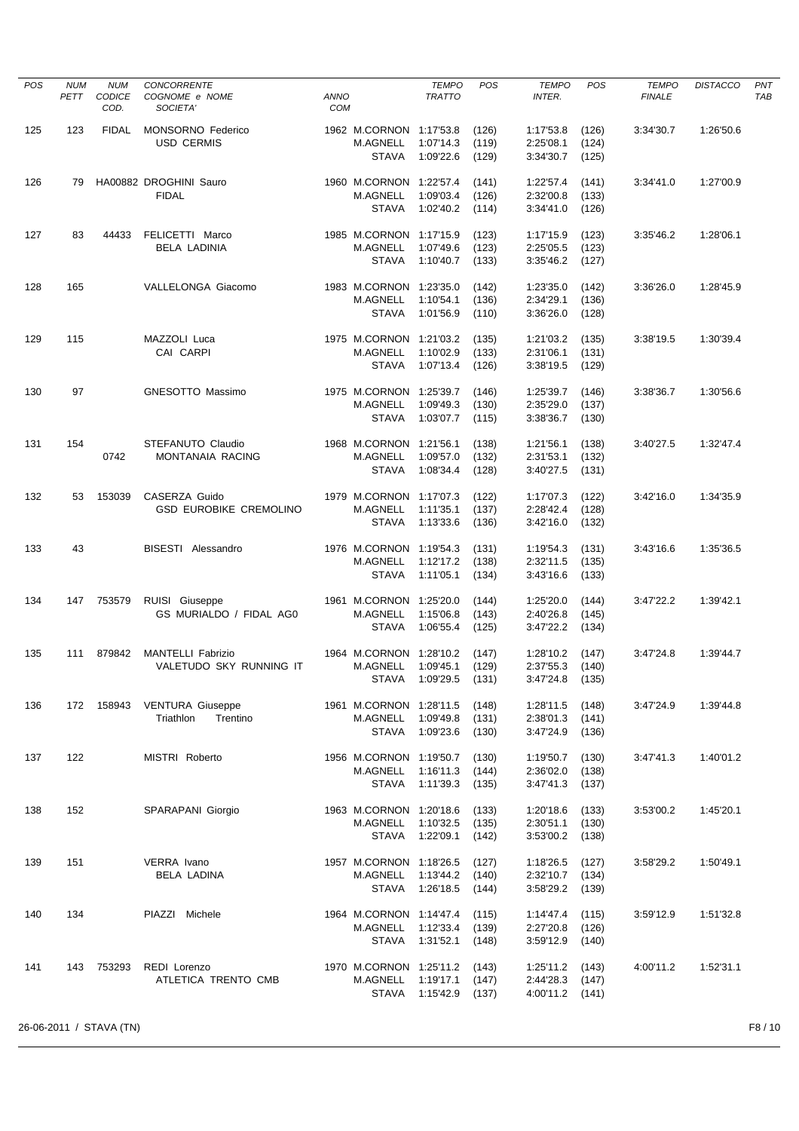| <b>POS</b> | <b>NUM</b><br>PETT | <b>NUM</b><br><b>CODICE</b><br>COD. | <b>CONCORRENTE</b><br>COGNOME e NOME<br>SOCIETA'    | <b>ANNO</b><br>COM |                                                            | <b>TEMPO</b><br><b>TRATTO</b> | POS                     | <b>TEMPO</b><br>INTER.              | <b>POS</b>              | <b>TEMPO</b><br><b>FINALE</b> | <b>DISTACCO</b> | PNT<br><b>TAB</b> |
|------------|--------------------|-------------------------------------|-----------------------------------------------------|--------------------|------------------------------------------------------------|-------------------------------|-------------------------|-------------------------------------|-------------------------|-------------------------------|-----------------|-------------------|
| 125        | 123                | <b>FIDAL</b>                        | <b>MONSORNO Federico</b><br><b>USD CERMIS</b>       |                    | 1962 M.CORNON 1:17'53.8<br><b>M.AGNELL</b><br><b>STAVA</b> | 1:07'14.3<br>1:09'22.6        | (126)<br>(119)<br>(129) | 1:17'53.8<br>2:25'08.1<br>3:34'30.7 | (126)<br>(124)<br>(125) | 3:34'30.7                     | 1:26'50.6       |                   |
| 126        | 79                 |                                     | HA00882 DROGHINI Sauro<br><b>FIDAL</b>              |                    | 1960 M.CORNON 1:22'57.4<br><b>M.AGNELL</b><br><b>STAVA</b> | 1:09'03.4<br>1:02'40.2        | (141)<br>(126)<br>(114) | 1:22'57.4<br>2:32'00.8<br>3:34'41.0 | (141)<br>(133)<br>(126) | 3:34'41.0                     | 1:27'00.9       |                   |
| 127        | 83                 | 44433                               | FELICETTI Marco<br><b>BELA LADINIA</b>              |                    | 1985 M.CORNON 1:17'15.9<br><b>M.AGNELL</b><br><b>STAVA</b> | 1:07'49.6<br>1:10'40.7        | (123)<br>(123)<br>(133) | 1:17'15.9<br>2:25'05.5<br>3:35'46.2 | (123)<br>(123)<br>(127) | 3:35'46.2                     | 1:28'06.1       |                   |
| 128        | 165                |                                     | VALLELONGA Giacomo                                  |                    | 1983 M.CORNON 1:23'35.0<br>M.AGNELL<br><b>STAVA</b>        | 1:10'54.1<br>1:01'56.9        | (142)<br>(136)<br>(110) | 1:23'35.0<br>2:34'29.1<br>3:36'26.0 | (142)<br>(136)<br>(128) | 3:36'26.0                     | 1:28'45.9       |                   |
| 129        | 115                |                                     | MAZZOLI Luca<br>CAI CARPI                           |                    | 1975 M.CORNON 1:21'03.2<br>M.AGNELL<br><b>STAVA</b>        | 1:10'02.9<br>1:07'13.4        | (135)<br>(133)<br>(126) | 1:21'03.2<br>2:31'06.1<br>3:38'19.5 | (135)<br>(131)<br>(129) | 3:38'19.5                     | 1:30'39.4       |                   |
| 130        | 97                 |                                     | <b>GNESOTTO Massimo</b>                             |                    | 1975 M.CORNON 1:25'39.7<br>M.AGNELL<br><b>STAVA</b>        | 1:09'49.3<br>1:03'07.7        | (146)<br>(130)<br>(115) | 1:25'39.7<br>2:35'29.0<br>3:38'36.7 | (146)<br>(137)<br>(130) | 3:38'36.7                     | 1:30'56.6       |                   |
| 131        | 154                | 0742                                | STEFANUTO Claudio<br>MONTANAIA RACING               |                    | 1968 M.CORNON 1:21'56.1<br><b>M.AGNELL</b><br><b>STAVA</b> | 1:09'57.0<br>1:08'34.4        | (138)<br>(132)<br>(128) | 1:21'56.1<br>2:31'53.1<br>3:40'27.5 | (138)<br>(132)<br>(131) | 3:40'27.5                     | 1:32'47.4       |                   |
| 132        | 53                 | 153039                              | CASERZA Guido<br><b>GSD EUROBIKE CREMOLINO</b>      |                    | 1979 M.CORNON 1:17'07.3<br><b>M.AGNELL</b><br><b>STAVA</b> | 1:11'35.1<br>1:13'33.6        | (122)<br>(137)<br>(136) | 1:17'07.3<br>2:28'42.4<br>3:42'16.0 | (122)<br>(128)<br>(132) | 3:42'16.0                     | 1:34'35.9       |                   |
| 133        | 43                 |                                     | BISESTI Alessandro                                  |                    | 1976 M.CORNON 1:19'54.3<br><b>M.AGNELL</b><br><b>STAVA</b> | 1:12'17.2<br>1:11'05.1        | (131)<br>(138)<br>(134) | 1:19'54.3<br>2:32'11.5<br>3:43'16.6 | (131)<br>(135)<br>(133) | 3:43'16.6                     | 1:35'36.5       |                   |
| 134        | 147                | 753579                              | RUISI Giuseppe<br>GS MURIALDO / FIDAL AG0           |                    | 1961 M.CORNON 1:25'20.0<br><b>M.AGNELL</b><br><b>STAVA</b> | 1:15'06.8<br>1:06'55.4        | (144)<br>(143)<br>(125) | 1:25'20.0<br>2:40'26.8<br>3:47'22.2 | (144)<br>(145)<br>(134) | 3:47'22.2                     | 1:39'42.1       |                   |
| 135        | 111                | 879842                              | <b>MANTELLI Fabrizio</b><br>VALETUDO SKY RUNNING IT |                    | 1964 M.CORNON 1:28'10.2<br>M.AGNELL<br>STAVA               | 1:09'45.1<br>1:09'29.5        | (147)<br>(129)<br>(131) | 1:28'10.2<br>2:37'55.3<br>3:47'24.8 | (147)<br>(140)<br>(135) | 3:47'24.8                     | 1:39'44.7       |                   |
| 136        | 172                | 158943                              | <b>VENTURA Giuseppe</b><br>Triathlon<br>Trentino    |                    | 1961 M.CORNON 1:28'11.5<br><b>M.AGNELL</b><br><b>STAVA</b> | 1:09'49.8<br>1:09'23.6        | (148)<br>(131)<br>(130) | 1:28'11.5<br>2:38'01.3<br>3:47'24.9 | (148)<br>(141)<br>(136) | 3:47'24.9                     | 1:39'44.8       |                   |
| 137        | 122                |                                     | MISTRI Roberto                                      |                    | 1956 M.CORNON 1:19'50.7<br>M.AGNELL<br>STAVA               | 1:16'11.3<br>1:11'39.3        | (130)<br>(144)<br>(135) | 1:19'50.7<br>2:36'02.0<br>3:47'41.3 | (130)<br>(138)<br>(137) | 3:47'41.3                     | 1:40'01.2       |                   |
| 138        | 152                |                                     | SPARAPANI Giorgio                                   |                    | 1963 M.CORNON 1:20'18.6<br>M.AGNELL<br><b>STAVA</b>        | 1:10'32.5<br>1:22'09.1        | (133)<br>(135)<br>(142) | 1:20'18.6<br>2:30'51.1<br>3:53'00.2 | (133)<br>(130)<br>(138) | 3:53'00.2                     | 1:45'20.1       |                   |
| 139        | 151                |                                     | VERRA Ivano<br>BELA LADINA                          |                    | 1957 M.CORNON 1:18'26.5<br>M.AGNELL<br>STAVA               | 1:13'44.2<br>1:26'18.5        | (127)<br>(140)<br>(144) | 1:18'26.5<br>2:32'10.7<br>3:58'29.2 | (127)<br>(134)<br>(139) | 3:58'29.2                     | 1:50'49.1       |                   |
| 140        | 134                |                                     | PIAZZI Michele                                      |                    | 1964 M.CORNON 1:14'47.4<br>M.AGNELL<br><b>STAVA</b>        | 1:12'33.4<br>1:31'52.1        | (115)<br>(139)<br>(148) | 1:14'47.4<br>2:27'20.8<br>3:59'12.9 | (115)<br>(126)<br>(140) | 3:59'12.9                     | 1:51'32.8       |                   |
| 141        | 143                | 753293                              | REDI Lorenzo<br>ATLETICA TRENTO CMB                 |                    | 1970 M.CORNON 1:25'11.2<br>M.AGNELL<br>STAVA               | 1:19'17.1<br>1:15'42.9        | (143)<br>(147)<br>(137) | 1:25'11.2<br>2:44'28.3<br>4:00'11.2 | (143)<br>(147)<br>(141) | 4:00'11.2                     | 1:52'31.1       |                   |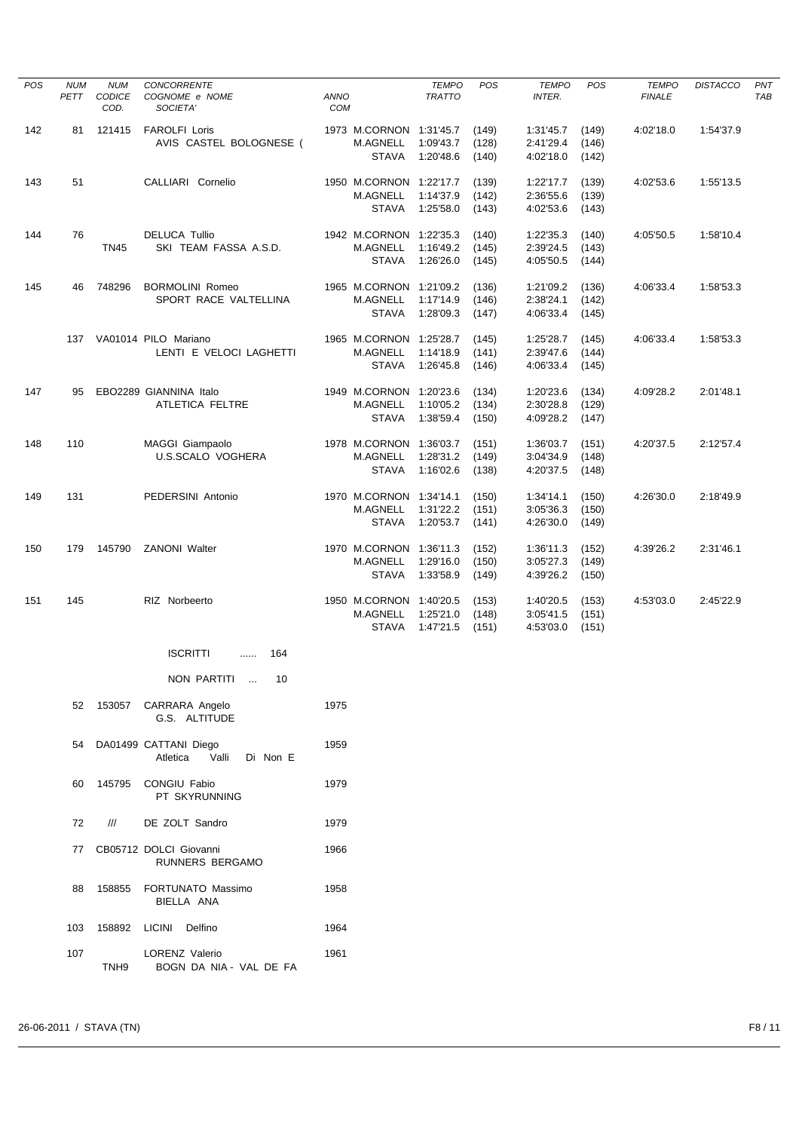| <b>POS</b> | <b>NUM</b><br>PETT | <b>NUM</b><br>CODICE<br>COD. | <b>CONCORRENTE</b><br>COGNOME e NOME<br>SOCIETA'       | ANNO<br>COM                                         | <b>TEMPO</b><br><b>TRATTO</b> | <b>POS</b>              | <b>TEMPO</b><br><b>INTER.</b>       | <b>POS</b>              | <b>TEMPO</b><br><b>FINALE</b> | <b>DISTACCO</b> | PNT<br><b>TAB</b> |
|------------|--------------------|------------------------------|--------------------------------------------------------|-----------------------------------------------------|-------------------------------|-------------------------|-------------------------------------|-------------------------|-------------------------------|-----------------|-------------------|
| 142        | 81                 | 121415                       | <b>FAROLFI Loris</b><br>AVIS CASTEL BOLOGNESE (        | 1973 M.CORNON 1:31'45.7<br>M.AGNELL<br><b>STAVA</b> | 1:09'43.7<br>1:20'48.6        | (149)<br>(128)<br>(140) | 1:31'45.7<br>2:41'29.4<br>4:02'18.0 | (149)<br>(146)<br>(142) | 4:02'18.0                     | 1:54'37.9       |                   |
| 143        | 51                 |                              | CALLIARI Cornelio                                      | 1950 M.CORNON 1:22'17.7<br>M.AGNELL<br><b>STAVA</b> | 1:14'37.9<br>1:25'58.0        | (139)<br>(142)<br>(143) | 1:22'17.7<br>2:36'55.6<br>4:02'53.6 | (139)<br>(139)<br>(143) | 4:02'53.6                     | 1:55'13.5       |                   |
| 144        | 76                 | <b>TN45</b>                  | <b>DELUCA Tullio</b><br>SKI TEAM FASSA A.S.D.          | 1942 M.CORNON 1:22'35.3<br>M.AGNELL<br><b>STAVA</b> | 1:16'49.2<br>1:26'26.0        | (140)<br>(145)<br>(145) | 1:22'35.3<br>2:39'24.5<br>4:05'50.5 | (140)<br>(143)<br>(144) | 4:05'50.5                     | 1:58'10.4       |                   |
| 145        | 46                 | 748296                       | <b>BORMOLINI Romeo</b><br>SPORT RACE VALTELLINA        | 1965 M.CORNON 1:21'09.2<br>M.AGNELL<br><b>STAVA</b> | 1:17'14.9<br>1:28'09.3        | (136)<br>(146)<br>(147) | 1:21'09.2<br>2:38'24.1<br>4:06'33.4 | (136)<br>(142)<br>(145) | 4:06'33.4                     | 1:58'53.3       |                   |
|            |                    |                              | 137 VA01014 PILO Mariano<br>LENTI E VELOCI LAGHETTI    | 1965 M.CORNON 1:25'28.7<br>M.AGNELL<br><b>STAVA</b> | 1:14'18.9<br>1:26'45.8        | (145)<br>(141)<br>(146) | 1:25'28.7<br>2:39'47.6<br>4:06'33.4 | (145)<br>(144)<br>(145) | 4:06'33.4                     | 1:58'53.3       |                   |
| 147        | 95                 |                              | EBO2289 GIANNINA Italo<br>ATLETICA FELTRE              | 1949 M.CORNON 1:20'23.6<br>M.AGNELL<br><b>STAVA</b> | 1:10'05.2<br>1:38'59.4        | (134)<br>(134)<br>(150) | 1:20'23.6<br>2:30'28.8<br>4:09'28.2 | (134)<br>(129)<br>(147) | 4:09'28.2                     | 2:01'48.1       |                   |
| 148        | 110                |                              | MAGGI Giampaolo<br><b>U.S.SCALO VOGHERA</b>            | 1978 M.CORNON 1:36'03.7<br>M.AGNELL<br><b>STAVA</b> | 1:28'31.2<br>1:16'02.6        | (151)<br>(149)<br>(138) | 1:36'03.7<br>3:04'34.9<br>4:20'37.5 | (151)<br>(148)<br>(148) | 4:20'37.5                     | 2:12'57.4       |                   |
| 149        | 131                |                              | PEDERSINI Antonio                                      | 1970 M.CORNON 1:34'14.1<br>M.AGNELL<br><b>STAVA</b> | 1:31'22.2<br>1:20'53.7        | (150)<br>(151)<br>(141) | 1:34'14.1<br>3:05'36.3<br>4:26'30.0 | (150)<br>(150)<br>(149) | 4:26'30.0                     | 2:18'49.9       |                   |
| 150        | 179                | 145790                       | <b>ZANONI Walter</b>                                   | 1970 M.CORNON 1:36'11.3<br>M.AGNELL<br><b>STAVA</b> | 1:29'16.0<br>1:33'58.9        | (152)<br>(150)<br>(149) | 1:36'11.3<br>3:05'27.3<br>4:39'26.2 | (152)<br>(149)<br>(150) | 4:39'26.2                     | 2:31'46.1       |                   |
| 151        | 145                |                              | RIZ Norbeerto                                          | 1950 M.CORNON 1:40'20.5<br>M.AGNELL<br><b>STAVA</b> | 1:25'21.0<br>1:47'21.5        | (153)<br>(148)<br>(151) | 1:40'20.5<br>3:05'41.5<br>4:53'03.0 | (153)<br>(151)<br>(151) | 4:53'03.0                     | 2:45'22.9       |                   |
|            |                    |                              | <b>ISCRITTI</b><br>$$ 164                              |                                                     |                               |                         |                                     |                         |                               |                 |                   |
|            |                    |                              | NON PARTITI  10                                        |                                                     |                               |                         |                                     |                         |                               |                 |                   |
|            | 52                 |                              | 153057 CARRARA Angelo<br>G.S. ALTITUDE                 | 1975                                                |                               |                         |                                     |                         |                               |                 |                   |
|            | 54                 |                              | DA01499 CATTANI Diego<br>Valli<br>Di Non E<br>Atletica | 1959                                                |                               |                         |                                     |                         |                               |                 |                   |
|            | 60                 |                              | 145795 CONGIU Fabio<br>PT SKYRUNNING                   | 1979                                                |                               |                         |                                     |                         |                               |                 |                   |
|            | 72                 | $^{\prime\prime\prime}$      | DE ZOLT Sandro                                         | 1979                                                |                               |                         |                                     |                         |                               |                 |                   |
|            | 77                 |                              | CB05712 DOLCI Giovanni<br>RUNNERS BERGAMO              | 1966                                                |                               |                         |                                     |                         |                               |                 |                   |
|            | 88                 |                              | 158855 FORTUNATO Massimo<br>BIELLA ANA                 | 1958                                                |                               |                         |                                     |                         |                               |                 |                   |
|            | 103                |                              | 158892 LICINI Delfino                                  | 1964                                                |                               |                         |                                     |                         |                               |                 |                   |
|            | 107                | TNH <sub>9</sub>             | LORENZ Valerio<br>BOGN DA NIA - VAL DE FA              | 1961                                                |                               |                         |                                     |                         |                               |                 |                   |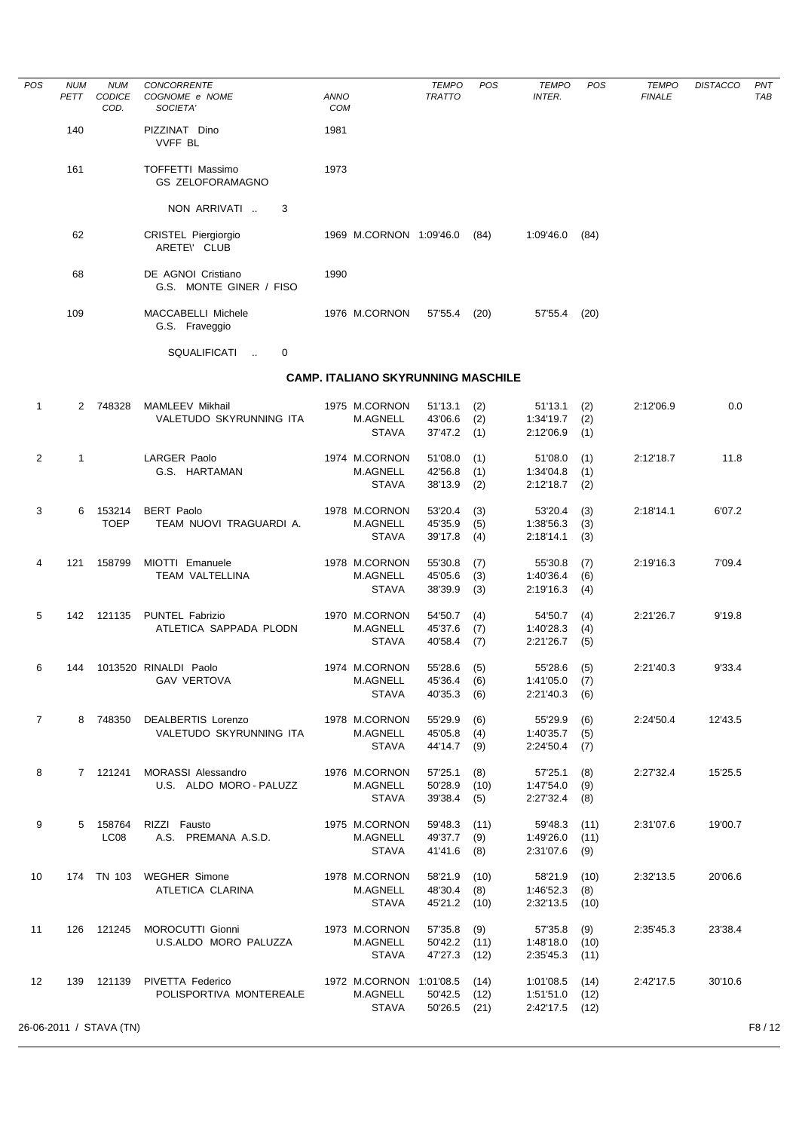| POS            | <b>NUM</b><br>PETT | <b>NUM</b><br>CODICE<br>COD. | CONCORRENTE<br>COGNOME e NOME<br>SOCIETA'     | ANNO<br><b>COM</b> |                                           | <b>TEMPO</b><br><b>TRATTO</b> | POS        | <b>TEMPO</b><br>INTER.               | POS         | <b>TEMPO</b><br><b>FINALE</b> | <b>DISTACCO</b> | PNT<br>TAB |
|----------------|--------------------|------------------------------|-----------------------------------------------|--------------------|-------------------------------------------|-------------------------------|------------|--------------------------------------|-------------|-------------------------------|-----------------|------------|
|                | 140                |                              | PIZZINAT Dino<br><b>VVFF BL</b>               | 1981               |                                           |                               |            |                                      |             |                               |                 |            |
|                | 161                |                              | TOFFETTI Massimo<br><b>GS ZELOFORAMAGNO</b>   | 1973               |                                           |                               |            |                                      |             |                               |                 |            |
|                |                    |                              | NON ARRIVATI<br>3                             |                    |                                           |                               |            |                                      |             |                               |                 |            |
|                | 62                 |                              | CRISTEL Piergiorgio<br>ARETE\' CLUB           |                    | 1969 M.CORNON 1:09'46.0                   |                               | (84)       | 1:09'46.0                            | (84)        |                               |                 |            |
|                | 68                 |                              | DE AGNOI Cristiano<br>G.S. MONTE GINER / FISO | 1990               |                                           |                               |            |                                      |             |                               |                 |            |
|                | 109                |                              | MACCABELLI Michele<br>G.S. Fraveggio          |                    | 1976 M.CORNON                             | 57'55.4                       | (20)       | 57'55.4                              | (20)        |                               |                 |            |
|                |                    |                              | SQUALIFICATI<br>0                             |                    |                                           |                               |            |                                      |             |                               |                 |            |
|                |                    |                              |                                               |                    | <b>CAMP. ITALIANO SKYRUNNING MASCHILE</b> |                               |            |                                      |             |                               |                 |            |
| $\mathbf{1}$   |                    | 2 748328                     | <b>MAMLEEV Mikhail</b>                        |                    | 1975 M.CORNON                             | 51'13.1                       | (2)        | 51'13.1                              | (2)         | 2:12'06.9                     | 0.0             |            |
|                |                    |                              | VALETUDO SKYRUNNING ITA                       |                    | M.AGNELL<br><b>STAVA</b>                  | 43'06.6<br>37'47.2            | (2)<br>(1) | 1:34'19.7<br>2:12'06.9               | (2)<br>(1)  |                               |                 |            |
|                |                    |                              |                                               |                    |                                           |                               |            |                                      |             |                               |                 |            |
| 2              | $\mathbf{1}$       |                              | <b>LARGER Paolo</b><br>G.S. HARTAMAN          |                    | 1974 M.CORNON<br>M.AGNELL                 | 51'08.0<br>42'56.8            | (1)<br>(1) | 51'08.0<br>1:34'04.8                 | (1)<br>(1)  | 2:12'18.7                     | 11.8            |            |
|                |                    |                              |                                               |                    | <b>STAVA</b>                              | 38'13.9                       | (2)        | 2:12'18.7                            | (2)         |                               |                 |            |
| 3              | 6                  | 153214                       | <b>BERT Paolo</b>                             |                    | 1978 M.CORNON                             | 53'20.4                       | (3)        | 53'20.4                              | (3)         | 2:18'14.1                     | 6'07.2          |            |
|                |                    | <b>TOEP</b>                  | TEAM NUOVI TRAGUARDI A.                       |                    | M.AGNELL                                  | 45'35.9                       | (5)        | 1:38'56.3                            | (3)         |                               |                 |            |
|                |                    |                              |                                               |                    | <b>STAVA</b>                              | 39'17.8                       | (4)        | 2:18'14.1                            | (3)         |                               |                 |            |
| 4              | 121                | 158799                       | MIOTTI Emanuele<br>TEAM VALTELLINA            |                    | 1978 M.CORNON                             | 55'30.8                       | (7)        | 55'30.8<br>1:40'36.4                 | (7)         | 2:19'16.3                     | 7'09.4          |            |
|                |                    |                              |                                               |                    | M.AGNELL<br><b>STAVA</b>                  | 45'05.6<br>38'39.9            | (3)<br>(3) | 2:19'16.3                            | (6)<br>(4)  |                               |                 |            |
| 5              | 142                | 121135                       | PUNTEL Fabrizio                               |                    | 1970 M.CORNON                             | 54'50.7                       | (4)        | 54'50.7                              | (4)         | 2:21'26.7                     | 9'19.8          |            |
|                |                    |                              | ATLETICA SAPPADA PLODN                        |                    | M.AGNELL                                  | 45'37.6                       | (7)        | 1:40'28.3                            | (4)         |                               |                 |            |
|                |                    |                              |                                               |                    | <b>STAVA</b>                              | 40'58.4                       | (7)        | 2:21'26.7                            | (5)         |                               |                 |            |
| 6              | 144                |                              | 1013520 RINALDI Paolo                         |                    | 1974 M.CORNON                             | 55'28.6                       | (5)        | 55'28.6                              | (5)         | 2:21'40.3                     | 9'33.4          |            |
|                |                    |                              | <b>GAV VERTOVA</b>                            |                    | M.AGNELL<br><b>STAVA</b>                  | 45'36.4<br>40'35.3 (6)        | (6)        | $1:41'05.0$ (7)<br>2:21'40.3         | (6)         |                               |                 |            |
|                |                    |                              |                                               |                    |                                           |                               |            |                                      |             |                               |                 |            |
| $\overline{7}$ |                    | 8 748350                     | DEALBERTIS Lorenzo<br>VALETUDO SKYRUNNING ITA |                    | 1978 M.CORNON<br>M.AGNELL                 | 55'29.9<br>45'05.8            | (6)<br>(4) | 55'29.9<br>1:40'35.7                 | (6)<br>(5)  | 2:24'50.4                     | 12'43.5         |            |
|                |                    |                              |                                               |                    | <b>STAVA</b>                              | 44'14.7 (9)                   |            | $2:24'50.4$ (7)                      |             |                               |                 |            |
| 8              |                    | 7 121241                     | MORASSI Alessandro                            |                    | 1976 M.CORNON                             | 57'25.1                       | (8)        | 57'25.1                              | (8)         | 2:27'32.4                     | 15'25.5         |            |
|                |                    |                              | U.S. ALDO MORO - PALUZZ                       |                    | M.AGNELL                                  | 50'28.9 (10)                  |            | 1:47'54.0                            | (9)         |                               |                 |            |
|                |                    |                              |                                               |                    | <b>STAVA</b>                              | 39'38.4 (5)                   |            | 2:27'32.4                            | (8)         |                               |                 |            |
| 9              |                    | 5 158764                     | RIZZI Fausto                                  |                    | 1975 M.CORNON                             | 59'48.3                       | (11)       | 59'48.3 (11)                         |             | 2:31'07.6                     | 19'00.7         |            |
|                |                    | LC <sub>08</sub>             | A.S. PREMANA A.S.D.                           |                    | M.AGNELL<br>STAVA                         | 49'37.7 (9)<br>41'41.6 (8)    |            | $1:49'26.0$ (11)<br>2:31'07.6        | (9)         |                               |                 |            |
|                |                    |                              |                                               |                    |                                           |                               |            |                                      |             |                               |                 |            |
| 10             |                    |                              | 174 TN 103 WEGHER Simone<br>ATLETICA CLARINA  |                    | 1978 M.CORNON<br>M.AGNELL                 | 58'21.9<br>48'30.4 (8)        | (10)       | 58'21.9<br>1:46'52.3                 | (10)<br>(8) | 2:32'13.5                     | 20'06.6         |            |
|                |                    |                              |                                               |                    | STAVA                                     | 45'21.2 (10)                  |            | $2:32'13.5$ (10)                     |             |                               |                 |            |
| 11             |                    | 126 121245                   | MOROCUTTI Gionni                              |                    | 1973 M.CORNON                             | 57'35.8                       | (9)        | 57'35.8                              | (9)         | 2:35'45.3                     | 23'38.4         |            |
|                |                    |                              | U.S.ALDO MORO PALUZZA                         |                    | M.AGNELL                                  | 50'42.2 (11)                  |            | 1:48'18.0                            | (10)        |                               |                 |            |
|                |                    |                              |                                               |                    | <b>STAVA</b>                              | 47'27.3 (12)                  |            | 2:35'45.3                            | (11)        |                               |                 |            |
| 12             | 139                | 121139                       | PIVETTA Federico                              |                    | 1972 M.CORNON 1:01'08.5 (14)              |                               |            | $1:01'08.5$ (14)                     |             | 2:42'17.5                     | 30'10.6         |            |
|                |                    |                              | POLISPORTIVA MONTEREALE                       |                    | M.AGNELL<br><b>STAVA</b>                  | 50'42.5 (12)<br>50'26.5 (21)  |            | $1:51'51.0$ (12)<br>$2:42'17.5$ (12) |             |                               |                 |            |
|                |                    | 26-06-2011 / STAVA (TN)      |                                               |                    |                                           |                               |            |                                      |             |                               |                 | F8 / 12    |
|                |                    |                              |                                               |                    |                                           |                               |            |                                      |             |                               |                 |            |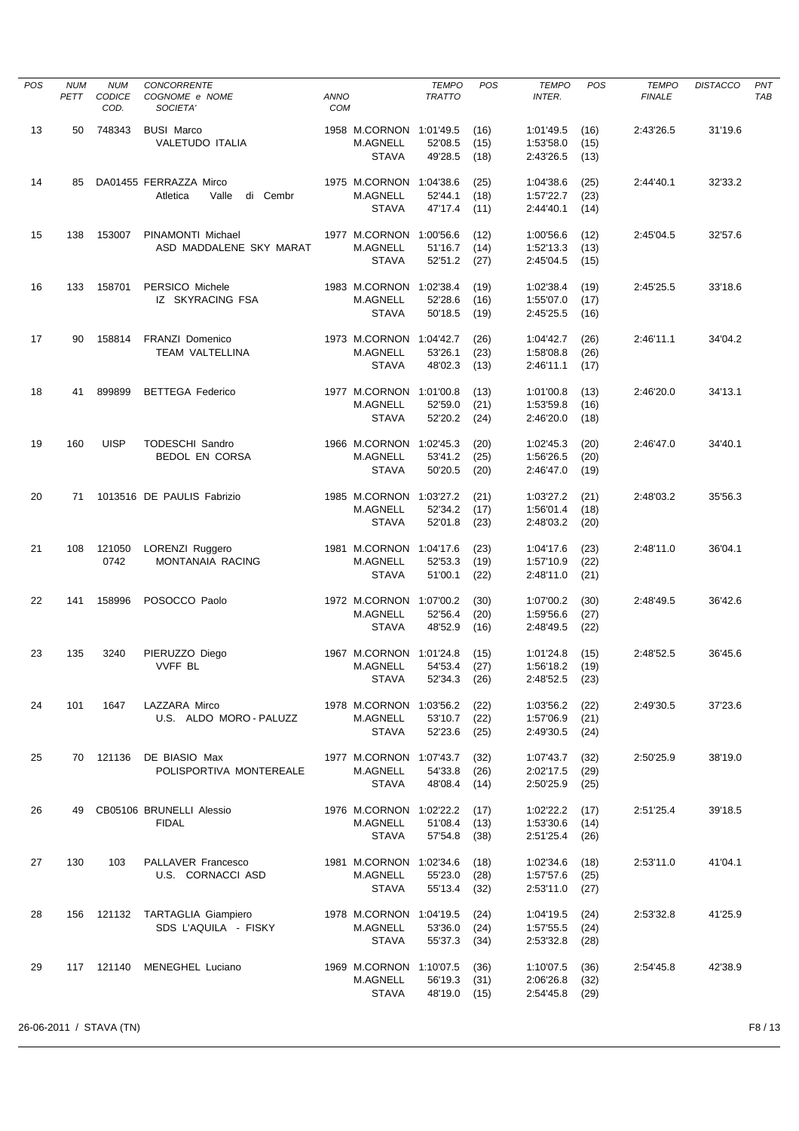| <b>POS</b> | <b>NUM</b><br>PETT | <b>NUM</b><br><b>CODICE</b> | <b>CONCORRENTE</b><br>COGNOME e NOME                    | <b>ANNO</b> |                                                            | <b>TEMPO</b><br><b>TRATTO</b>   | POS                  | <b>TEMPO</b><br><b>INTER.</b>       | POS                  | <b>TEMPO</b><br><b>FINALE</b> | <b>DISTACCO</b> | PNT<br>TAB |
|------------|--------------------|-----------------------------|---------------------------------------------------------|-------------|------------------------------------------------------------|---------------------------------|----------------------|-------------------------------------|----------------------|-------------------------------|-----------------|------------|
| 13         | 50                 | COD.<br>748343              | SOCIETA'<br><b>BUSI Marco</b>                           | <b>COM</b>  | 1958 M.CORNON 1:01'49.5                                    |                                 | (16)                 | 1:01'49.5                           | (16)                 | 2:43'26.5                     | 31'19.6         |            |
|            |                    |                             | <b>VALETUDO ITALIA</b>                                  |             | <b>M.AGNELL</b><br><b>STAVA</b>                            | 52'08.5<br>49'28.5              | (15)<br>(18)         | 1:53'58.0<br>2:43'26.5              | (15)<br>(13)         |                               |                 |            |
| 14         | 85                 |                             | DA01455 FERRAZZA Mirco<br>Atletica<br>Valle<br>di Cembr |             | 1975 M.CORNON 1:04'38.6<br>M.AGNELL<br><b>STAVA</b>        | 52'44.1<br>47'17.4              | (25)<br>(18)<br>(11) | 1:04'38.6<br>1:57'22.7<br>2:44'40.1 | (25)<br>(23)<br>(14) | 2:44'40.1                     | 32'33.2         |            |
| 15         | 138                | 153007                      | PINAMONTI Michael<br>ASD MADDALENE SKY MARAT            |             | 1977 M.CORNON 1:00'56.6<br><b>M.AGNELL</b>                 | 51'16.7                         | (12)<br>(14)         | 1:00'56.6<br>1:52'13.3              | (12)                 | 2:45'04.5                     | 32'57.6         |            |
|            |                    |                             |                                                         |             | <b>STAVA</b>                                               | 52'51.2                         | (27)                 | 2:45'04.5                           | (13)<br>(15)         |                               |                 |            |
| 16         | 133                | 158701                      | PERSICO Michele<br>IZ SKYRACING FSA                     |             | 1983 M.CORNON 1:02'38.4<br><b>M.AGNELL</b><br><b>STAVA</b> | 52'28.6<br>50'18.5              | (19)<br>(16)<br>(19) | 1:02'38.4<br>1:55'07.0<br>2:45'25.5 | (19)<br>(17)<br>(16) | 2:45'25.5                     | 33'18.6         |            |
| 17         | 90                 | 158814                      | <b>FRANZI Domenico</b><br><b>TEAM VALTELLINA</b>        |             | 1973 M.CORNON 1:04'42.7<br>M.AGNELL<br><b>STAVA</b>        | 53'26.1<br>48'02.3              | (26)<br>(23)<br>(13) | 1:04'42.7<br>1:58'08.8<br>2:46'11.1 | (26)<br>(26)<br>(17) | 2:46'11.1                     | 34'04.2         |            |
| 18         | 41                 | 899899                      | <b>BETTEGA Federico</b>                                 |             | 1977 M.CORNON 1:01'00.8<br>M.AGNELL<br><b>STAVA</b>        | 52'59.0<br>52'20.2              | (13)<br>(21)<br>(24) | 1:01'00.8<br>1:53'59.8<br>2:46'20.0 | (13)<br>(16)<br>(18) | 2:46'20.0                     | 34'13.1         |            |
| 19         | 160                | <b>UISP</b>                 | <b>TODESCHI Sandro</b>                                  |             | 1966 M.CORNON 1:02'45.3                                    |                                 | (20)                 | 1:02'45.3                           | (20)                 | 2:46'47.0                     | 34'40.1         |            |
|            |                    |                             | BEDOL EN CORSA                                          |             | M.AGNELL<br><b>STAVA</b>                                   | 53'41.2<br>50'20.5              | (25)<br>(20)         | 1:56'26.5<br>2:46'47.0              | (20)<br>(19)         |                               |                 |            |
| 20         | 71                 |                             | 1013516 DE PAULIS Fabrizio                              |             | 1985 M.CORNON 1:03'27.2<br>M.AGNELL<br><b>STAVA</b>        | 52'34.2<br>52'01.8              | (21)<br>(17)<br>(23) | 1:03'27.2<br>1:56'01.4<br>2:48'03.2 | (21)<br>(18)<br>(20) | 2:48'03.2                     | 35'56.3         |            |
| 21         | 108                | 121050<br>0742              | LORENZI Ruggero<br><b>MONTANAIA RACING</b>              |             | 1981 M.CORNON 1:04'17.6<br>M.AGNELL<br><b>STAVA</b>        | 52'53.3<br>51'00.1              | (23)<br>(19)<br>(22) | 1:04'17.6<br>1:57'10.9<br>2:48'11.0 | (23)<br>(22)<br>(21) | 2:48'11.0                     | 36'04.1         |            |
| 22         | 141                | 158996                      | POSOCCO Paolo                                           |             | 1972 M.CORNON<br><b>M.AGNELL</b><br><b>STAVA</b>           | 1:07'00.2<br>52'56.4<br>48'52.9 | (30)<br>(20)<br>(16) | 1:07'00.2<br>1:59'56.6<br>2:48'49.5 | (30)<br>(27)<br>(22) | 2:48'49.5                     | 36'42.6         |            |
| 23         | 135                | 3240                        | PIERUZZO Diego<br><b>VVFF BL</b>                        |             | 1967 M.CORNON<br>M.AGNELL<br>STAVA                         | 1:01'24.8<br>54'53.4<br>52'34.3 | (15)<br>(27)<br>(26) | 1:01'24.8<br>1:56'18.2<br>2:48'52.5 | (15)<br>(19)<br>(23) | 2:48'52.5                     | 36'45.6         |            |
| 24         | 101                | 1647                        | LAZZARA Mirco<br>U.S. ALDO MORO - PALUZZ                |             | 1978 M.CORNON 1:03'56.2<br>M.AGNELL<br><b>STAVA</b>        | 53'10.7<br>52'23.6              | (22)<br>(22)<br>(25) | 1:03'56.2<br>1:57'06.9<br>2:49'30.5 | (22)<br>(21)<br>(24) | 2:49'30.5                     | 37'23.6         |            |
| 25         | 70                 | 121136                      | DE BIASIO Max<br>POLISPORTIVA MONTEREALE                |             | 1977 M.CORNON 1:07'43.7<br><b>M.AGNELL</b><br><b>STAVA</b> | 54'33.8<br>48'08.4              | (32)<br>(26)<br>(14) | 1:07'43.7<br>2:02'17.5<br>2:50'25.9 | (32)<br>(29)<br>(25) | 2:50'25.9                     | 38'19.0         |            |
| 26         | 49                 |                             | CB05106 BRUNELLI Alessio<br><b>FIDAL</b>                |             | 1976 M.CORNON 1:02'22.2<br>M.AGNELL<br><b>STAVA</b>        | 51'08.4<br>57'54.8              | (17)<br>(13)<br>(38) | 1:02'22.2<br>1:53'30.6<br>2:51'25.4 | (17)<br>(14)<br>(26) | 2:51'25.4                     | 39'18.5         |            |
| 27         | 130                | 103                         | PALLAVER Francesco<br>U.S. CORNACCI ASD                 |             | 1981 M.CORNON 1:02'34.6<br>M.AGNELL<br><b>STAVA</b>        | 55'23.0<br>55'13.4              | (18)<br>(28)<br>(32) | 1:02'34.6<br>1:57'57.6<br>2:53'11.0 | (18)<br>(25)<br>(27) | 2:53'11.0                     | 41'04.1         |            |
| 28         | 156                | 121132                      | <b>TARTAGLIA Giampiero</b><br>SDS L'AQUILA - FISKY      |             | 1978 M.CORNON 1:04'19.5<br>M.AGNELL<br><b>STAVA</b>        | 53'36.0<br>55'37.3              | (24)<br>(24)<br>(34) | 1:04'19.5<br>1:57'55.5<br>2:53'32.8 | (24)<br>(24)<br>(28) | 2:53'32.8                     | 41'25.9         |            |
| 29         |                    |                             | 117 121140 MENEGHEL Luciano                             |             | 1969 M.CORNON 1:10'07.5<br>M.AGNELL<br><b>STAVA</b>        | 56'19.3<br>48'19.0              | (36)<br>(31)<br>(15) | 1:10'07.5<br>2:06'26.8<br>2:54'45.8 | (36)<br>(32)<br>(29) | 2:54'45.8                     | 42'38.9         |            |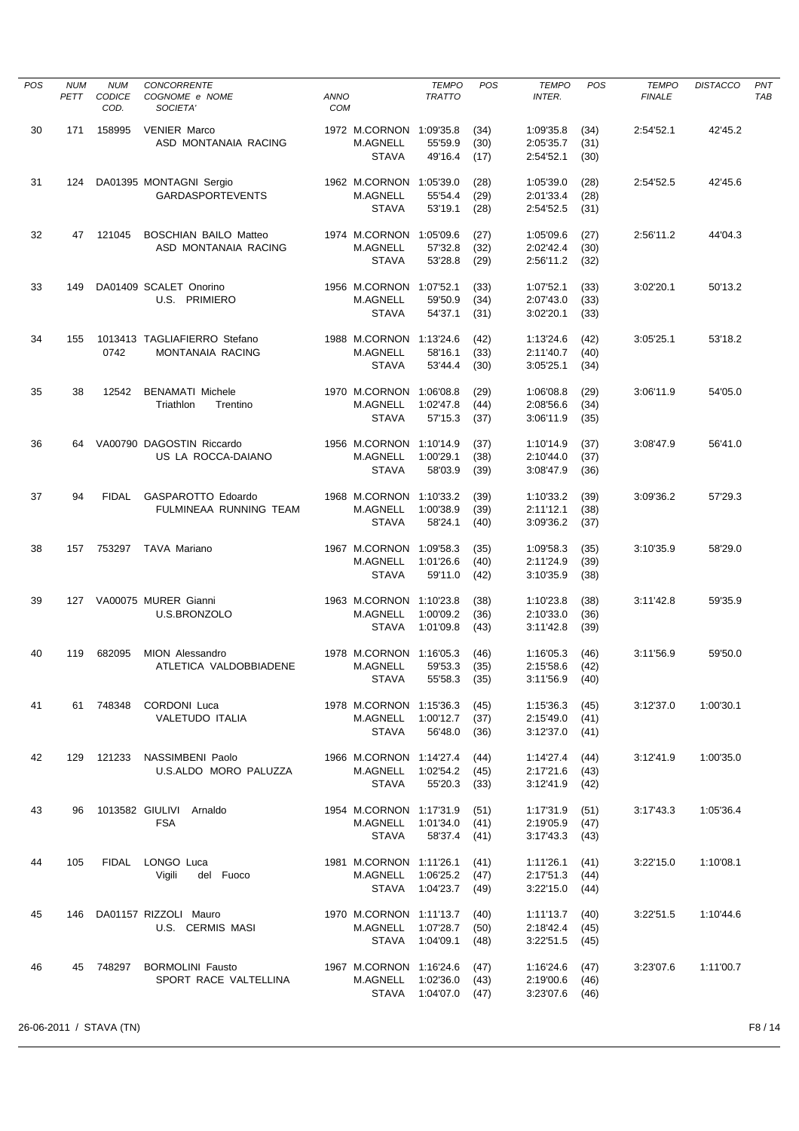| <b>POS</b> | <b>NUM</b><br>PETT | <b>NUM</b><br><b>CODICE</b><br>COD. | <b>CONCORRENTE</b><br>COGNOME e NOME<br>SOCIETA'        | <b>ANNO</b><br><b>COM</b> |                                                               | <b>TEMPO</b><br><b>TRATTO</b>   | <b>POS</b>           | <b>TEMPO</b><br><b>INTER.</b>       | POS                  | <b>TEMPO</b><br><b>FINALE</b> | <b>DISTACCO</b> | PNT<br>TAB |
|------------|--------------------|-------------------------------------|---------------------------------------------------------|---------------------------|---------------------------------------------------------------|---------------------------------|----------------------|-------------------------------------|----------------------|-------------------------------|-----------------|------------|
| 30         | 171                | 158995                              | <b>VENIER Marco</b><br>ASD MONTANAIA RACING             |                           | 1972 M.CORNON 1:09'35.8<br><b>M.AGNELL</b><br><b>STAVA</b>    | 55'59.9<br>49'16.4              | (34)<br>(30)<br>(17) | 1:09'35.8<br>2:05'35.7<br>2:54'52.1 | (34)<br>(31)<br>(30) | 2:54'52.1                     | 42'45.2         |            |
| 31         | 124                |                                     | DA01395 MONTAGNI Sergio<br><b>GARDASPORTEVENTS</b>      |                           | 1962 M.CORNON 1:05'39.0<br><b>M.AGNELL</b><br><b>STAVA</b>    | 55'54.4<br>53'19.1              | (28)<br>(29)<br>(28) | 1:05'39.0<br>2:01'33.4<br>2:54'52.5 | (28)<br>(28)<br>(31) | 2:54'52.5                     | 42'45.6         |            |
| 32         | 47                 | 121045                              | <b>BOSCHIAN BAILO Matteo</b><br>ASD MONTANAIA RACING    |                           | 1974 M.CORNON<br>M.AGNELL<br><b>STAVA</b>                     | 1:05'09.6<br>57'32.8<br>53'28.8 | (27)<br>(32)<br>(29) | 1:05'09.6<br>2:02'42.4<br>2:56'11.2 | (27)<br>(30)<br>(32) | 2:56'11.2                     | 44'04.3         |            |
| 33         | 149                |                                     | DA01409 SCALET Onorino<br>U.S. PRIMIERO                 |                           | 1956 M.CORNON 1:07'52.1<br><b>M.AGNELL</b><br><b>STAVA</b>    | 59'50.9<br>54'37.1              | (33)<br>(34)<br>(31) | 1:07'52.1<br>2:07'43.0<br>3:02'20.1 | (33)<br>(33)<br>(33) | 3:02'20.1                     | 50'13.2         |            |
| 34         | 155                | 0742                                | 1013413 TAGLIAFIERRO Stefano<br><b>MONTANAIA RACING</b> |                           | 1988 M.CORNON 1:13'24.6<br><b>M.AGNELL</b><br><b>STAVA</b>    | 58'16.1<br>53'44.4              | (42)<br>(33)<br>(30) | 1:13'24.6<br>2:11'40.7<br>3:05'25.1 | (42)<br>(40)<br>(34) | 3:05'25.1                     | 53'18.2         |            |
| 35         | 38                 | 12542                               | <b>BENAMATI Michele</b><br>Triathlon<br>Trentino        |                           | 1970 M.CORNON 1:06'08.8<br><b>M.AGNELL</b><br><b>STAVA</b>    | 1:02'47.8<br>57'15.3            | (29)<br>(44)<br>(37) | 1:06'08.8<br>2:08'56.6<br>3:06'11.9 | (29)<br>(34)<br>(35) | 3:06'11.9                     | 54'05.0         |            |
| 36         | 64                 |                                     | VA00790 DAGOSTIN Riccardo<br>US LA ROCCA-DAIANO         |                           | 1956 M.CORNON 1:10'14.9<br><b>M.AGNELL</b><br><b>STAVA</b>    | 1:00'29.1<br>58'03.9            | (37)<br>(38)<br>(39) | 1:10'14.9<br>2:10'44.0<br>3:08'47.9 | (37)<br>(37)<br>(36) | 3:08'47.9                     | 56'41.0         |            |
| 37         | 94                 | <b>FIDAL</b>                        | GASPAROTTO Edoardo<br>FULMINEAA RUNNING TEAM            |                           | 1968 M.CORNON 1:10'33.2<br><b>M.AGNELL</b><br><b>STAVA</b>    | 1:00'38.9<br>58'24.1            | (39)<br>(39)<br>(40) | 1:10'33.2<br>2:11'12.1<br>3:09'36.2 | (39)<br>(38)<br>(37) | 3:09'36.2                     | 57'29.3         |            |
| 38         | 157                | 753297                              | TAVA Mariano                                            |                           | 1967 M.CORNON 1:09'58.3<br><b>M.AGNELL</b><br><b>STAVA</b>    | 1:01'26.6<br>59'11.0            | (35)<br>(40)<br>(42) | 1:09'58.3<br>2:11'24.9<br>3:10'35.9 | (35)<br>(39)<br>(38) | 3:10'35.9                     | 58'29.0         |            |
| 39         | 127                |                                     | VA00075 MURER Gianni<br>U.S.BRONZOLO                    |                           | 1963 M.CORNON 1:10'23.8<br><b>M.AGNELL</b><br><b>STAVA</b>    | 1:00'09.2<br>1:01'09.8          | (38)<br>(36)<br>(43) | 1:10'23.8<br>2:10'33.0<br>3:11'42.8 | (38)<br>(36)<br>(39) | 3:11'42.8                     | 59'35.9         |            |
| 40         | 119                | 682095                              | <b>MION Alessandro</b><br>ATLETICA VALDOBBIADENE        |                           | 1978 M.CORNON 1:16'05.3<br><b>M.AGNELL</b><br>STAVA           | 59'53.3<br>55'58.3 (35)         | (46)<br>(35)         | 1:16'05.3<br>2:15'58.6<br>3:11'56.9 | (46)<br>(42)<br>(40) | 3:11'56.9                     | 59'50.0         |            |
| 41         |                    | 61 748348                           | <b>CORDONI</b> Luca<br><b>VALETUDO ITALIA</b>           |                           | 1978 M.CORNON 1:15'36.3<br>M.AGNELL<br><b>STAVA</b>           | 1:00'12.7<br>56'48.0            | (45)<br>(37)<br>(36) | 1:15'36.3<br>2:15'49.0<br>3:12'37.0 | (45)<br>(41)<br>(41) | 3:12'37.0                     | 1:00'30.1       |            |
| 42         |                    |                                     | 129 121233 NASSIMBENI Paolo<br>U.S.ALDO MORO PALUZZA    |                           | 1966 M.CORNON 1:14'27.4<br>M.AGNELL 1:02'54.2<br><b>STAVA</b> | 55'20.3                         | (44)<br>(45)<br>(33) | 1:14'27.4<br>2:17'21.6<br>3:12'41.9 | (44)<br>(43)<br>(42) | 3:12'41.9                     | 1:00'35.0       |            |
| 43         | 96                 |                                     | 1013582 GIULIVI Arnaldo<br><b>FSA</b>                   |                           | 1954 M.CORNON 1:17'31.9<br>M.AGNELL<br>STAVA                  | 1:01'34.0<br>58'37.4            | (51)<br>(41)<br>(41) | 1:17'31.9<br>2:19'05.9<br>3:17'43.3 | (51)<br>(47)<br>(43) | 3:17'43.3                     | 1:05'36.4       |            |
| 44         | 105                |                                     | FIDAL LONGO Luca<br>Vigili<br>del Fuoco                 |                           | 1981 M.CORNON 1:11'26.1<br>M.AGNELL<br>STAVA                  | 1:06'25.2<br>1:04'23.7          | (41)<br>(47)<br>(49) | 1:11'26.1<br>2:17'51.3<br>3:22'15.0 | (41)<br>(44)<br>(44) | 3:22'15.0                     | 1:10'08.1       |            |
| 45         |                    |                                     | 146 DA01157 RIZZOLI Mauro<br>U.S. CERMIS MASI           |                           | 1970 M.CORNON 1:11'13.7<br>M.AGNELL                           | 1:07'28.7<br>STAVA 1:04'09.1    | (40)<br>(50)<br>(48) | 1:11'13.7<br>2:18'42.4<br>3:22'51.5 | (40)<br>(45)<br>(45) | 3:22'51.5                     | 1:10'44.6       |            |
| 46         | 45                 | 748297                              | <b>BORMOLINI Fausto</b><br>SPORT RACE VALTELLINA        |                           | 1967 M.CORNON 1:16'24.6<br>M.AGNELL 1:02'36.0                 | STAVA 1:04'07.0                 | (47)<br>(43)<br>(47) | 1:16'24.6<br>2:19'00.6<br>3:23'07.6 | (47)<br>(46)<br>(46) | 3:23'07.6                     | 1:11'00.7       |            |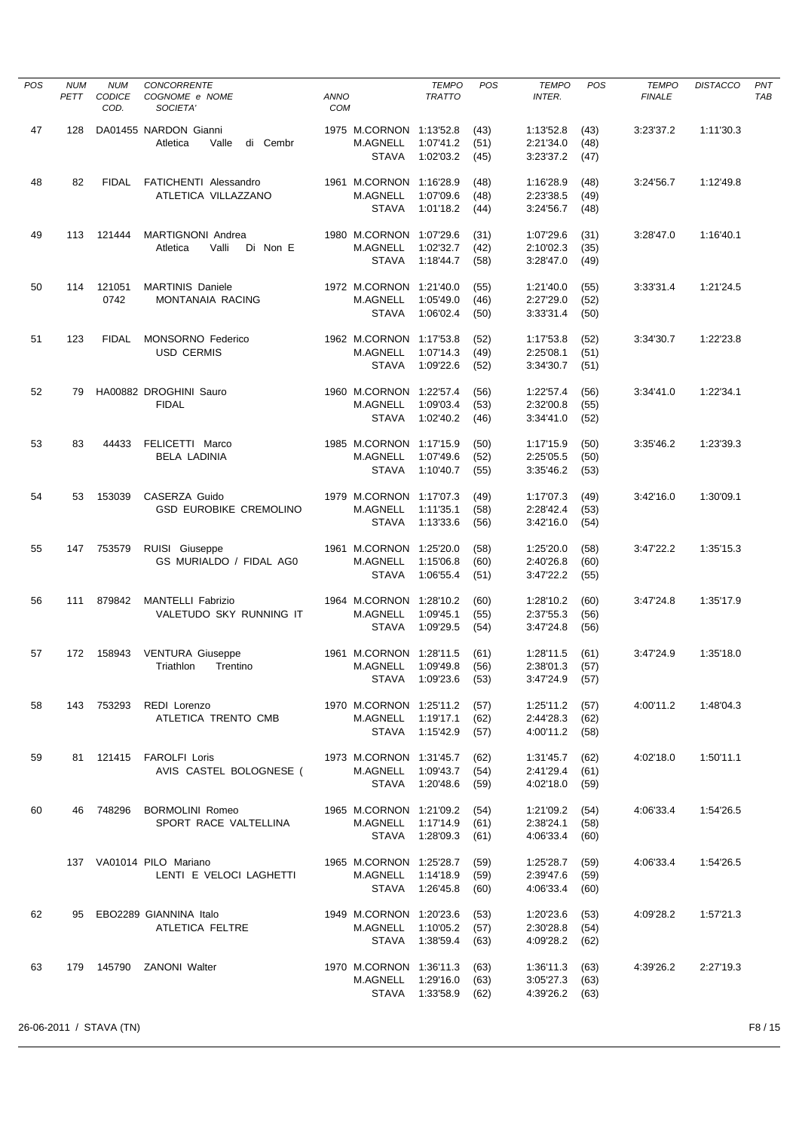| <b>POS</b> | <b>NUM</b><br>PETT | <b>NUM</b><br><b>CODICE</b> | CONCORRENTE<br>COGNOME e NOME                        | ANNO       |                                 | <b>TEMPO</b><br><b>TRATTO</b>     | POS          | <b>TEMPO</b><br><b>INTER.</b>        | POS          | <b>TEMPO</b><br><b>FINALE</b> | <b>DISTACCO</b> | PNT<br>TAB |
|------------|--------------------|-----------------------------|------------------------------------------------------|------------|---------------------------------|-----------------------------------|--------------|--------------------------------------|--------------|-------------------------------|-----------------|------------|
|            |                    | COD.                        | SOCIETA'                                             | <b>COM</b> |                                 |                                   |              |                                      |              |                               |                 |            |
| 47         | 128                |                             | DA01455 NARDON Gianni                                |            | 1975 M.CORNON 1:13'52.8         |                                   | (43)         | 1:13'52.8                            | (43)         | 3:23'37.2                     | 1:11'30.3       |            |
|            |                    |                             | Atletica<br>Valle<br>di Cembr                        |            | M.AGNELL                        | 1:07'41.2                         | (51)         | 2:21'34.0                            | (48)         |                               |                 |            |
|            |                    |                             |                                                      |            | <b>STAVA</b>                    | 1:02'03.2                         | (45)         | 3:23'37.2                            | (47)         |                               |                 |            |
| 48         | 82                 | <b>FIDAL</b>                | FATICHENTI Alessandro                                |            | 1961 M.CORNON 1:16'28.9         |                                   | (48)         | 1:16'28.9                            | (48)         | 3:24'56.7                     | 1:12'49.8       |            |
|            |                    |                             | ATLETICA VILLAZZANO                                  |            | M.AGNELL                        | 1:07'09.6                         | (48)         | 2:23'38.5                            | (49)         |                               |                 |            |
|            |                    |                             |                                                      |            | <b>STAVA</b>                    | 1:01'18.2                         | (44)         | 3:24'56.7                            | (48)         |                               |                 |            |
| 49         | 113                | 121444                      | MARTIGNONI Andrea                                    |            | 1980 M.CORNON 1:07'29.6         |                                   | (31)         | 1:07'29.6                            | (31)         | 3:28'47.0                     | 1:16'40.1       |            |
|            |                    |                             | Valli<br>Di Non E<br>Atletica                        |            | M.AGNELL<br><b>STAVA</b>        | 1:02'32.7<br>1:18'44.7            | (42)         | 2:10'02.3                            | (35)         |                               |                 |            |
|            |                    |                             |                                                      |            |                                 |                                   | (58)         | 3:28'47.0                            | (49)         |                               |                 |            |
| 50         | 114                | 121051                      | <b>MARTINIS Daniele</b>                              |            | 1972 M.CORNON 1:21'40.0         |                                   | (55)         | 1:21'40.0                            | (55)         | 3:33'31.4                     | 1:21'24.5       |            |
|            |                    | 0742                        | MONTANAIA RACING                                     |            | M.AGNELL                        | 1:05'49.0                         | (46)         | 2:27'29.0                            | (52)         |                               |                 |            |
|            |                    |                             |                                                      |            | <b>STAVA</b>                    | 1:06'02.4                         | (50)         | 3:33'31.4                            | (50)         |                               |                 |            |
| 51         | 123                | <b>FIDAL</b>                | <b>MONSORNO Federico</b>                             |            | 1962 M.CORNON 1:17'53.8         |                                   | (52)         | 1:17'53.8                            | (52)         | 3:34'30.7                     | 1:22'23.8       |            |
|            |                    |                             | <b>USD CERMIS</b>                                    |            | M.AGNELL<br><b>STAVA</b>        | 1:07'14.3<br>1:09'22.6            | (49)         | 2:25'08.1                            | (51)         |                               |                 |            |
|            |                    |                             |                                                      |            |                                 |                                   | (52)         | 3:34'30.7                            | (51)         |                               |                 |            |
| 52         | 79                 |                             | HA00882 DROGHINI Sauro                               |            | 1960 M.CORNON 1:22'57.4         |                                   | (56)         | 1:22'57.4                            | (56)         | 3:34'41.0                     | 1:22'34.1       |            |
|            |                    |                             | <b>FIDAL</b>                                         |            | M.AGNELL<br><b>STAVA</b>        | 1:09'03.4<br>1:02'40.2            | (53)         | 2:32'00.8<br>3:34'41.0               | (55)<br>(52) |                               |                 |            |
|            |                    |                             |                                                      |            |                                 |                                   | (46)         |                                      |              |                               |                 |            |
| 53         | 83                 | 44433                       | FELICETTI Marco                                      |            | 1985 M.CORNON 1:17'15.9         |                                   | (50)         | 1:17'15.9                            | (50)         | 3:35'46.2                     | 1:23'39.3       |            |
|            |                    |                             | <b>BELA LADINIA</b>                                  |            | <b>M.AGNELL</b>                 | 1:07'49.6                         | (52)         | 2:25'05.5                            | (50)         |                               |                 |            |
|            |                    |                             |                                                      |            | <b>STAVA</b>                    | 1:10'40.7                         | (55)         | 3:35'46.2                            | (53)         |                               |                 |            |
| 54         | 53                 | 153039                      | CASERZA Guido                                        |            | 1979 M.CORNON 1:17'07.3         |                                   | (49)         | 1:17'07.3                            | (49)         | 3:42'16.0                     | 1:30'09.1       |            |
|            |                    |                             | <b>GSD EUROBIKE CREMOLINO</b>                        |            | M.AGNELL                        | 1:11'35.1                         | (58)         | 2:28'42.4                            | (53)         |                               |                 |            |
|            |                    |                             |                                                      |            | <b>STAVA</b>                    | 1:13'33.6                         | (56)         | 3:42'16.0                            | (54)         |                               |                 |            |
| 55         | 147                | 753579                      | RUISI Giuseppe                                       |            | 1961 M.CORNON 1:25'20.0         |                                   | (58)         | 1:25'20.0                            | (58)         | 3:47'22.2                     | 1:35'15.3       |            |
|            |                    |                             | GS MURIALDO / FIDAL AGO                              |            | M.AGNELL                        | 1:15'06.8                         | (60)         | 2:40'26.8                            | (60)         |                               |                 |            |
|            |                    |                             |                                                      |            | <b>STAVA</b>                    | 1:06'55.4                         | (51)         | 3:47'22.2                            | (55)         |                               |                 |            |
| 56         | 111                | 879842                      | <b>MANTELLI Fabrizio</b>                             |            | 1964 M.CORNON 1:28'10.2         |                                   | (60)         | 1:28'10.2                            | (60)         | 3:47'24.8                     | 1:35'17.9       |            |
|            |                    |                             | VALETUDO SKY RUNNING IT                              |            | <b>M.AGNELL</b><br><b>STAVA</b> | 1:09'45.1<br>1:09'29.5            | (55)<br>(54) | 2:37'55.3<br>3:47'24.8               | (56)<br>(56) |                               |                 |            |
|            |                    |                             |                                                      |            |                                 |                                   |              |                                      |              |                               |                 |            |
| 57         | 172                | 158943                      | <b>VENTURA Giuseppe</b>                              |            | 1961 M.CORNON 1:28'11.5         |                                   | (61)         | 1:28'11.5                            | (61)         | 3:47'24.9                     | 1:35'18.0       |            |
|            |                    |                             | Triathlon<br>Trentino                                |            | M.AGNELL                        | 1:09'49.8<br>STAVA 1:09'23.6 (53) | (56)         | 2:38'01.3<br>$3:47'24.9$ (57)        | (57)         |                               |                 |            |
|            |                    |                             |                                                      |            |                                 |                                   |              |                                      |              |                               |                 |            |
| 58         |                    |                             | 143 753293 REDI Lorenzo                              |            | 1970 M.CORNON 1:25'11.2 (57)    |                                   |              | $1:25'11.2$ (57)                     |              | 4:00'11.2                     | 1:48'04.3       |            |
|            |                    |                             | ATLETICA TRENTO CMB                                  |            | M.AGNELL 1:19'17.1              | STAVA 1:15'42.9 (57)              | (62)         | 2:44'28.3 (62)<br>4:00'11.2 (58)     |              |                               |                 |            |
|            |                    |                             |                                                      |            |                                 |                                   |              |                                      |              |                               |                 |            |
| 59         |                    |                             | 81 121415 FAROLFI Loris                              |            | 1973 M.CORNON 1:31'45.7 (62)    |                                   |              | 1:31'45.7                            | (62)         | 4:02'18.0                     | 1:50'11.1       |            |
|            |                    |                             | AVIS CASTEL BOLOGNESE (                              |            | M.AGNELL 1:09'43.7 (54)         | STAVA 1:20'48.6 (59)              |              | $2:41'29.4$ (61)<br>4:02'18.0        | (59)         |                               |                 |            |
|            |                    |                             |                                                      |            |                                 |                                   |              |                                      |              |                               |                 |            |
| 60         |                    |                             | 46 748296 BORMOLINI Romeo<br>1965 M.CORNON 1:21'09.2 |            |                                 |                                   | (54)         | $1:21'09.2$ (54)                     |              | 4:06'33.4                     | 1:54'26.5       |            |
|            |                    |                             | SPORT RACE VALTELLINA                                |            | M.AGNELL 1:17'14.9              | STAVA 1:28'09.3                   | (61)<br>(61) | 2:38'24.1<br>4:06'33.4               | (58)<br>(60) |                               |                 |            |
|            |                    |                             |                                                      |            |                                 |                                   |              |                                      |              |                               |                 |            |
|            |                    |                             | 137 VA01014 PILO Mariano                             |            | 1965 M.CORNON 1:25'28.7 (59)    |                                   |              | $1:25'28.7$ (59)                     |              | 4:06'33.4                     | 1:54'26.5       |            |
|            |                    |                             | LENTI E VELOCI LAGHETTI                              |            | M.AGNELL 1:14'18.9              | STAVA 1:26'45.8 (60)              | (59)         | 2:39'47.6 (59)<br>$4:06'33.4$ (60)   |              |                               |                 |            |
|            |                    |                             |                                                      |            |                                 |                                   |              |                                      |              |                               |                 |            |
| 62         |                    |                             | 95 EBO2289 GIANNINA Italo                            |            | 1949 M.CORNON 1:20'23.6         |                                   | (53)         | $1:20'23.6$ (53)                     |              | 4:09'28.2                     | 1:57'21.3       |            |
|            |                    |                             | ATLETICA FELTRE                                      |            | M.AGNELL 1:10'05.2 (57)         | STAVA 1:38'59.4 (63)              |              | 2:30'28.8<br>4:09'28.2 (62)          | (54)         |                               |                 |            |
|            |                    |                             |                                                      |            |                                 |                                   |              |                                      |              |                               |                 |            |
| 63         |                    |                             | 179 145790 ZANONI Walter                             |            | 1970 M.CORNON 1:36'11.3         |                                   | (63)         | $1:36'11.3$ (63)                     |              | 4:39'26.2                     | 2:27'19.3       |            |
|            |                    |                             |                                                      |            | M.AGNELL 1:29'16.0              | STAVA 1:33'58.9 (62)              | (63)         | $3:05'27.3$ (63)<br>$4:39'26.2$ (63) |              |                               |                 |            |
|            |                    |                             |                                                      |            |                                 |                                   |              |                                      |              |                               |                 |            |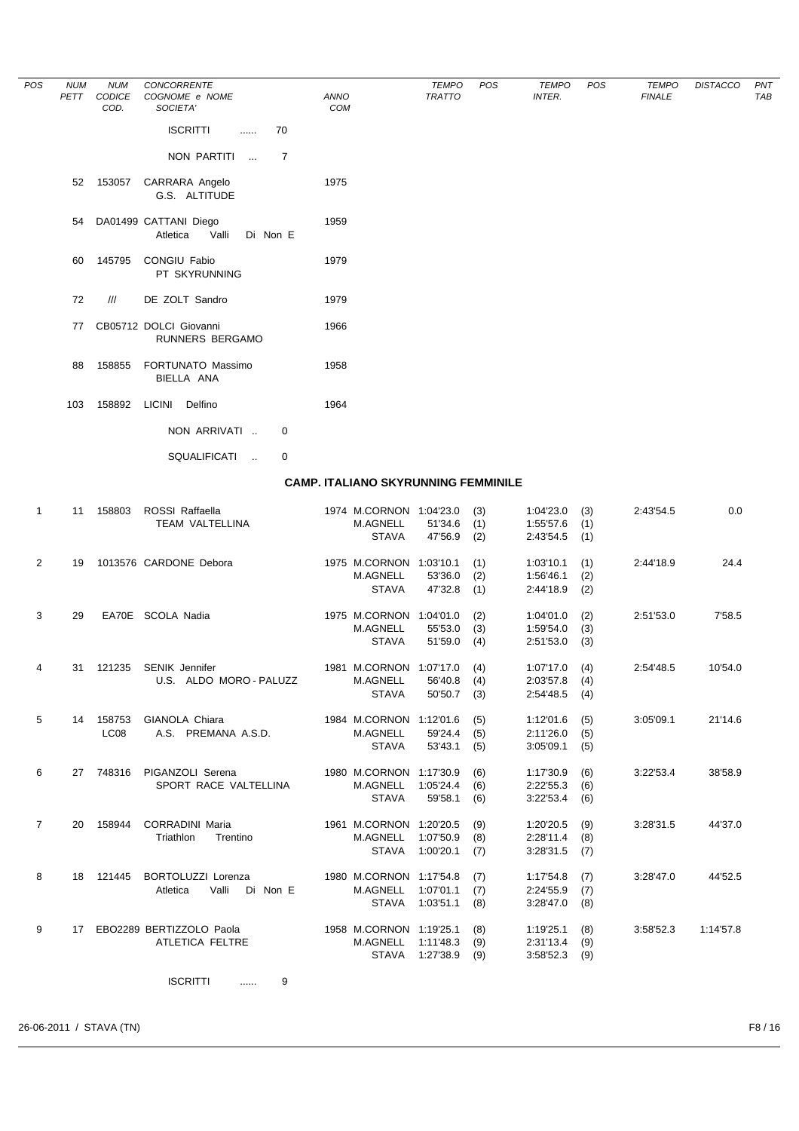| POS | <b>NUM</b><br>PETT | <b>NUM</b><br>CODICE | <b>CONCORRENTE</b><br>COGNOME e NOME                   |             | ANNO                                       | <b>TEMPO</b><br><b>TRATTO</b> | POS | <b>TEMPO</b><br><b>INTER.</b> | POS | <b>TEMPO</b><br><b>FINALE</b> | <b>DISTACCO</b> | PNT<br>TAB |
|-----|--------------------|----------------------|--------------------------------------------------------|-------------|--------------------------------------------|-------------------------------|-----|-------------------------------|-----|-------------------------------|-----------------|------------|
|     |                    | COD.                 | SOCIETA'                                               |             | COM                                        |                               |     |                               |     |                               |                 |            |
|     |                    |                      | <b>ISCRITTI</b><br>.                                   | 70          |                                            |                               |     |                               |     |                               |                 |            |
|     |                    |                      | NON PARTITI<br>$\sim$                                  | 7           |                                            |                               |     |                               |     |                               |                 |            |
|     | 52                 | 153057               | CARRARA Angelo<br>G.S. ALTITUDE                        |             | 1975                                       |                               |     |                               |     |                               |                 |            |
|     | 54                 |                      | DA01499 CATTANI Diego<br>Atletica<br>Valli<br>Di Non E |             | 1959                                       |                               |     |                               |     |                               |                 |            |
|     | 60                 | 145795               | CONGIU Fabio<br>PT SKYRUNNING                          |             | 1979                                       |                               |     |                               |     |                               |                 |            |
|     | 72                 | III                  | DE ZOLT Sandro                                         |             | 1979                                       |                               |     |                               |     |                               |                 |            |
|     | 77                 |                      | CB05712 DOLCI Giovanni<br><b>RUNNERS BERGAMO</b>       |             | 1966                                       |                               |     |                               |     |                               |                 |            |
|     | 88                 | 158855               | FORTUNATO Massimo<br>BIELLA ANA                        |             | 1958                                       |                               |     |                               |     |                               |                 |            |
|     | 103                | 158892               | <b>LICINI</b><br>Delfino                               |             | 1964                                       |                               |     |                               |     |                               |                 |            |
|     |                    |                      | NON ARRIVATI                                           | 0           |                                            |                               |     |                               |     |                               |                 |            |
|     |                    |                      | SQUALIFICATI<br>$\ddotsc$                              | $\mathbf 0$ |                                            |                               |     |                               |     |                               |                 |            |
|     |                    |                      |                                                        |             | <b>CAMP. ITALIANO SKYRUNNING FEMMINILE</b> |                               |     |                               |     |                               |                 |            |

| $\mathbf{1}$   | 11 | 158803           | ROSSI Raffaella<br><b>TEAM VALTELLINA</b> | 1974 M.CORNON 1:04'23.0<br>M.AGNELL | 51'34.6   | (3)<br>(1) | 1:04'23.0<br>1:55'57.6 | (3)<br>(1) | 2:43'54.5 | 0.0       |
|----------------|----|------------------|-------------------------------------------|-------------------------------------|-----------|------------|------------------------|------------|-----------|-----------|
|                |    |                  |                                           | <b>STAVA</b>                        | 47'56.9   | (2)        | 2:43'54.5              | (1)        |           |           |
| 2              | 19 |                  | 1013576 CARDONE Debora                    | 1975 M.CORNON 1:03'10.1             |           | (1)        | 1:03'10.1              | (1)        | 2:44'18.9 | 24.4      |
|                |    |                  |                                           | <b>M.AGNELL</b>                     | 53'36.0   | (2)        | 1:56'46.1              | (2)        |           |           |
|                |    |                  |                                           | <b>STAVA</b>                        | 47'32.8   | (1)        | 2:44'18.9              | (2)        |           |           |
| 3              | 29 |                  | EA70E SCOLA Nadia                         | 1975 M.CORNON 1:04'01.0             |           | (2)        | 1:04'01.0              | (2)        | 2:51'53.0 | 7'58.5    |
|                |    |                  |                                           | <b>M.AGNELL</b>                     | 55'53.0   | (3)        | 1:59'54.0              | (3)        |           |           |
|                |    |                  |                                           | <b>STAVA</b>                        | 51'59.0   | (4)        | 2:51'53.0              | (3)        |           |           |
| $\overline{4}$ | 31 | 121235           | <b>SENIK Jennifer</b>                     | 1981 M.CORNON 1:07'17.0             |           | (4)        | 1:07'17.0              | (4)        | 2:54'48.5 | 10'54.0   |
|                |    |                  | U.S. ALDO MORO - PALUZZ                   | M.AGNELL                            | 56'40.8   | (4)        | 2:03'57.8              | (4)        |           |           |
|                |    |                  |                                           | <b>STAVA</b>                        | 50'50.7   | (3)        | 2:54'48.5              | (4)        |           |           |
| 5              | 14 | 158753           | GIANOLA Chiara                            | 1984 M.CORNON 1:12'01.6             |           | (5)        | 1:12'01.6              | (5)        | 3:05'09.1 | 21'14.6   |
|                |    | LC <sub>08</sub> | A.S. PREMANA A.S.D.                       | <b>M.AGNELL</b>                     | 59'24.4   | (5)        | 2:11'26.0              | (5)        |           |           |
|                |    |                  |                                           | <b>STAVA</b>                        | 53'43.1   | (5)        | 3:05'09.1              | (5)        |           |           |
| 6              |    | 27 748316        | PIGANZOLI Serena                          | 1980 M.CORNON 1:17'30.9             |           | (6)        | 1:17'30.9              | (6)        | 3:22'53.4 | 38'58.9   |
|                |    |                  | SPORT RACE VALTELLINA                     | <b>M.AGNELL</b>                     | 1:05'24.4 | (6)        | 2:22'55.3              | (6)        |           |           |
|                |    |                  |                                           | <b>STAVA</b>                        | 59'58.1   | (6)        | 3:22'53.4              | (6)        |           |           |
| $\overline{7}$ | 20 | 158944           | <b>CORRADINI Maria</b>                    | 1961 M.CORNON 1:20'20.5             |           | (9)        | 1:20'20.5              | (9)        | 3:28'31.5 | 44'37.0   |
|                |    |                  | Triathlon<br>Trentino                     | <b>M.AGNELL</b>                     | 1:07'50.9 | (8)        | 2:28'11.4              | (8)        |           |           |
|                |    |                  |                                           | <b>STAVA</b>                        | 1:00'20.1 | (7)        | 3:28'31.5              | (7)        |           |           |
| 8              | 18 | 121445           | <b>BORTOLUZZI Lorenza</b>                 | 1980 M.CORNON 1:17'54.8             |           | (7)        | 1:17'54.8              | (7)        | 3:28'47.0 | 44'52.5   |
|                |    |                  | Valli<br>Di Non E<br>Atletica             | <b>M.AGNELL</b>                     | 1:07'01.1 | (7)        | 2:24'55.9              | (7)        |           |           |
|                |    |                  |                                           | <b>STAVA</b>                        | 1:03'51.1 | (8)        | 3:28'47.0              | (8)        |           |           |
| 9              | 17 |                  | EBO2289 BERTIZZOLO Paola                  | 1958 M.CORNON 1:19'25.1             |           | (8)        | 1:19'25.1              | (8)        | 3:58'52.3 | 1:14'57.8 |
|                |    |                  | ATLETICA FELTRE                           | M.AGNELL                            | 1:11'48.3 | (9)        | 2:31'13.4              | (9)        |           |           |
|                |    |                  |                                           | <b>STAVA</b>                        | 1:27'38.9 | (9)        | 3:58'52.3              | (9)        |           |           |

ISCRITTI ...... 9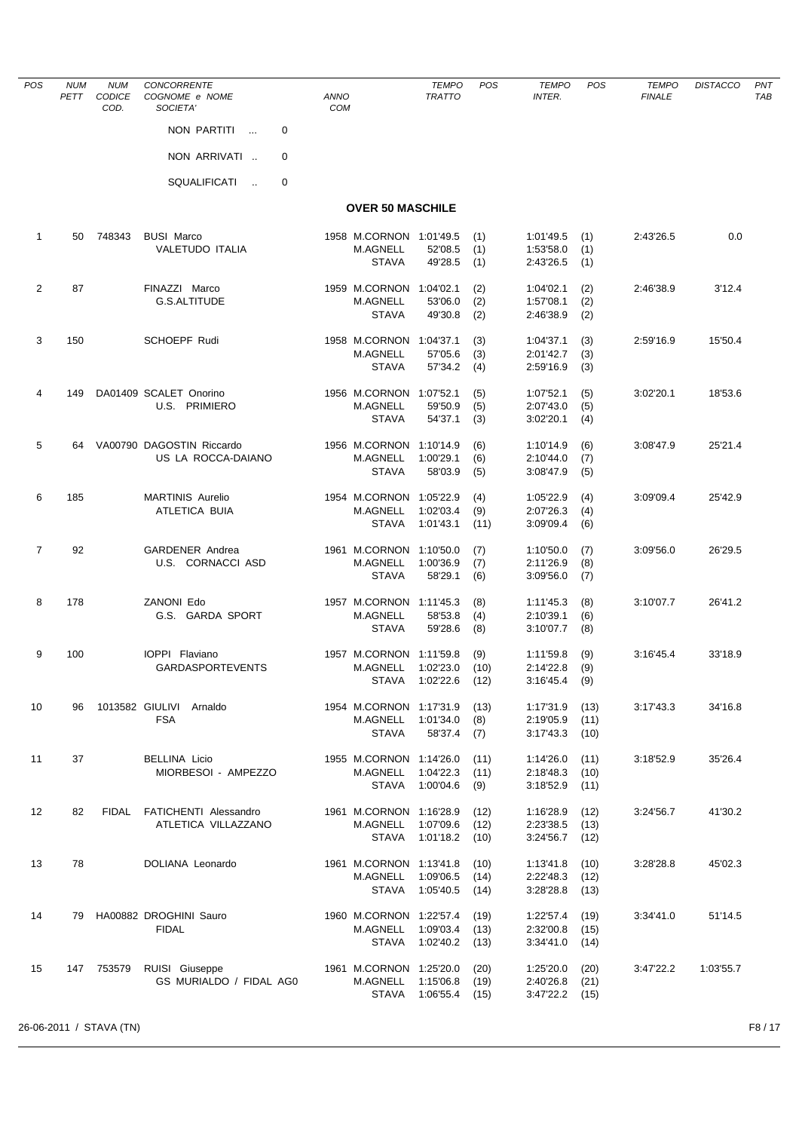| <b>POS</b>        | <b>NUM</b><br>PETT | <b>NUM</b><br>CODICE<br>COD. | CONCORRENTE<br>COGNOME e NOME<br>SOCIETA'          | <b>ANNO</b><br><b>COM</b> | <b>TEMPO</b><br><b>TRATTO</b>                                     | POS                  | <b>TEMPO</b><br><b>INTER.</b>       | <b>POS</b>           | <b>TEMPO</b><br><b>FINALE</b> | <b>DISTACCO</b> | PN <sub>1</sub><br>TAB |
|-------------------|--------------------|------------------------------|----------------------------------------------------|---------------------------|-------------------------------------------------------------------|----------------------|-------------------------------------|----------------------|-------------------------------|-----------------|------------------------|
|                   |                    |                              | NON PARTITI<br>0<br>$\sim$                         |                           |                                                                   |                      |                                     |                      |                               |                 |                        |
|                   |                    |                              | NON ARRIVATI<br>0                                  |                           |                                                                   |                      |                                     |                      |                               |                 |                        |
|                   |                    |                              | SQUALIFICATI<br>0<br>$\sim$                        |                           |                                                                   |                      |                                     |                      |                               |                 |                        |
|                   |                    |                              |                                                    |                           | <b>OVER 50 MASCHILE</b>                                           |                      |                                     |                      |                               |                 |                        |
| $\mathbf{1}$      | 50                 | 748343                       | <b>BUSI Marco</b>                                  |                           | 1958 M.CORNON 1:01'49.5                                           | (1)                  | 1:01'49.5                           | (1)                  | 2:43'26.5                     | 0.0             |                        |
|                   |                    |                              | <b>VALETUDO ITALIA</b>                             | <b>M.AGNELL</b>           | 52'08.5<br><b>STAVA</b><br>49'28.5                                | (1)<br>(1)           | 1:53'58.0<br>2:43'26.5              | (1)<br>(1)           |                               |                 |                        |
| $\overline{2}$    | 87                 |                              | FINAZZI Marco<br><b>G.S.ALTITUDE</b>               | M.AGNELL                  | 1959 M.CORNON 1:04'02.1<br>53'06.0<br><b>STAVA</b><br>49'30.8     | (2)<br>(2)<br>(2)    | 1:04'02.1<br>1:57'08.1<br>2:46'38.9 | (2)<br>(2)<br>(2)    | 2:46'38.9                     | 3'12.4          |                        |
| 3                 | 150                |                              | <b>SCHOEPF Rudi</b>                                | 1958 M.CORNON<br>M.AGNELL | 1:04'37.1<br>57'05.6                                              | (3)<br>(3)           | 1:04'37.1<br>2:01'42.7              | (3)<br>(3)           | 2:59'16.9                     | 15'50.4         |                        |
|                   |                    |                              |                                                    |                           | <b>STAVA</b><br>57'34.2                                           | (4)                  | 2:59'16.9                           | (3)                  |                               |                 |                        |
| 4                 | 149                |                              | DA01409 SCALET Onorino<br>U.S. PRIMIERO            | <b>M.AGNELL</b>           | 1956 M.CORNON 1:07'52.1<br>59'50.9<br><b>STAVA</b><br>54'37.1     | (5)<br>(5)<br>(3)    | 1:07'52.1<br>2:07'43.0<br>3:02'20.1 | (5)<br>(5)<br>(4)    | 3:02'20.1                     | 18'53.6         |                        |
| 5                 | 64                 |                              | VA00790 DAGOSTIN Riccardo<br>US LA ROCCA-DAIANO    | M.AGNELL                  | 1956 M.CORNON 1:10'14.9<br>1:00'29.1<br><b>STAVA</b><br>58'03.9   | (6)<br>(6)<br>(5)    | 1:10'14.9<br>2:10'44.0<br>3:08'47.9 | (6)<br>(7)<br>(5)    | 3:08'47.9                     | 25'21.4         |                        |
| 6                 | 185                |                              | <b>MARTINIS Aurelio</b><br><b>ATLETICA BUIA</b>    | <b>M.AGNELL</b>           | 1954 M.CORNON 1:05'22.9<br>1:02'03.4<br><b>STAVA</b><br>1:01'43.1 | (4)<br>(9)<br>(11)   | 1:05'22.9<br>2:07'26.3<br>3:09'09.4 | (4)<br>(4)<br>(6)    | 3:09'09.4                     | 25'42.9         |                        |
| $\overline{7}$    | 92                 |                              | <b>GARDENER Andrea</b><br>U.S. CORNACCI ASD        | <b>M.AGNELL</b>           | 1961 M.CORNON 1:10'50.0<br>1:00'36.9<br><b>STAVA</b><br>58'29.1   | (7)<br>(7)<br>(6)    | 1:10'50.0<br>2:11'26.9<br>3:09'56.0 | (7)<br>(8)<br>(7)    | 3:09'56.0                     | 26'29.5         |                        |
| 8                 | 178                |                              | ZANONI Edo<br>G.S. GARDA SPORT                     | <b>M.AGNELL</b>           | 1957 M.CORNON 1:11'45.3<br>58'53.8<br><b>STAVA</b><br>59'28.6     | (8)<br>(4)<br>(8)    | 1:11'45.3<br>2:10'39.1<br>3:10'07.7 | (8)<br>(6)<br>(8)    | 3:10'07.7                     | 26'41.2         |                        |
| 9                 | 100                |                              | IOPPI Flaviano<br><b>GARDASPORTEVENTS</b>          | <b>M.AGNELL</b>           | 1957 M.CORNON 1:11'59.8<br>1:02'23.0<br>STAVA 1:02'22.6           | (9)<br>(10)<br>(12)  | 1:11'59.8<br>2:14'22.8<br>3:16'45.4 | (9)<br>(9)<br>(9)    | 3:16'45.4                     | 33'18.9         |                        |
| 10                | 96                 |                              | 1013582 GIULIVI Arnaldo<br><b>FSA</b>              | M.AGNELL                  | 1954 M.CORNON 1:17'31.9<br>1:01'34.0<br><b>STAVA</b><br>58'37.4   | (13)<br>(8)<br>(7)   | 1:17'31.9<br>2:19'05.9<br>3:17'43.3 | (13)<br>(11)<br>(10) | 3:17'43.3                     | 34'16.8         |                        |
| 11                | 37                 |                              | <b>BELLINA Licio</b><br>MIORBESOI - AMPEZZO        | M.AGNELL                  | 1955 M.CORNON 1:14'26.0<br>1:04'22.3<br>STAVA 1:00'04.6           | (11)<br>(11)<br>(9)  | 1:14'26.0<br>2:18'48.3<br>3:18'52.9 | (11)<br>(10)<br>(11) | 3:18'52.9                     | 35'26.4         |                        |
| $12 \overline{ }$ | 82                 |                              | FIDAL FATICHENTI Alessandro<br>ATLETICA VILLAZZANO | M.AGNELL                  | 1961 M.CORNON 1:16'28.9<br>1:07'09.6<br>STAVA<br>1:01'18.2        | (12)<br>(12)<br>(10) | 1:16'28.9<br>2:23'38.5<br>3:24'56.7 | (12)<br>(13)<br>(12) | 3:24'56.7                     | 41'30.2         |                        |
| 13                | 78                 |                              | DOLIANA Leonardo                                   | M.AGNELL                  | 1961 M.CORNON 1:13'41.8<br>1:09'06.5<br><b>STAVA</b><br>1:05'40.5 | (10)<br>(14)<br>(14) | 1:13'41.8<br>2:22'48.3<br>3:28'28.8 | (10)<br>(12)<br>(13) | 3:28'28.8                     | 45'02.3         |                        |
| 14                | 79                 |                              | HA00882 DROGHINI Sauro<br><b>FIDAL</b>             | M.AGNELL                  | 1960 M.CORNON 1:22'57.4<br>1:09'03.4<br><b>STAVA</b><br>1:02'40.2 | (19)<br>(13)<br>(13) | 1:22'57.4<br>2:32'00.8<br>3:34'41.0 | (19)<br>(15)<br>(14) | 3:34'41.0                     | 51'14.5         |                        |
| 15                |                    | 147 753579                   | RUISI Giuseppe<br>GS MURIALDO / FIDAL AGO          | M.AGNELL                  | 1961 M.CORNON 1:25'20.0<br>1:15'06.8<br>STAVA 1:06'55.4           | (20)<br>(19)<br>(15) | 1:25'20.0<br>2:40'26.8<br>3:47'22.2 | (20)<br>(21)<br>(15) | 3:47'22.2                     | 1:03'55.7       |                        |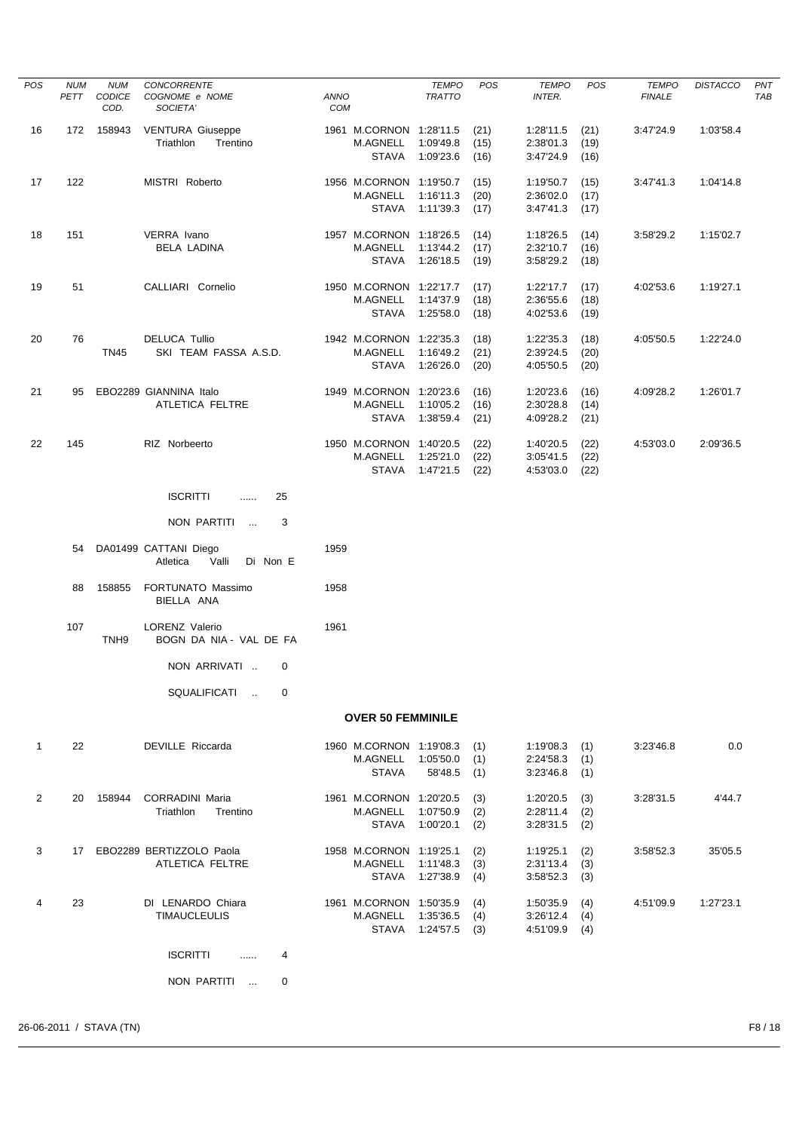| <b>POS</b>     | <b>NUM</b> | <b>NUM</b>       | CONCORRENTE                                            |                    |                                 | <b>TEMPO</b>                 | <b>POS</b>   | <b>TEMPO</b>           | POS          | <b>TEMPO</b>  | <b>DISTACCO</b> | PNT |
|----------------|------------|------------------|--------------------------------------------------------|--------------------|---------------------------------|------------------------------|--------------|------------------------|--------------|---------------|-----------------|-----|
|                | PETT       | CODICE<br>COD.   | COGNOME e NOME<br>SOCIETA'                             | ANNO<br><b>COM</b> |                                 | <b>TRATTO</b>                |              | <b>INTER.</b>          |              | <b>FINALE</b> |                 | TAB |
| 16             | 172        | 158943           | <b>VENTURA Giuseppe</b>                                |                    | 1961 M.CORNON 1:28'11.5         |                              | (21)         | 1:28'11.5              | (21)         | 3:47'24.9     | 1:03'58.4       |     |
|                |            |                  | Triathlon<br>Trentino                                  |                    | <b>M.AGNELL</b><br><b>STAVA</b> | 1:09'49.8                    | (15)         | 2:38'01.3              | (19)         |               |                 |     |
|                |            |                  |                                                        |                    |                                 | 1:09'23.6                    | (16)         | 3:47'24.9              | (16)         |               |                 |     |
| 17             | 122        |                  | MISTRI Roberto                                         |                    | 1956 M.CORNON 1:19'50.7         |                              | (15)         | 1:19'50.7              | (15)         | 3:47'41.3     | 1:04'14.8       |     |
|                |            |                  |                                                        |                    | M.AGNELL<br><b>STAVA</b>        | 1:16'11.3                    | (20)         | 2:36'02.0              | (17)         |               |                 |     |
|                |            |                  |                                                        |                    |                                 | 1:11'39.3                    | (17)         | 3:47'41.3              | (17)         |               |                 |     |
| 18             | 151        |                  | VERRA Ivano                                            |                    | 1957 M.CORNON 1:18'26.5         |                              | (14)         | 1:18'26.5              | (14)         | 3:58'29.2     | 1:15'02.7       |     |
|                |            |                  | <b>BELA LADINA</b>                                     |                    | M.AGNELL<br><b>STAVA</b>        | 1:13'44.2<br>1:26'18.5       | (17)<br>(19) | 2:32'10.7<br>3:58'29.2 | (16)<br>(18) |               |                 |     |
|                |            |                  |                                                        |                    |                                 |                              |              |                        |              |               |                 |     |
| 19             | 51         |                  | CALLIARI Cornelio                                      |                    | 1950 M.CORNON 1:22'17.7         |                              | (17)         | 1:22'17.7              | (17)         | 4:02'53.6     | 1:19'27.1       |     |
|                |            |                  |                                                        |                    | M.AGNELL<br>STAVA               | 1:14'37.9<br>1:25'58.0       | (18)<br>(18) | 2:36'55.6<br>4:02'53.6 | (18)<br>(19) |               |                 |     |
|                |            |                  |                                                        |                    |                                 |                              |              |                        |              |               |                 |     |
| 20             | 76         |                  | <b>DELUCA Tullio</b>                                   |                    | 1942 M.CORNON 1:22'35.3         |                              | (18)         | 1:22'35.3              | (18)         | 4:05'50.5     | 1:22'24.0       |     |
|                |            | <b>TN45</b>      | SKI TEAM FASSA A.S.D.                                  |                    | M.AGNELL<br><b>STAVA</b>        | 1:16'49.2<br>1:26'26.0       | (21)<br>(20) | 2:39'24.5<br>4:05'50.5 | (20)<br>(20) |               |                 |     |
|                |            |                  |                                                        |                    |                                 |                              |              |                        |              |               |                 |     |
| 21             | 95         |                  | EBO2289 GIANNINA Italo                                 |                    | 1949 M.CORNON 1:20'23.6         |                              | (16)         | 1:20'23.6              | (16)         | 4:09'28.2     | 1:26'01.7       |     |
|                |            |                  | ATLETICA FELTRE                                        |                    | M.AGNELL<br><b>STAVA</b>        | 1:10'05.2<br>1:38'59.4       | (16)<br>(21) | 2:30'28.8<br>4:09'28.2 | (14)<br>(21) |               |                 |     |
|                |            |                  |                                                        |                    |                                 |                              |              |                        |              |               |                 |     |
| 22             | 145        |                  | RIZ Norbeerto                                          |                    | 1950 M.CORNON 1:40'20.5         |                              | (22)         | 1:40'20.5              | (22)         | 4:53'03.0     | 2:09'36.5       |     |
|                |            |                  |                                                        |                    | M.AGNELL<br>STAVA               | 1:25'21.0<br>1:47'21.5       | (22)<br>(22) | 3:05'41.5<br>4:53'03.0 | (22)<br>(22) |               |                 |     |
|                |            |                  |                                                        |                    |                                 |                              |              |                        |              |               |                 |     |
|                |            |                  | <b>ISCRITTI</b><br>25<br>$\cdots$                      |                    |                                 |                              |              |                        |              |               |                 |     |
|                |            |                  | NON PARTITI<br>3<br>$\sim$                             |                    |                                 |                              |              |                        |              |               |                 |     |
|                | 54         |                  | DA01499 CATTANI Diego<br>Atletica<br>Valli<br>Di Non E | 1959               |                                 |                              |              |                        |              |               |                 |     |
|                | 88         | 158855           | FORTUNATO Massimo<br>BIELLA ANA                        | 1958               |                                 |                              |              |                        |              |               |                 |     |
|                | 107        | TNH <sub>9</sub> | <b>LORENZ Valerio</b><br>BOGN DA NIA - VAL DE FA       | 1961               |                                 |                              |              |                        |              |               |                 |     |
|                |            |                  | NON ARRIVATI<br>0                                      |                    |                                 |                              |              |                        |              |               |                 |     |
|                |            |                  | SQUALIFICATI<br>0                                      |                    |                                 |                              |              |                        |              |               |                 |     |
|                |            |                  |                                                        |                    | <b>OVER 50 FEMMINILE</b>        |                              |              |                        |              |               |                 |     |
| $\mathbf{1}$   | 22         |                  | DEVILLE Riccarda                                       |                    | 1960 M.CORNON 1:19'08.3         |                              | (1)          | 1:19'08.3              | (1)          | 3:23'46.8     | 0.0             |     |
|                |            |                  |                                                        |                    | M.AGNELL                        | 1:05'50.0                    | (1)          | 2:24'58.3              | (1)          |               |                 |     |
|                |            |                  |                                                        |                    | <b>STAVA</b>                    | 58'48.5                      | (1)          | 3:23'46.8              | (1)          |               |                 |     |
| $\overline{2}$ | 20         | 158944           | <b>CORRADINI Maria</b>                                 |                    | 1961 M.CORNON 1:20'20.5         |                              | (3)          | 1:20'20.5              | (3)          | 3:28'31.5     | 4'44.7          |     |
|                |            |                  | Triathlon<br>Trentino                                  |                    | M.AGNELL                        | 1:07'50.9                    | (2)          | 2:28'11.4              | (2)          |               |                 |     |
|                |            |                  |                                                        |                    |                                 | STAVA 1:00'20.1              | (2)          | 3:28'31.5              | (2)          |               |                 |     |
| 3              |            |                  | 17 EBO2289 BERTIZZOLO Paola                            |                    | 1958 M.CORNON 1:19'25.1         |                              | (2)          | 1:19'25.1              | (2)          | 3:58'52.3     | 35'05.5         |     |
|                |            |                  | ATLETICA FELTRE                                        |                    | M.AGNELL                        | 1:11'48.3<br>STAVA 1:27'38.9 | (3)          | 2:31'13.4              | (3)          |               |                 |     |
|                |            |                  |                                                        |                    |                                 |                              | (4)          | 3:58'52.3              | (3)          |               |                 |     |
| 4              | 23         |                  | DI LENARDO Chiara                                      |                    | 1961 M.CORNON 1:50'35.9         |                              | (4)          | 1:50'35.9              | (4)          | 4:51'09.9     | 1:27'23.1       |     |
|                |            |                  | <b>TIMAUCLEULIS</b>                                    |                    | M.AGNELL                        | 1:35'36.5<br>STAVA 1:24'57.5 | (4)<br>(3)   | 3:26'12.4<br>4:51'09.9 | (4)<br>(4)   |               |                 |     |
|                |            |                  |                                                        |                    |                                 |                              |              |                        |              |               |                 |     |
|                |            |                  | <b>ISCRITTI</b><br>4<br>$\cdots$                       |                    |                                 |                              |              |                        |              |               |                 |     |
|                |            |                  | NON PARTITI<br>0                                       |                    |                                 |                              |              |                        |              |               |                 |     |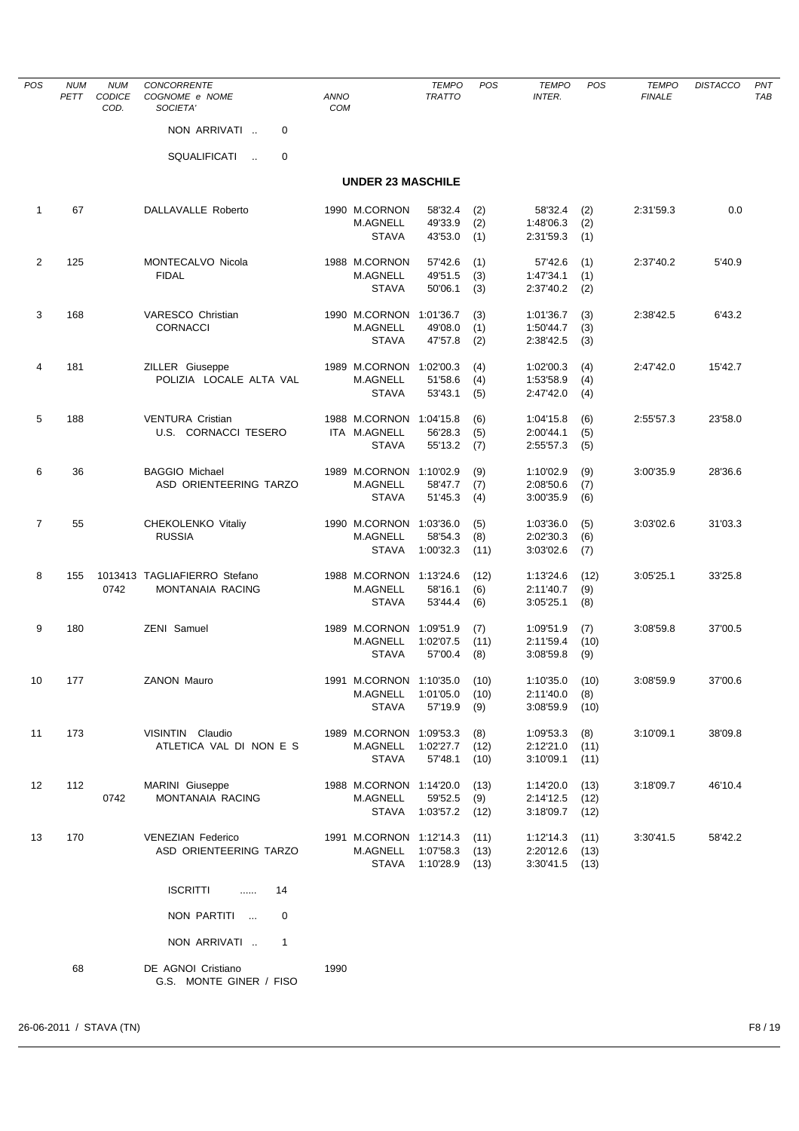| POS            | <b>NUM</b><br>PETT | <b>NUM</b><br>CODICE<br>COD. | <b>CONCORRENTE</b><br>COGNOME e NOME<br>SOCIETA' | <b>ANNO</b><br>COM |                                            | <b>TEMPO</b><br><b>TRATTO</b> | <b>POS</b>   | <b>TEMPO</b><br><b>INTER.</b> | <b>POS</b>   | <b>TEMPO</b><br><b>FINALE</b> | <b>DISTACCO</b> | PN <sub>1</sub><br>TAB |
|----------------|--------------------|------------------------------|--------------------------------------------------|--------------------|--------------------------------------------|-------------------------------|--------------|-------------------------------|--------------|-------------------------------|-----------------|------------------------|
|                |                    |                              | NON ARRIVATI<br>0                                |                    |                                            |                               |              |                               |              |                               |                 |                        |
|                |                    |                              | SQUALIFICATI<br>0<br>$\mathcal{L}_{\mathcal{A}}$ |                    |                                            |                               |              |                               |              |                               |                 |                        |
|                |                    |                              |                                                  |                    | <b>UNDER 23 MASCHILE</b>                   |                               |              |                               |              |                               |                 |                        |
| 1              | 67                 |                              | DALLAVALLE Roberto                               |                    | 1990 M.CORNON                              | 58'32.4                       | (2)          | 58'32.4                       | (2)          | 2:31'59.3                     | 0.0             |                        |
|                |                    |                              |                                                  |                    | M.AGNELL<br><b>STAVA</b>                   | 49'33.9<br>43'53.0            | (2)<br>(1)   | 1:48'06.3<br>2:31'59.3        | (2)<br>(1)   |                               |                 |                        |
| $\overline{2}$ | 125                |                              | MONTECALVO Nicola                                |                    | 1988 M.CORNON                              | 57'42.6                       | (1)          | 57'42.6                       | (1)          | 2:37'40.2                     | 5'40.9          |                        |
|                |                    |                              | <b>FIDAL</b>                                     |                    | M.AGNELL                                   | 49'51.5                       | (3)          | 1:47'34.1                     | (1)          |                               |                 |                        |
|                |                    |                              |                                                  |                    | <b>STAVA</b>                               | 50'06.1                       | (3)          | 2:37'40.2                     | (2)          |                               |                 |                        |
| 3              | 168                |                              | VARESCO Christian                                |                    | 1990 M.CORNON                              | 1:01'36.7                     | (3)          | 1:01'36.7                     | (3)          | 2:38'42.5                     | 6'43.2          |                        |
|                |                    |                              | <b>CORNACCI</b>                                  |                    | M.AGNELL<br><b>STAVA</b>                   | 49'08.0<br>47'57.8            | (1)<br>(2)   | 1:50'44.7<br>2:38'42.5        | (3)<br>(3)   |                               |                 |                        |
| 4              | 181                |                              | ZILLER Giuseppe                                  |                    | 1989 M.CORNON                              | 1:02'00.3                     |              | 1:02'00.3                     |              | 2:47'42.0                     | 15'42.7         |                        |
|                |                    |                              | POLIZIA LOCALE ALTA VAL                          |                    | M.AGNELL                                   | 51'58.6                       | (4)<br>(4)   | 1:53'58.9                     | (4)<br>(4)   |                               |                 |                        |
|                |                    |                              |                                                  |                    | <b>STAVA</b>                               | 53'43.1                       | (5)          | 2:47'42.0                     | (4)          |                               |                 |                        |
| 5              | 188                |                              | <b>VENTURA Cristian</b>                          |                    | 1988 M.CORNON                              | 1:04'15.8                     | (6)          | 1:04'15.8                     | (6)          | 2:55'57.3                     | 23'58.0         |                        |
|                |                    |                              | U.S. CORNACCI TESERO                             |                    | ITA M.AGNELL<br><b>STAVA</b>               | 56'28.3<br>55'13.2            | (5)<br>(7)   | 2:00'44.1<br>2:55'57.3        | (5)<br>(5)   |                               |                 |                        |
|                |                    |                              |                                                  |                    |                                            |                               |              |                               |              |                               |                 |                        |
| 6              | 36                 |                              | <b>BAGGIO Michael</b><br>ASD ORIENTEERING TARZO  |                    | 1989 M.CORNON<br>M.AGNELL                  | 1:10'02.9<br>58'47.7          | (9)<br>(7)   | 1:10'02.9<br>2:08'50.6        | (9)<br>(7)   | 3:00'35.9                     | 28'36.6         |                        |
|                |                    |                              |                                                  |                    | <b>STAVA</b>                               | 51'45.3                       | (4)          | 3:00'35.9                     | (6)          |                               |                 |                        |
| $\overline{7}$ | 55                 |                              | CHEKOLENKO Vitaliy                               |                    | 1990 M.CORNON                              | 1:03'36.0                     | (5)          | 1:03'36.0                     | (5)          | 3:03'02.6                     | 31'03.3         |                        |
|                |                    |                              | <b>RUSSIA</b>                                    |                    | <b>M.AGNELL</b><br><b>STAVA</b>            | 58'54.3                       | (8)          | 2:02'30.3                     | (6)          |                               |                 |                        |
|                |                    |                              |                                                  |                    |                                            | 1:00'32.3                     | (11)         | 3:03'02.6                     | (7)          |                               |                 |                        |
| 8              | 155                | 0742                         | 1013413 TAGLIAFIERRO Stefano<br>MONTANAIA RACING |                    | 1988 M.CORNON 1:13'24.6<br><b>M.AGNELL</b> | 58'16.1                       | (12)<br>(6)  | 1:13'24.6<br>2:11'40.7        | (12)<br>(9)  | 3:05'25.1                     | 33'25.8         |                        |
|                |                    |                              |                                                  |                    | <b>STAVA</b>                               | 53'44.4                       | (6)          | 3:05'25.1                     | (8)          |                               |                 |                        |
| 9              | 180                |                              | ZENI Samuel                                      |                    | 1989 M.CORNON 1:09'51.9                    |                               | (7)          | 1:09'51.9                     | (7)          | 3:08'59.8                     | 37'00.5         |                        |
|                |                    |                              |                                                  |                    | <b>M.AGNELL</b>                            | 1:02'07.5                     | (11)         | 2:11'59.4                     | (10)         |                               |                 |                        |
|                |                    |                              |                                                  |                    | <b>STAVA</b>                               | 57'00.4                       | (8)          | 3:08'59.8                     | (9)          |                               |                 |                        |
| 10             | 177                |                              | <b>ZANON Mauro</b>                               |                    | 1991 M.CORNON 1:10'35.0<br>M.AGNELL        | 1:01'05.0                     | (10)<br>(10) | 1:10'35.0<br>2:11'40.0        | (10)<br>(8)  | 3:08'59.9                     | 37'00.6         |                        |
|                |                    |                              |                                                  |                    | STAVA                                      | 57'19.9                       | (9)          | 3:08'59.9                     | (10)         |                               |                 |                        |
| 11             | 173                |                              | VISINTIN Claudio                                 |                    | 1989 M.CORNON 1:09'53.3                    |                               | (8)          | 1:09'53.3                     | (8)          | 3:10'09.1                     | 38'09.8         |                        |
|                |                    |                              | ATLETICA VAL DI NON E S                          |                    | M.AGNELL                                   | 1:02'27.7                     | (12)         | 2:12'21.0                     | (11)         |                               |                 |                        |
|                |                    |                              |                                                  |                    | <b>STAVA</b>                               | 57'48.1                       | (10)         | 3:10'09.1                     | (11)         |                               |                 |                        |
| 12             | 112                |                              | MARINI Giuseppe<br>MONTANAIA RACING              |                    | 1988 M.CORNON 1:14'20.0                    |                               | (13)         | 1:14'20.0<br>2:14'12.5        | (13)         | 3:18'09.7                     | 46'10.4         |                        |
|                |                    | 0742                         |                                                  |                    | M.AGNELL<br>STAVA                          | 59'52.5<br>1:03'57.2          | (9)<br>(12)  | 3:18'09.7                     | (12)<br>(12) |                               |                 |                        |
| 13             | 170                |                              | <b>VENEZIAN Federico</b>                         |                    | 1991 M.CORNON 1:12'14.3                    |                               | (11)         | 1:12'14.3                     | (11)         | 3:30'41.5                     | 58'42.2         |                        |
|                |                    |                              | ASD ORIENTEERING TARZO                           |                    | M.AGNELL                                   | 1:07'58.3                     | (13)         | 2:20'12.6                     | (13)         |                               |                 |                        |
|                |                    |                              |                                                  |                    |                                            | STAVA 1:10'28.9               | (13)         | 3:30'41.5                     | (13)         |                               |                 |                        |
|                |                    |                              | <b>ISCRITTI</b><br>14<br>$\ldots$                |                    |                                            |                               |              |                               |              |                               |                 |                        |
|                |                    |                              | NON PARTITI<br>0                                 |                    |                                            |                               |              |                               |              |                               |                 |                        |
|                |                    |                              | NON ARRIVATI<br>1                                |                    |                                            |                               |              |                               |              |                               |                 |                        |
|                | 68                 |                              | DE AGNOI Cristiano                               | 1990               |                                            |                               |              |                               |              |                               |                 |                        |
|                |                    |                              | G.S. MONTE GINER / FISO                          |                    |                                            |                               |              |                               |              |                               |                 |                        |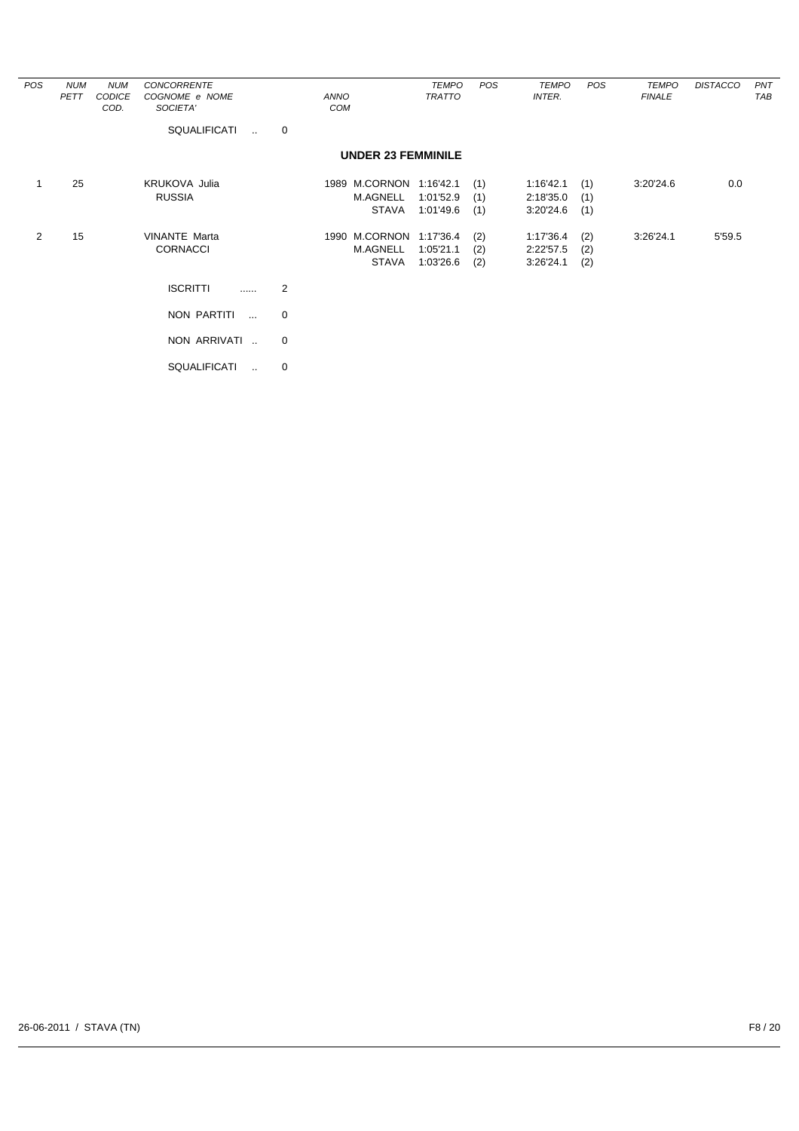| POS            | <b>NUM</b><br>PETT | <b>NUM</b><br>CODICE<br>COD. | <b>CONCORRENTE</b><br>COGNOME e NOME<br>SOCIETA' |   | ANNO<br>COM                                         | <b>TEMPO</b><br><b>TRATTO</b>       | POS               | TEMPO<br>INTER.                     | POS               | <b>TEMPO</b><br><b>FINALE</b> | <b>DISTACCO</b> | PNT<br>TAB |
|----------------|--------------------|------------------------------|--------------------------------------------------|---|-----------------------------------------------------|-------------------------------------|-------------------|-------------------------------------|-------------------|-------------------------------|-----------------|------------|
|                |                    |                              | <b>SQUALIFICATI</b><br>$\sim$                    | 0 |                                                     |                                     |                   |                                     |                   |                               |                 |            |
|                |                    |                              |                                                  |   | <b>UNDER 23 FEMMINILE</b>                           |                                     |                   |                                     |                   |                               |                 |            |
|                | 25                 |                              | <b>KRUKOVA Julia</b><br><b>RUSSIA</b>            |   | 1989 M.CORNON 1:16'42.1<br>M.AGNELL<br><b>STAVA</b> | 1:01'52.9<br>1:01'49.6              | (1)<br>(1)<br>(1) | 1:16'42.1<br>2:18'35.0<br>3:20'24.6 | (1)<br>(1)<br>(1) | 3:20'24.6                     | 0.0             |            |
| $\overline{2}$ | 15                 |                              | <b>VINANTE Marta</b><br><b>CORNACCI</b>          |   | 1990 M.CORNON<br><b>M.AGNELL</b><br><b>STAVA</b>    | 1:17'36.4<br>1:05'21.1<br>1:03'26.6 | (2)<br>(2)<br>(2) | 1:17'36.4<br>2:22'57.5<br>3:26'24.1 | (2)<br>(2)<br>(2) | 3:26'24.1                     | 5'59.5          |            |
|                |                    |                              | <b>ISCRITTI</b><br>.                             | 2 |                                                     |                                     |                   |                                     |                   |                               |                 |            |
|                |                    |                              | NON PARTITI<br>$\cdots$                          | 0 |                                                     |                                     |                   |                                     |                   |                               |                 |            |
|                |                    |                              | NON ARRIVATI                                     | 0 |                                                     |                                     |                   |                                     |                   |                               |                 |            |
|                |                    |                              | <b>SQUALIFICATI</b><br>$\ddot{\phantom{a}}$      | 0 |                                                     |                                     |                   |                                     |                   |                               |                 |            |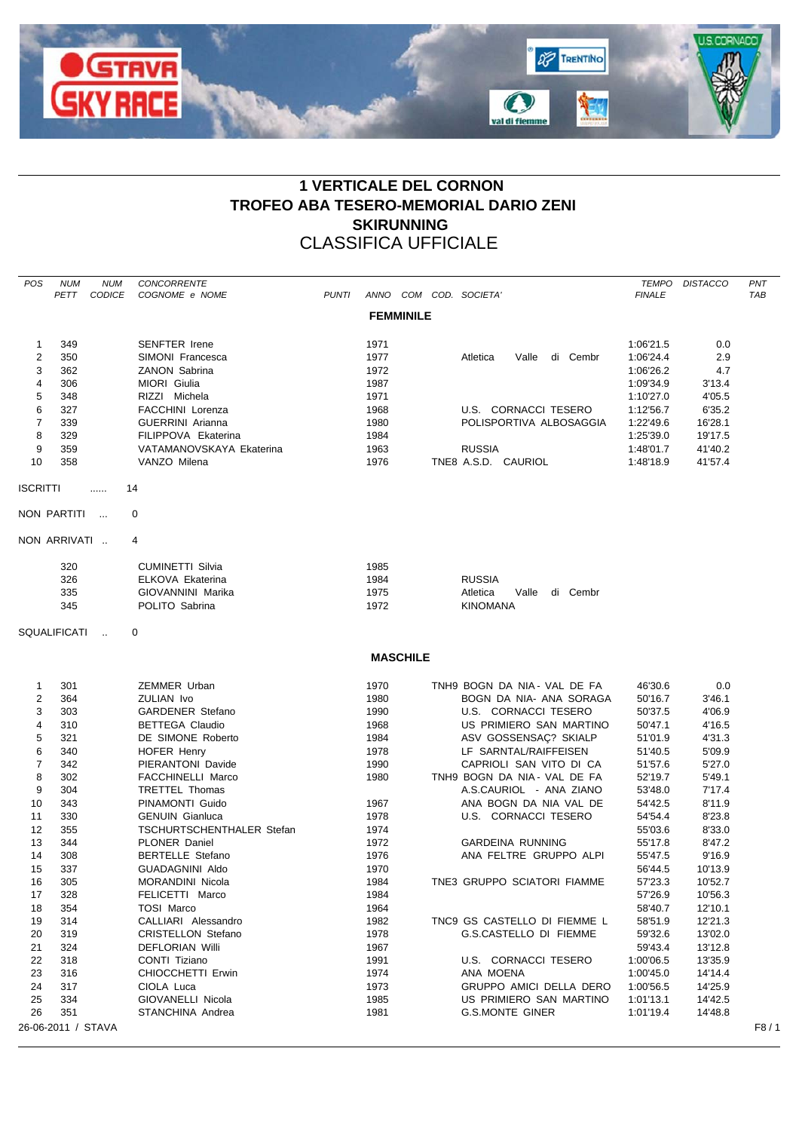

## **1 VERTICALE DEL CORNON TROFEO ABA TESERO-MEMORIAL DARIO ZENI SKIRUNNING** CLASSIFICA UFFICIALE

| POS                     | <b>NUM</b><br>PETT | <b>NUM</b><br><b>CODICE</b> | <b>CONCORRENTE</b><br>COGNOME e NOME                     | <b>PUNTI</b> |              |                  | ANNO COM COD. SOCIETA'        | <b>FINALE</b>      | TEMPO DISTACCO   | PNT<br><b>TAB</b> |
|-------------------------|--------------------|-----------------------------|----------------------------------------------------------|--------------|--------------|------------------|-------------------------------|--------------------|------------------|-------------------|
|                         |                    |                             |                                                          |              |              | <b>FEMMINILE</b> |                               |                    |                  |                   |
| 1                       | 349                |                             | <b>SENFTER Irene</b>                                     |              | 1971         |                  |                               | 1:06'21.5          | 0.0              |                   |
| $\overline{2}$          | 350                |                             | SIMONI Francesca                                         |              | 1977         |                  | Valle di Cembr<br>Atletica    | 1:06'24.4          | 2.9              |                   |
| 3                       | 362                |                             | ZANON Sabrina                                            |              | 1972         |                  |                               | 1:06'26.2          | 4.7              |                   |
| $\overline{\mathbf{4}}$ | 306                |                             | MIORI Giulia                                             |              | 1987         |                  |                               | 1:09'34.9          | 3'13.4           |                   |
| 5                       | 348                |                             | RIZZI Michela                                            |              | 1971         |                  |                               | 1:10'27.0          | 4'05.5           |                   |
| 6                       | 327                |                             | <b>FACCHINI Lorenza</b>                                  |              | 1968         |                  | U.S. CORNACCI TESERO          | 1:12'56.7          | 6'35.2           |                   |
| $\overline{7}$          | 339                |                             | <b>GUERRINI</b> Arianna                                  |              | 1980         |                  | POLISPORTIVA ALBOSAGGIA       | 1:22'49.6          | 16'28.1          |                   |
| 8                       | 329                |                             | FILIPPOVA Ekaterina                                      |              | 1984         |                  |                               | 1:25'39.0          | 19'17.5          |                   |
| 9                       | 359                |                             | VATAMANOVSKAYA Ekaterina                                 |              | 1963         |                  | <b>RUSSIA</b>                 | 1:48'01.7          | 41'40.2          |                   |
| 10                      | 358                |                             | VANZO Milena                                             |              | 1976         |                  | TNE8 A.S.D. CAURIOL           | 1:48'18.9          | 41'57.4          |                   |
| <b>ISCRITTI</b>         |                    | .                           | 14                                                       |              |              |                  |                               |                    |                  |                   |
|                         | NON PARTITI        |                             | 0                                                        |              |              |                  |                               |                    |                  |                   |
|                         | NON ARRIVATI       |                             | 4                                                        |              |              |                  |                               |                    |                  |                   |
|                         | 320                |                             | <b>CUMINETTI Silvia</b>                                  |              | 1985         |                  |                               |                    |                  |                   |
|                         | 326                |                             | ELKOVA Ekaterina                                         |              | 1984         |                  | <b>RUSSIA</b>                 |                    |                  |                   |
|                         | 335                |                             | GIOVANNINI Marika                                        |              | 1975         |                  | Atletica<br>di Cembr<br>Valle |                    |                  |                   |
|                         | 345                |                             | POLITO Sabrina                                           |              | 1972         |                  | <b>KINOMANA</b>               |                    |                  |                   |
|                         | SQUALIFICATI       | $\sim$                      | 0                                                        |              |              |                  |                               |                    |                  |                   |
|                         |                    |                             |                                                          |              |              | <b>MASCHILE</b>  |                               |                    |                  |                   |
| $\mathbf{1}$            | 301                |                             | <b>ZEMMER Urban</b>                                      |              | 1970         |                  | TNH9 BOGN DA NIA- VAL DE FA   | 46'30.6            | 0.0              |                   |
| $\overline{c}$          | 364                |                             | ZULIAN Ivo                                               |              | 1980         |                  | BOGN DA NIA- ANA SORAGA       | 50'16.7            | 3'46.1           |                   |
| 3                       | 303                |                             | <b>GARDENER Stefano</b>                                  |              | 1990         |                  | U.S. CORNACCI TESERO          | 50'37.5            | 4'06.9           |                   |
| 4                       | 310                |                             | <b>BETTEGA Claudio</b>                                   |              | 1968         |                  | US PRIMIERO SAN MARTINO       | 50'47.1            | 4'16.5           |                   |
| $\,$ 5 $\,$             | 321                |                             | DE SIMONE Roberto                                        |              | 1984         |                  | ASV GOSSENSAÇ? SKIALP         | 51'01.9            | 4'31.3           |                   |
| 6                       | 340                |                             | <b>HOFER Henry</b>                                       |              | 1978         |                  | LF SARNTAL/RAIFFEISEN         | 51'40.5            | 5'09.9           |                   |
| $\overline{7}$          | 342                |                             | PIERANTONI Davide                                        |              | 1990         |                  | CAPRIOLI SAN VITO DI CA       | 51'57.6            | 5'27.0           |                   |
| 8                       | 302                |                             | FACCHINELLI Marco                                        |              | 1980         |                  | TNH9 BOGN DA NIA - VAL DE FA  | 52'19.7            | 5'49.1           |                   |
| 9                       | 304                |                             | <b>TRETTEL Thomas</b>                                    |              |              |                  | A.S.CAURIOL - ANA ZIANO       | 53'48.0            | 7'17.4           |                   |
| 10                      | 343                |                             | PINAMONTI Guido                                          |              | 1967         |                  | ANA BOGN DA NIA VAL DE        | 54'42.5            | 8'11.9           |                   |
| 11                      | 330                |                             | <b>GENUIN</b> Gianluca                                   |              | 1978         |                  | U.S. CORNACCI TESERO          | 54'54.4            | 8'23.8           |                   |
| 12<br>13                | 355<br>344         |                             | <b>TSCHURTSCHENTHALER Stefan</b><br><b>PLONER Daniel</b> |              | 1974<br>1972 |                  | <b>GARDEINA RUNNING</b>       | 55'03.6<br>55'17.8 | 8'33.0<br>8'47.2 |                   |
| 14                      | 308                |                             | <b>BERTELLE Stefano</b>                                  |              | 1976         |                  | ANA FELTRE GRUPPO ALPI        | 55'47.5            | 9'16.9           |                   |
| 15                      | 337                |                             | <b>GUADAGNINI Aldo</b>                                   |              | 1970         |                  |                               | 56'44.5            | 10'13.9          |                   |
| 16                      | 305                |                             | MORANDINI Nicola                                         |              | 1984         |                  | TNE3 GRUPPO SCIATORI FIAMME   | 57'23.3            | 10'52.7          |                   |
| 17                      | 328                |                             | FELICETTI Marco                                          |              | 1984         |                  |                               | 57'26.9            | 10'56.3          |                   |
| 18                      | 354                |                             | <b>TOSI Marco</b>                                        |              | 1964         |                  |                               | 58'40.7            | 12'10.1          |                   |
| 19                      | 314                |                             | CALLIARI Alessandro                                      |              | 1982         |                  | TNC9 GS CASTELLO DI FIEMME L  | 58'51.9            | 12'21.3          |                   |
| 20                      | 319                |                             | <b>CRISTELLON Stefano</b>                                |              | 1978         |                  | G.S.CASTELLO DI FIEMME        | 59'32.6            | 13'02.0          |                   |
| 21                      | 324                |                             | <b>DEFLORIAN Willi</b>                                   |              | 1967         |                  |                               | 59'43.4            | 13'12.8          |                   |
| 22                      | 318                |                             | CONTI Tiziano                                            |              | 1991         |                  | U.S. CORNACCI TESERO          | 1:00'06.5          | 13'35.9          |                   |
| 23                      | 316                |                             | CHIOCCHETTI Erwin                                        |              | 1974         |                  | ANA MOENA                     | 1:00'45.0          | 14'14.4          |                   |
| 24                      | 317                |                             | CIOLA Luca                                               |              | 1973         |                  | GRUPPO AMICI DELLA DERO       | 1:00'56.5          | 14'25.9          |                   |
| 25                      | 334                |                             | GIOVANELLI Nicola                                        |              | 1985         |                  | US PRIMIERO SAN MARTINO       | 1:01'13.1          | 14'42.5          |                   |
| 26                      | 351                |                             | STANCHINA Andrea                                         |              | 1981         |                  | <b>G.S.MONTE GINER</b>        | 1:01'19.4          | 14'48.8          |                   |
|                         | 26-06-2011 / STAVA |                             |                                                          |              |              |                  |                               |                    |                  | F8/1              |